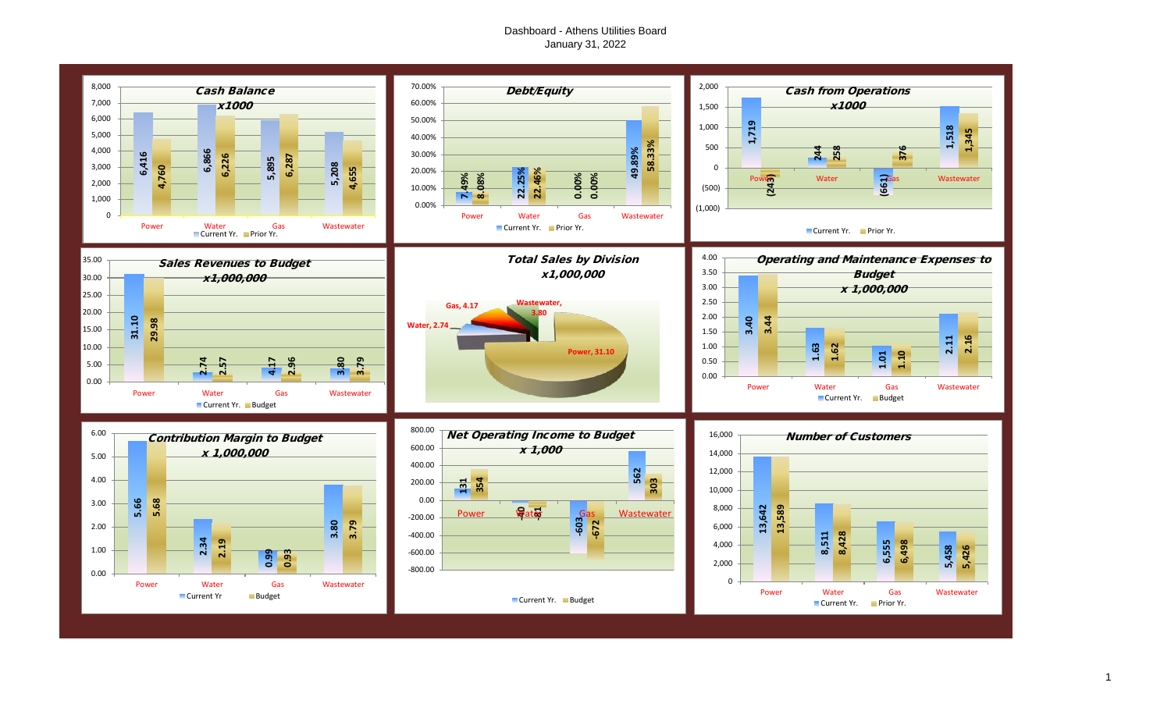# Dashboard - Athens Utilities Board January 31, 2022

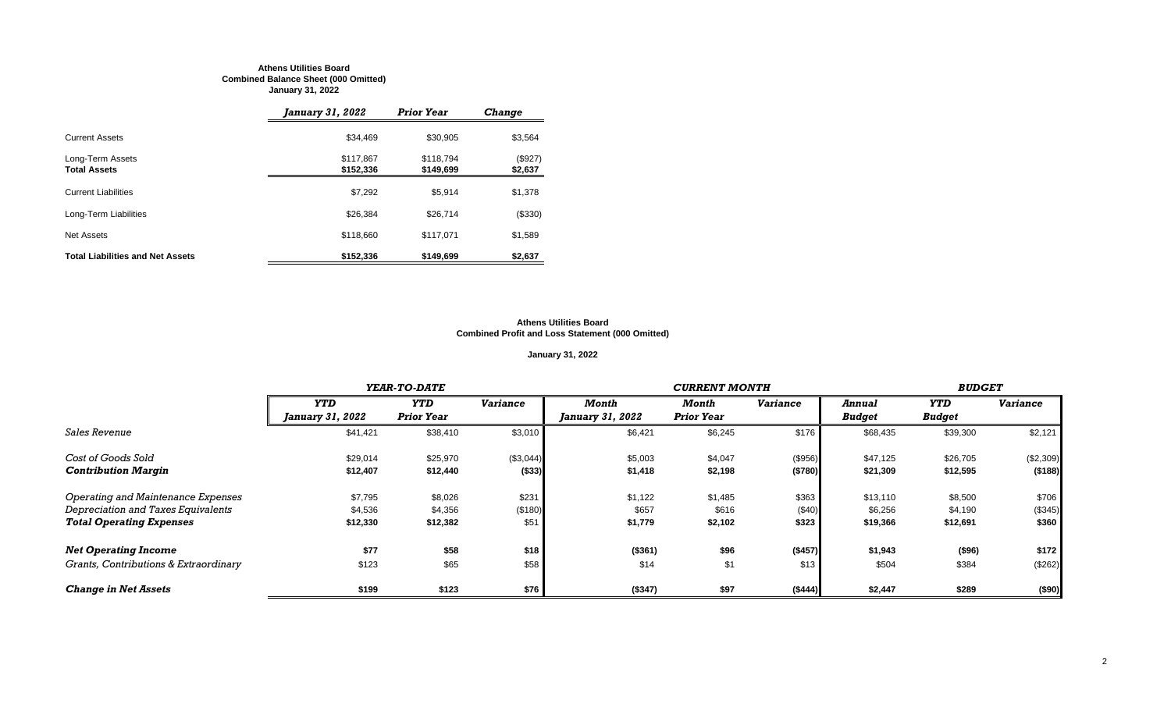#### **Athens Utilities Board Combined Balance Sheet (000 Omitted) January 31, 2022**

|                                         | January 31, 2022       | <b>Prior Year</b>      | <b>Change</b>      |
|-----------------------------------------|------------------------|------------------------|--------------------|
| <b>Current Assets</b>                   | \$34.469               | \$30.905               | \$3,564            |
| Long-Term Assets<br><b>Total Assets</b> | \$117,867<br>\$152,336 | \$118.794<br>\$149,699 | (\$927)<br>\$2,637 |
| <b>Current Liabilities</b>              | \$7,292                | \$5.914                | \$1,378            |
| Long-Term Liabilities                   | \$26,384               | \$26,714               | (\$330)            |
| Net Assets                              | \$118,660              | \$117.071              | \$1,589            |
| <b>Total Liabilities and Net Assets</b> | \$152,336              | \$149,699              | \$2,637            |

#### **Athens Utilities Board Combined Profit and Loss Statement (000 Omitted)**

# **January 31, 2022**

|                                       |                         | YEAR-TO-DATE      |                 |                         |                   | <b>BUDGET</b>   |               |               |                 |
|---------------------------------------|-------------------------|-------------------|-----------------|-------------------------|-------------------|-----------------|---------------|---------------|-----------------|
|                                       | <b>YTD</b>              | <b>YTD</b>        | <b>Variance</b> | Month                   | Month             | <b>Variance</b> | Annual        | <b>YTD</b>    | <b>Variance</b> |
|                                       | <i>January 31, 2022</i> | <b>Prior Year</b> |                 | <i>January 31, 2022</i> | <b>Prior Year</b> |                 | <b>Budget</b> | <b>Budget</b> |                 |
| <b>Sales Revenue</b>                  | \$41,421                | \$38,410          | \$3,010         | \$6,421                 | \$6,245           | \$176           | \$68,435      | \$39,300      | \$2,121         |
| Cost of Goods Sold                    | \$29,014                | \$25,970          | (\$3,044)       | \$5,003                 | \$4,047           | (\$956)         | \$47,125      | \$26,705      | (\$2,309)       |
| <b>Contribution Margin</b>            | \$12,407                | \$12,440          | ( \$33)         | \$1,418                 | \$2,198           | (\$780)         | \$21,309      | \$12,595      | (\$188)         |
| Operating and Maintenance Expenses    | \$7,795                 | \$8,026           | \$231           | \$1,122                 | \$1,485           | \$363           | \$13,110      | \$8,500       | \$706           |
| Depreciation and Taxes Equivalents    | \$4,536                 | \$4,356           | (\$180)         | \$657                   | \$616             | (\$40)          | \$6,256       | \$4,190       | (\$345)         |
| <b>Total Operating Expenses</b>       | \$12,330                | \$12,382          | \$51            | \$1,779                 | \$2,102           | \$323           | \$19,366      | \$12,691      | \$360           |
| <b>Net Operating Income</b>           | \$77                    | \$58              | \$18            | ( \$361)                | \$96              | (\$457)         | \$1,943       | (\$96)        | \$172           |
| Grants, Contributions & Extraordinary | \$123                   | \$65              | \$58            | \$14                    | \$1               | \$13            | \$504         | \$384         | (\$262)         |
| <b>Change in Net Assets</b>           | \$199                   | \$123             | \$76            | (\$347)                 | \$97              | (\$444)         | \$2,447       | \$289         | (\$90)          |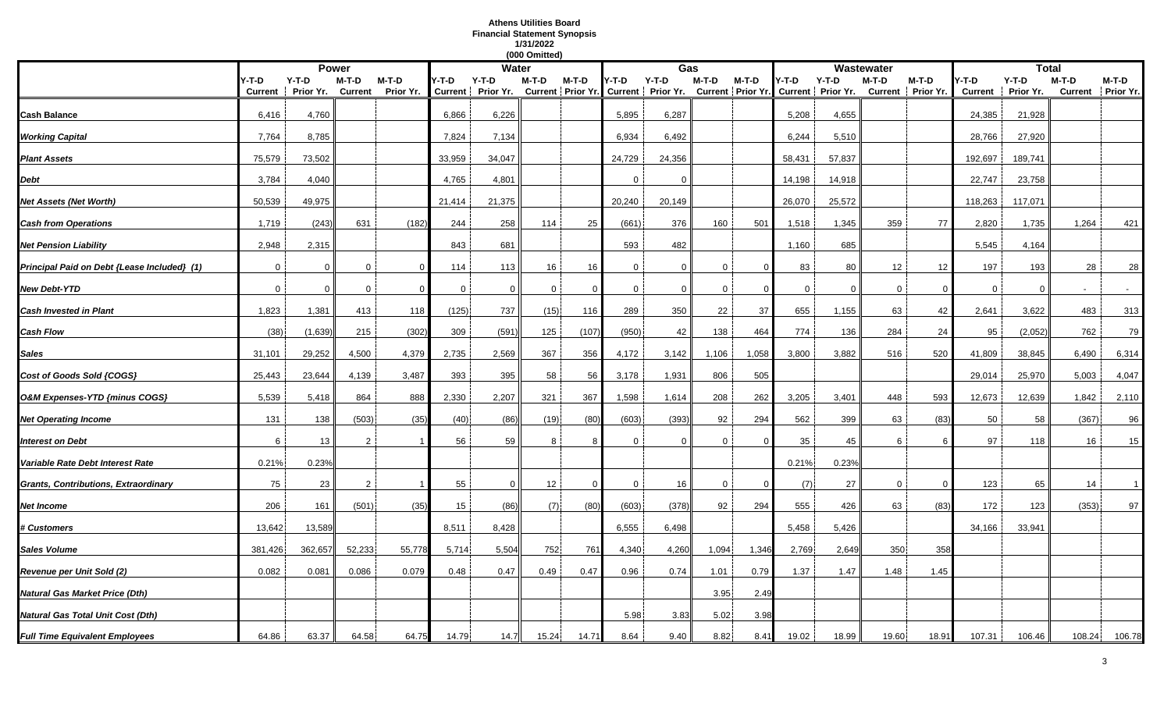# **Athens Utilities Board Financial Statement Synopsis 1/31/2022**

|                                             |                         |                      |                           |                      |        |                                                                                                              | (000 Omitted)   |                |              |          |                |          |              |        |             |                              |                         |                      |                              |                |
|---------------------------------------------|-------------------------|----------------------|---------------------------|----------------------|--------|--------------------------------------------------------------------------------------------------------------|-----------------|----------------|--------------|----------|----------------|----------|--------------|--------|-------------|------------------------------|-------------------------|----------------------|------------------------------|----------------|
|                                             |                         |                      | <b>Power</b>              |                      |        | <b>Water</b>                                                                                                 |                 |                |              | Gas      |                |          |              |        | Wastewater  |                              |                         | <b>Total</b>         |                              |                |
|                                             | Y-T-D<br><b>Current</b> | $Y-T-D$<br>Prior Yr. | $M-T-D$<br><b>Current</b> | $M-T-D$<br>Prior Yr. | Y-T-D  | Y-T-D<br>Current   Prior Yr. Current   Prior Yr. Current   Prior Yr. Current   Prior Yr. Current   Prior Yr. | M-T-D           | M-T-D          | Y-T-D        | $Y-T-D$  | M-T-D          | $M-T-D$  | 4-T-D        | Y-T-D  | $M-T-D$     | $M-T-D$<br>Current Prior Yr. | Y-T-D<br><b>Current</b> | $Y-T-D$<br>Prior Yr. | $M-T-D$<br>Current Prior Yr. | M-T-D          |
| Cash Balance                                | 6,416                   | 4,760                |                           |                      | 6,866  | 6,226                                                                                                        |                 |                | 5,895        | 6,287    |                |          | 5,208        | 4,655  |             |                              | 24,385                  | 21,928               |                              |                |
| <b>Working Capital</b>                      | 7,764                   | 8,785                |                           |                      | 7,824  | 7,134                                                                                                        |                 |                | 6,934        | 6,492    |                |          | 6,244        | 5,510  |             |                              | 28,766                  | 27,920               |                              |                |
| <b>Plant Assets</b>                         | 75,579                  | 73,502               |                           |                      | 33,959 | 34,047                                                                                                       |                 |                | 24,729       | 24,356   |                |          | 58,431       | 57,837 |             |                              | 192,697                 | 189,741              |                              |                |
| Debt                                        | 3,784                   | 4,040                |                           |                      | 4,765  | 4,801                                                                                                        |                 |                | $\Omega$     | $\Omega$ |                |          | 14,198       | 14,918 |             |                              | 22,747                  | 23,758               |                              |                |
| Net Assets (Net Worth)                      | 50,539                  | 49,975               |                           |                      | 21,414 | 21,375                                                                                                       |                 |                | 20,240       | 20,149   |                |          | 26,070       | 25,572 |             |                              | 118,263                 | 117,071              |                              |                |
| <b>Cash from Operations</b>                 | 1,719                   | (243)                | 631                       | (182)                | 244    | 258                                                                                                          | 114             | 25             | (661)        | 376      | 160            | 501      | 1,518        | 1,345  | 359         | 77                           | 2,820                   | 1,735                | 1,264                        | 421            |
| <b>Net Pension Liability</b>                | 2,948                   | 2,315                |                           |                      | 843    | 681                                                                                                          |                 |                | 593          | 482      |                |          | 1,160        | 685    |             |                              | 5,545                   | 4,164                |                              |                |
| Principal Paid on Debt {Lease Included} (1) | $\mathbf 0$             | $\Omega$             | $\Omega$                  | $\Omega$             | 114    | 113                                                                                                          | 16              | 16             | 0            | $\Omega$ | $\mathbf 0$    |          | 83           | 80     | 12          | 12                           | 197                     | 193                  | 28                           | 28             |
| New Debt-YTD                                | $\Omega$                | $\Omega$             | $\mathbf{0}$              | $\Omega$             | 0      | $\Omega$                                                                                                     | $\mathbf 0$     | $\Omega$       | $\Omega$     | $\Omega$ | 0              |          | $\mathbf{0}$ | 0      | 0           |                              | $\mathbf 0$             | $\Omega$             | $\overline{a}$               | $\sim$         |
| <b>Cash Invested in Plant</b>               | 1,823                   | 1,381                | 413                       | 118                  | (125)  | 737                                                                                                          | (15)            | 116            | 289          | 350      | 22             | 37       | 655          | 1,155  | 63          | 42                           | 2,641                   | 3,622                | 483                          | 313            |
| Cash Flow                                   | (38)                    | (1,639)              | 215                       | (302)                | 309    | (591)                                                                                                        | 125             | (107)          | (950)        | 42       | 138            | 464      | 774          | 136    | 284         | 24                           | 95                      | (2,052)              | 762                          | 79             |
| Sales                                       | 31,101                  | 29,252               | 4,500                     | 4,379                | 2,735  | 2,569                                                                                                        | 367             | 356            | 4,172        | 3,142    | 1,106          | 1,058    | 3,800        | 3,882  | 516         | 520                          | 41,809                  | 38,845               | 6,490                        | 6,314          |
| Cost of Goods Sold {COGS}                   | 25,443                  | 23,644               | 4,139                     | 3,487                | 393    | 395                                                                                                          | 58              | 56             | 3,178        | 1,931    | 806            | 505      |              |        |             |                              | 29,014                  | 25,970               | 5,003                        | 4,047          |
| O&M Expenses-YTD {minus COGS}               | 5,539                   | 5,418                | 864                       | 888                  | 2,330  | 2,207                                                                                                        | 321             | 367            | 1,598        | 1,614    | 208            | 262      | 3,205        | 3,401  | 448         | 593                          | 12,673                  | 12,639               | 1,842                        | 2,110          |
| <b>Net Operating Income</b>                 | 131                     | 138                  | (503)                     | (35)                 | (40)   | (86)                                                                                                         | (19)            | (80)           | (603)        | (393)    | 92             | 294      | 562          | 399    | 63          | (83)                         | 50                      | 58                   | (367)                        | 96             |
| <b>Interest on Debt</b>                     | 6                       | 13                   | 2                         |                      | 56     | 59                                                                                                           | 8               |                | $\Omega$     | $\Omega$ | 0              |          | 35           | 45     | 6           |                              | 97                      | 118                  | 16                           | 15             |
| Variable Rate Debt Interest Rate            | 0.21%                   | 0.23%                |                           |                      |        |                                                                                                              |                 |                |              |          |                |          | 0.21%        | 0.23%  |             |                              |                         |                      |                              |                |
| Grants, Contributions, Extraordinary        | 75                      | 23                   | $\overline{2}$            |                      | 55     | $\mathbf 0$                                                                                                  | 12 <sup>°</sup> | $\Omega$       | $\mathbf{0}$ | 16       | $\overline{0}$ | $\Omega$ | (7)          | 27     | $\mathbf 0$ |                              | 123                     | 65                   | 14                           | $\overline{1}$ |
| Net Income                                  | 206                     | 161                  | (501)                     | (35)                 | 15     | (86)                                                                                                         | (7)             | (80)           | (603)        | (378)    | 92             | 294      | 555          | 426    | 63          | (83)                         | 172                     | 123                  | (353)                        | 97             |
| <b>‡ Customers</b>                          | 13,642                  | 13,589               |                           |                      | 8,511  | 8,428                                                                                                        |                 |                | 6,555        | 6,498    |                |          | 5,458        | 5,426  |             |                              | 34,166                  | 33,941               |                              |                |
| Sales Volume                                | 381,426                 | 362,657              | 52,233                    | 55,778               | 5,714  | 5,504                                                                                                        | 752             | $76^{\circ}$   | 4,340        | 4,260    | 1,094          | 1,346    | 2,769        | 2,649  | 350         | 358                          |                         |                      |                              |                |
| Revenue per Unit Sold (2)                   | 0.082                   | 0.081                | 0.086                     | 0.079                | 0.48   | 0.47                                                                                                         | 0.49            | 0.47           | 0.96         | 0.74     | 1.01           | 0.79     | 1.37         | 1.47   | 1.48        | 1.45                         |                         |                      |                              |                |
| Natural Gas Market Price (Dth)              |                         |                      |                           |                      |        |                                                                                                              |                 |                |              |          | 3.95           | 2.49     |              |        |             |                              |                         |                      |                              |                |
| Natural Gas Total Unit Cost (Dth)           |                         |                      |                           |                      |        |                                                                                                              |                 |                | 5.98         | 3.83     | 5.02           | 3.98     |              |        |             |                              |                         |                      |                              |                |
| <b>Full Time Equivalent Employees</b>       | 64.86                   | 63.37                | 64.58                     | 64.75                | 14.79  | 14.7                                                                                                         | 15.24           | $14.7^{\circ}$ | 8.64         | 9.40     | 8.82           | 8.41     | 19.02        | 18.99  | 19.60       | 18.91                        | 107.31                  | 106.46               | 108.24                       | 106.78         |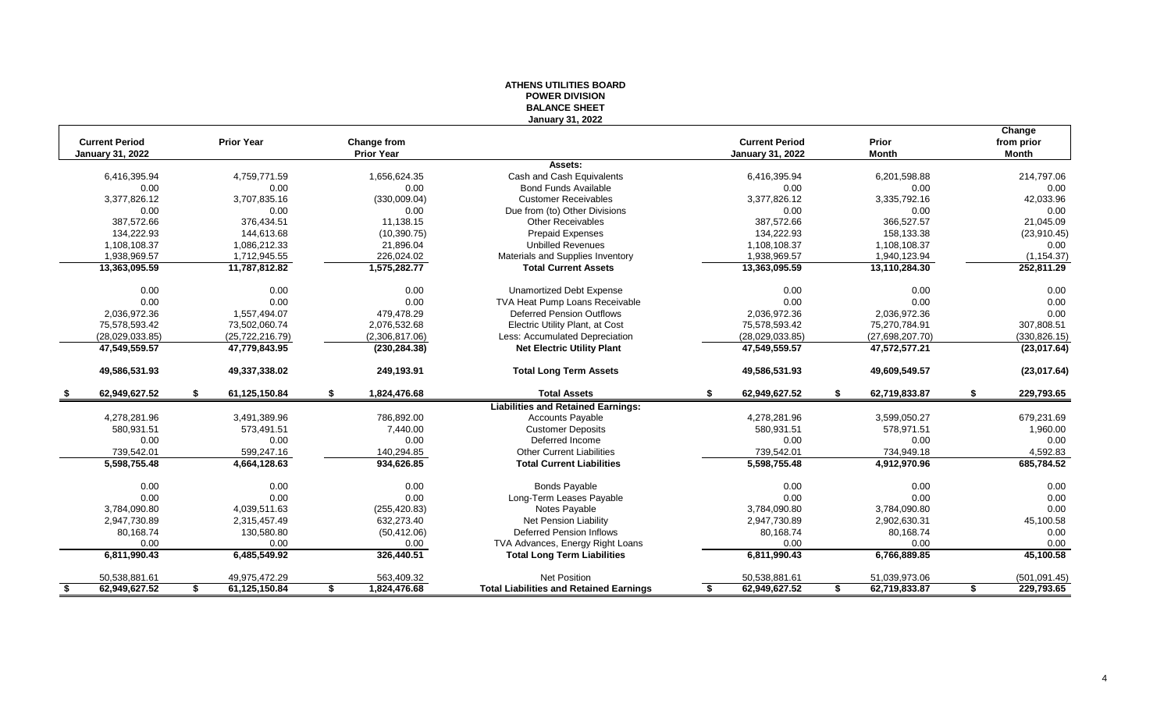## **ATHENS UTILITIES BOARD POWER DIVISION BALANCE SHEET January 31, 2022**

|                         |                     |                    |                                                |                         |                     | Change           |
|-------------------------|---------------------|--------------------|------------------------------------------------|-------------------------|---------------------|------------------|
| <b>Current Period</b>   | <b>Prior Year</b>   | <b>Change from</b> |                                                | <b>Current Period</b>   | Prior               | from prior       |
| <b>January 31, 2022</b> |                     | <b>Prior Year</b>  |                                                | <b>January 31, 2022</b> | <b>Month</b>        | <b>Month</b>     |
|                         |                     |                    | Assets:                                        |                         |                     |                  |
| 6,416,395.94            | 4,759,771.59        | 1,656,624.35       | Cash and Cash Equivalents                      | 6,416,395.94            | 6,201,598.88        | 214,797.06       |
| 0.00                    | 0.00                | 0.00               | <b>Bond Funds Available</b>                    | 0.00                    | 0.00                | 0.00             |
| 3,377,826.12            | 3,707,835.16        | (330,009.04)       | <b>Customer Receivables</b>                    | 3,377,826.12            | 3,335,792.16        | 42,033.96        |
| 0.00                    | 0.00                | 0.00               | Due from (to) Other Divisions                  | 0.00                    | 0.00                | 0.00             |
| 387.572.66              | 376.434.51          | 11.138.15          | <b>Other Receivables</b>                       | 387.572.66              | 366.527.57          | 21,045.09        |
| 134,222.93              | 144,613.68          | (10, 390.75)       | <b>Prepaid Expenses</b>                        | 134,222.93              | 158,133.38          | (23,910.45)      |
| 1,108,108.37            | 1,086,212.33        | 21,896.04          | <b>Unbilled Revenues</b>                       | 1,108,108.37            | 1,108,108.37        | 0.00             |
| 1.938.969.57            | 1,712,945.55        | 226,024.02         | Materials and Supplies Inventory               | 1.938.969.57            | 1,940,123.94        | (1, 154.37)      |
| 13,363,095.59           | 11,787,812.82       | 1,575,282.77       | <b>Total Current Assets</b>                    | 13,363,095.59           | 13,110,284.30       | 252,811.29       |
| 0.00                    | 0.00                | 0.00               | <b>Unamortized Debt Expense</b>                | 0.00                    | 0.00                | 0.00             |
| 0.00                    | 0.00                | 0.00               | TVA Heat Pump Loans Receivable                 | 0.00                    | 0.00                | 0.00             |
| 2,036,972.36            | 1.557.494.07        | 479,478.29         | Deferred Pension Outflows                      | 2,036,972.36            | 2,036,972.36        | 0.00             |
| 75,578,593.42           | 73,502,060.74       | 2,076,532.68       | Electric Utility Plant, at Cost                | 75,578,593.42           | 75,270,784.91       | 307,808.51       |
| (28,029,033.85)         | (25, 722, 216.79)   | (2,306,817.06)     | Less: Accumulated Depreciation                 | (28,029,033.85)         | (27,698,207.70)     | (330, 826.15)    |
| 47,549,559.57           | 47,779,843.95       | (230, 284.38)      | <b>Net Electric Utility Plant</b>              | 47,549,559.57           | 47,572,577.21       | (23,017.64)      |
| 49,586,531.93           | 49,337,338.02       | 249,193.91         | <b>Total Long Term Assets</b>                  | 49,586,531.93           | 49,609,549.57       | (23,017.64)      |
| 62.949.627.52<br>- \$   | \$<br>61.125.150.84 | \$<br>1,824,476.68 | <b>Total Assets</b>                            | \$<br>62,949,627.52     | \$<br>62.719.833.87 | 229,793.65<br>\$ |
|                         |                     |                    | <b>Liabilities and Retained Earnings:</b>      |                         |                     |                  |
| 4,278,281.96            | 3,491,389.96        | 786.892.00         | <b>Accounts Payable</b>                        | 4,278,281.96            | 3,599,050.27        | 679,231.69       |
| 580,931.51              | 573,491.51          | 7.440.00           | <b>Customer Deposits</b>                       | 580,931.51              | 578.971.51          | 1,960.00         |
| 0.00                    | 0.00                | 0.00               | Deferred Income                                | 0.00                    | 0.00                | 0.00             |
| 739,542.01              | 599,247.16          | 140,294.85         | <b>Other Current Liabilities</b>               | 739,542.01              | 734,949.18          | 4,592.83         |
| 5,598,755.48            | 4,664,128.63        | 934,626.85         | <b>Total Current Liabilities</b>               | 5,598,755.48            | 4,912,970.96        | 685,784.52       |
| 0.00                    | 0.00                | 0.00               | <b>Bonds Payable</b>                           | 0.00                    | 0.00                | 0.00             |
| 0.00                    | 0.00                | 0.00               | Long-Term Leases Payable                       | 0.00                    | 0.00                | 0.00             |
| 3,784,090.80            | 4,039,511.63        | (255, 420.83)      | Notes Payable                                  | 3,784,090.80            | 3,784,090.80        | 0.00             |
| 2,947,730.89            | 2,315,457.49        | 632,273.40         | Net Pension Liability                          | 2,947,730.89            | 2,902,630.31        | 45,100.58        |
| 80,168.74               | 130,580.80          | (50, 412.06)       | <b>Deferred Pension Inflows</b>                | 80,168.74               | 80,168.74           | 0.00             |
| 0.00                    | 0.00                | 0.00               | TVA Advances, Energy Right Loans               | 0.00                    | 0.00                | 0.00             |
| 6,811,990.43            | 6,485,549.92        | 326,440.51         | <b>Total Long Term Liabilities</b>             | 6,811,990.43            | 6,766,889.85        | 45,100.58        |
| 50,538,881.61           | 49,975,472.29       | 563,409.32         | <b>Net Position</b>                            | 50,538,881.61           | 51,039,973.06       | (501, 091.45)    |
| \$<br>62,949,627.52     | \$<br>61,125,150.84 | \$<br>1,824,476.68 | <b>Total Liabilities and Retained Earnings</b> | 62,949,627.52<br>\$     | 62,719,833.87<br>\$ | \$<br>229,793.65 |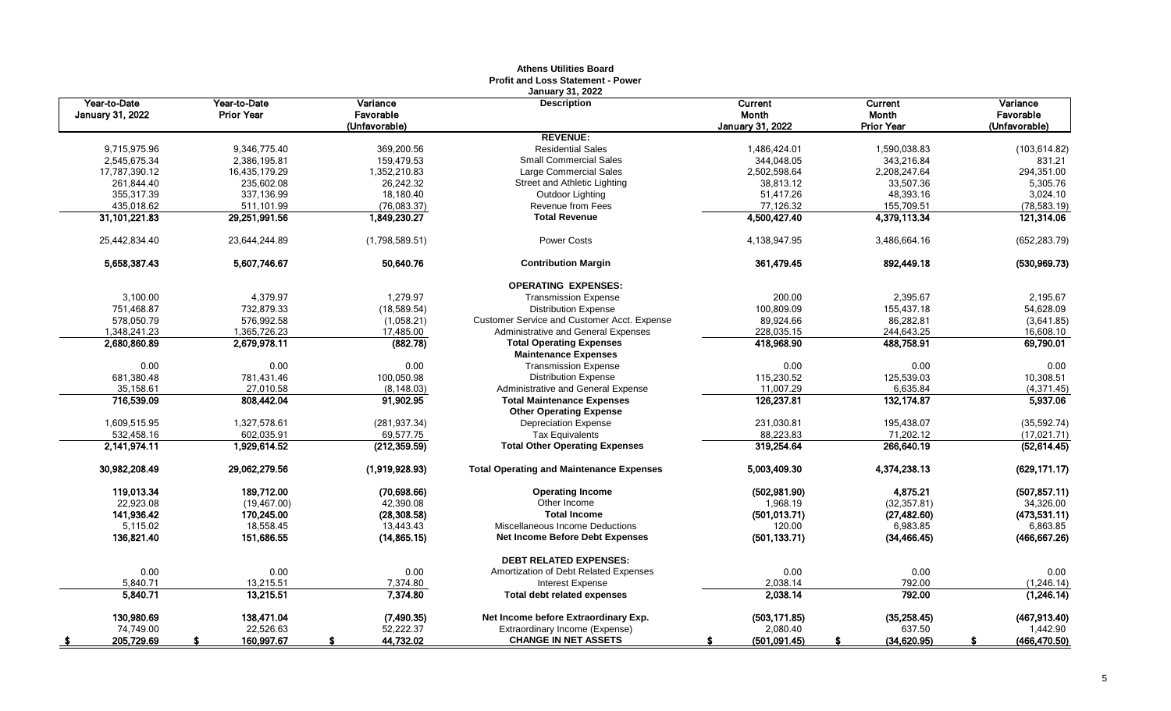|                                         |                                   |                                        | <b>Profit and Loss Statement - Power</b>                            |                                             |                                       |                                        |
|-----------------------------------------|-----------------------------------|----------------------------------------|---------------------------------------------------------------------|---------------------------------------------|---------------------------------------|----------------------------------------|
| Year-to-Date<br><b>January 31, 2022</b> | Year-to-Date<br><b>Prior Year</b> | Variance<br>Favorable<br>(Unfavorable) | <b>January 31, 2022</b><br><b>Description</b>                       | Current<br>Month<br><b>January 31, 2022</b> | Current<br>Month<br><b>Prior Year</b> | Variance<br>Favorable<br>(Unfavorable) |
|                                         |                                   |                                        | <b>REVENUE:</b>                                                     |                                             |                                       |                                        |
| 9,715,975.96                            | 9,346,775.40                      | 369,200.56                             | <b>Residential Sales</b>                                            | 1,486,424.01                                | 1,590,038.83                          | (103, 614.82)                          |
| 2,545,675.34                            | 2,386,195.81                      | 159,479.53                             | <b>Small Commercial Sales</b>                                       | 344,048.05                                  | 343,216.84                            | 831.21                                 |
| 17,787,390.12                           | 16,435,179.29                     | 1,352,210.83                           | Large Commercial Sales                                              | 2,502,598.64                                | 2,208,247.64                          | 294,351.00                             |
| 261,844.40                              | 235,602.08                        | 26,242.32                              | Street and Athletic Lighting                                        | 38,813.12                                   | 33,507.36                             | 5,305.76                               |
| 355,317.39                              | 337,136.99                        | 18,180.40                              | Outdoor Lighting                                                    | 51,417.26                                   | 48,393.16                             | 3,024.10                               |
| 435,018.62                              | 511.101.99                        | (76,083.37)                            | Revenue from Fees                                                   | 77,126.32                                   | 155,709.51                            | (78, 583.19)                           |
| 31,101,221.83                           | 29,251,991.56                     | 1,849,230.27                           | <b>Total Revenue</b>                                                | 4,500,427.40                                | 4,379,113.34                          | 121,314.06                             |
| 25,442,834.40                           | 23,644,244.89                     | (1,798,589.51)                         | <b>Power Costs</b>                                                  | 4,138,947.95                                | 3,486,664.16                          | (652, 283.79)                          |
| 5,658,387.43                            | 5,607,746.67                      | 50,640.76                              | <b>Contribution Margin</b>                                          | 361,479.45                                  | 892,449.18                            | (530, 969.73)                          |
|                                         |                                   |                                        | <b>OPERATING EXPENSES:</b>                                          |                                             |                                       |                                        |
| 3,100.00                                | 4,379.97                          | 1,279.97                               | <b>Transmission Expense</b>                                         | 200.00                                      | 2,395.67                              | 2,195.67                               |
| 751,468.87                              | 732,879.33                        | (18,589.54)                            | <b>Distribution Expense</b>                                         | 100,809.09                                  | 155,437.18                            | 54,628.09                              |
| 578,050.79                              | 576,992.58                        | (1,058.21)                             | <b>Customer Service and Customer Acct. Expense</b>                  | 89,924.66                                   | 86,282.81                             | (3,641.85)                             |
| 1,348,241.23                            | 1,365,726.23                      | 17,485.00                              | Administrative and General Expenses                                 | 228,035.15                                  | 244,643.25                            | 16,608.10                              |
| 2,680,860.89                            | 2,679,978.11                      | (882.78)                               | <b>Total Operating Expenses</b><br><b>Maintenance Expenses</b>      | 418,968.90                                  | 488,758.91                            | 69,790.01                              |
| 0.00                                    | 0.00                              | 0.00                                   | <b>Transmission Expense</b>                                         | 0.00                                        | 0.00                                  | 0.00                                   |
| 681,380.48                              | 781,431.46                        | 100,050.98                             | <b>Distribution Expense</b>                                         | 115,230.52                                  | 125,539.03                            | 10,308.51                              |
| 35,158.61                               | 27.010.58                         | (8, 148.03)                            | Administrative and General Expense                                  | 11,007.29                                   | 6,635.84                              | (4, 371.45)                            |
| 716,539.09                              | 808,442.04                        | 91,902.95                              | <b>Total Maintenance Expenses</b><br><b>Other Operating Expense</b> | 126,237.81                                  | 132, 174.87                           | 5,937.06                               |
| 1,609,515.95                            | 1,327,578.61                      | (281, 937.34)                          | <b>Depreciation Expense</b>                                         | 231,030.81                                  | 195,438.07                            | (35, 592.74)                           |
| 532,458.16                              | 602,035.91                        | 69,577.75                              | <b>Tax Equivalents</b>                                              | 88,223.83                                   | 71,202.12                             | (17, 021.71)                           |
| 2,141,974.11                            | 1,929,614.52                      | (212, 359.59)                          | <b>Total Other Operating Expenses</b>                               | 319,254.64                                  | 266,640.19                            | (52, 614.45)                           |
| 30,982,208.49                           | 29,062,279.56                     | (1,919,928.93)                         | <b>Total Operating and Maintenance Expenses</b>                     | 5,003,409.30                                | 4,374,238.13                          | (629, 171.17)                          |
| 119,013.34                              | 189,712.00                        | (70, 698.66)                           | <b>Operating Income</b>                                             | (502, 981.90)                               | 4,875.21                              | (507, 857.11)                          |
| 22,923.08                               | (19, 467.00)                      | 42,390.08                              | Other Income                                                        | 1,968.19                                    | (32, 357.81)                          | 34,326.00                              |
| 141,936.42                              | 170,245.00                        | (28, 308.58)                           | <b>Total Income</b>                                                 | (501, 013.71)                               | (27, 482.60)                          | (473,531.11)                           |
| 5,115.02                                | 18,558.45                         | 13,443.43                              | Miscellaneous Income Deductions                                     | 120.00                                      | 6,983.85                              | 6,863.85                               |
| 136,821.40                              | 151,686.55                        | (14, 865.15)                           | Net Income Before Debt Expenses                                     | (501, 133.71)                               | (34, 466.45)                          | (466, 667.26)                          |
|                                         |                                   |                                        | <b>DEBT RELATED EXPENSES:</b>                                       |                                             |                                       |                                        |
| 0.00                                    | 0.00                              | 0.00                                   | Amortization of Debt Related Expenses                               | 0.00                                        | 0.00                                  | 0.00                                   |
| 5.840.71<br>5,840.71                    | 13,215.51<br>13,215.51            | 7,374.80<br>7,374.80                   | Interest Expense<br><b>Total debt related expenses</b>              | 2,038.14<br>2,038.14                        | 792.00<br>792.00                      | (1, 246.14)<br>(1,246.14)              |
|                                         | 138,471.04                        |                                        | Net Income before Extraordinary Exp.                                | (503, 171.85)                               |                                       | (467, 913.40)                          |
| 130,980.69<br>74.749.00                 | 22,526.63                         | (7, 490.35)<br>52,222.37               | Extraordinary Income (Expense)                                      | 2,080.40                                    | (35, 258.45)<br>637.50                | 1,442.90                               |
| 205,729.69                              | 160,997.67                        | 44,732.02                              | <b>CHANGE IN NET ASSETS</b>                                         |                                             |                                       |                                        |
| - \$                                    |                                   |                                        |                                                                     | (501, 091.45)                               | (34, 620.95)                          | (466, 470.50)                          |

# **Athens Utilities Board**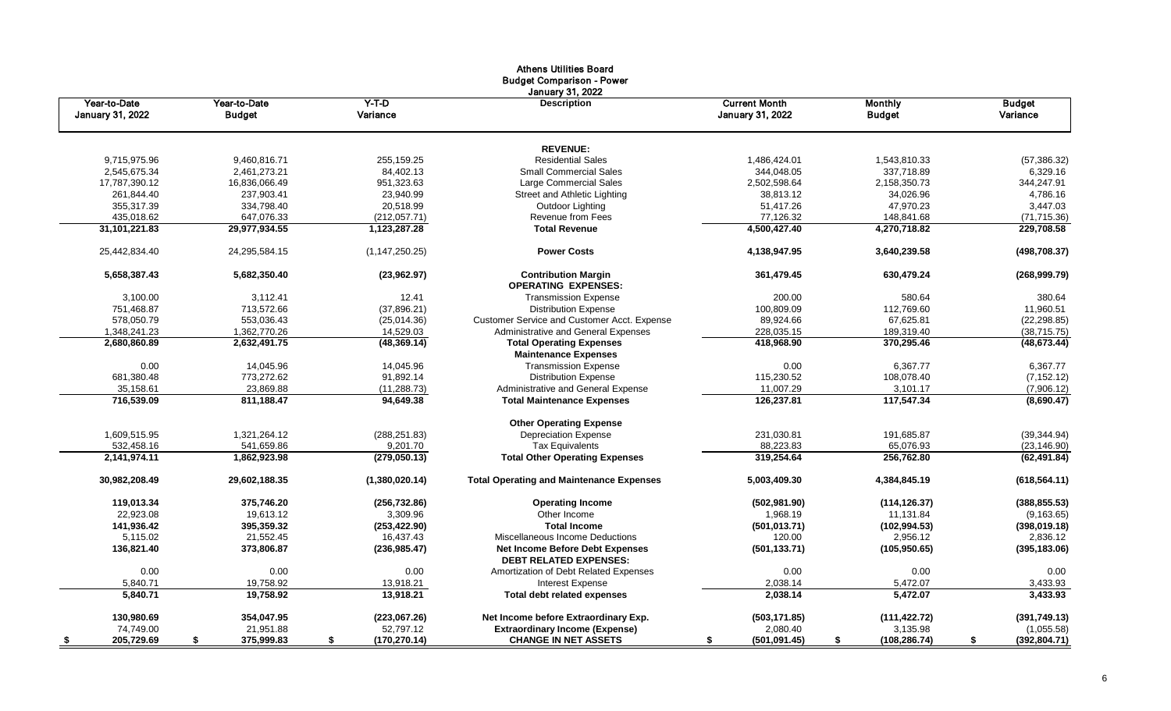|                                  |                               |                     | Athens Utilities Board<br><b>Budget Comparison - Power</b><br>January 31, 2022 |                                                 |                                 |                           |
|----------------------------------|-------------------------------|---------------------|--------------------------------------------------------------------------------|-------------------------------------------------|---------------------------------|---------------------------|
| Year-to-Date<br>January 31, 2022 | Year-to-Date<br><b>Budget</b> | $Y-T-D$<br>Variance | <b>Description</b>                                                             | <b>Current Month</b><br><b>January 31, 2022</b> | <b>Monthly</b><br><b>Budget</b> | <b>Budget</b><br>Variance |
|                                  |                               |                     | <b>REVENUE:</b>                                                                |                                                 |                                 |                           |
| 9,715,975.96                     | 9,460,816.71                  | 255,159.25          | <b>Residential Sales</b>                                                       | 1,486,424.01                                    | 1,543,810.33                    | (57, 386.32)              |
| 2,545,675.34                     | 2,461,273.21                  | 84,402.13           | <b>Small Commercial Sales</b>                                                  | 344,048.05                                      | 337,718.89                      | 6,329.16                  |
| 17,787,390.12                    | 16,836,066.49                 | 951,323.63          | Large Commercial Sales                                                         | 2,502,598.64                                    | 2,158,350.73                    | 344,247.91                |
| 261,844.40                       | 237,903.41                    | 23,940.99           | Street and Athletic Lighting                                                   | 38,813.12                                       | 34,026.96                       | 4,786.16                  |
| 355,317.39                       | 334,798.40                    | 20,518.99           | Outdoor Lighting                                                               | 51,417.26                                       | 47,970.23                       | 3,447.03                  |
| 435,018.62                       | 647,076.33                    | (212,057.71)        | <b>Revenue from Fees</b>                                                       | 77,126.32                                       | 148,841.68                      | (71, 715.36)              |
| 31,101,221.83                    | 29,977,934.55                 | 1,123,287.28        | <b>Total Revenue</b>                                                           | 4,500,427.40                                    | 4,270,718.82                    | 229,708.58                |
| 25,442,834.40                    | 24,295,584.15                 | (1, 147, 250.25)    | <b>Power Costs</b>                                                             | 4,138,947.95                                    | 3,640,239.58                    | (498, 708.37)             |
| 5,658,387.43                     | 5,682,350.40                  | (23,962.97)         | <b>Contribution Margin</b><br><b>OPERATING EXPENSES:</b>                       | 361,479.45                                      | 630,479.24                      | (268, 999.79)             |
| 3,100.00                         | 3,112.41                      | 12.41               | <b>Transmission Expense</b>                                                    | 200.00                                          | 580.64                          | 380.64                    |
| 751,468.87                       | 713,572.66                    | (37, 896.21)        | <b>Distribution Expense</b>                                                    | 100,809.09                                      | 112,769.60                      | 11,960.51                 |
| 578,050.79                       | 553,036.43                    | (25,014.36)         | Customer Service and Customer Acct. Expense                                    | 89,924.66                                       | 67,625.81                       | (22, 298.85)              |
| 1,348,241.23                     | 1.362.770.26                  | 14,529.03           | Administrative and General Expenses                                            | 228,035.15                                      | 189,319.40                      | (38, 715.75)              |
| 2,680,860.89                     | 2,632,491.75                  | (48, 369.14)        | <b>Total Operating Expenses</b><br><b>Maintenance Expenses</b>                 | 418,968.90                                      | 370,295.46                      | (48, 673.44)              |
| 0.00                             | 14,045.96                     | 14,045.96           | <b>Transmission Expense</b>                                                    | 0.00                                            | 6,367.77                        | 6,367.77                  |
| 681,380.48                       | 773,272.62                    | 91,892.14           | <b>Distribution Expense</b>                                                    | 115,230.52                                      | 108,078.40                      | (7, 152.12)               |
| 35,158.61                        | 23,869.88                     | (11, 288.73)        | Administrative and General Expense                                             | 11,007.29                                       | 3,101.17                        | (7,906.12)                |
| 716,539.09                       | 811,188.47                    | 94,649.38           | <b>Total Maintenance Expenses</b>                                              | 126,237.81                                      | 117,547.34                      | (8,690.47)                |
|                                  |                               |                     | <b>Other Operating Expense</b>                                                 |                                                 |                                 |                           |
| 1,609,515.95                     | 1,321,264.12                  | (288, 251.83)       | <b>Depreciation Expense</b>                                                    | 231,030.81                                      | 191,685.87                      | (39, 344.94)              |
| 532,458.16                       | 541,659.86                    | 9,201.70            | <b>Tax Equivalents</b>                                                         | 88,223.83                                       | 65,076.93                       | (23, 146.90)              |
| 2,141,974.11                     | 1,862,923.98                  | (279,050.13)        | <b>Total Other Operating Expenses</b>                                          | 319,254.64                                      | 256,762.80                      | (62, 491.84)              |
| 30,982,208.49                    | 29,602,188.35                 | (1,380,020.14)      | <b>Total Operating and Maintenance Expenses</b>                                | 5,003,409.30                                    | 4,384,845.19                    | (618, 564.11)             |
| 119,013.34                       | 375,746.20                    | (256, 732.86)       | <b>Operating Income</b>                                                        | (502, 981.90)                                   | (114, 126.37)                   | (388, 855.53)             |
| 22,923.08                        | 19,613.12                     | 3,309.96            | Other Income                                                                   | 1,968.19                                        | 11,131.84                       | (9, 163.65)               |
| 141,936.42                       | 395,359.32                    | (253, 422.90)       | <b>Total Income</b>                                                            | (501, 013.71)                                   | (102, 994.53)                   | (398, 019.18)             |
| 5,115.02                         | 21.552.45                     | 16,437.43           | Miscellaneous Income Deductions                                                | 120.00                                          | 2.956.12                        | 2,836.12                  |
| 136,821.40                       | 373,806.87                    | (236, 985.47)       | <b>Net Income Before Debt Expenses</b><br><b>DEBT RELATED EXPENSES:</b>        | (501, 133.71)                                   | (105, 950.65)                   | (395, 183.06)             |
| 0.00                             | 0.00                          | 0.00                | Amortization of Debt Related Expenses                                          | 0.00                                            | 0.00                            | 0.00                      |
| 5.840.71                         | 19,758.92                     | 13,918.21           | <b>Interest Expense</b>                                                        | 2,038.14                                        | 5,472.07                        | 3,433.93                  |
| 5,840.71                         | 19,758.92                     | 13,918.21           | <b>Total debt related expenses</b>                                             | 2,038.14                                        | 5,472.07                        | 3,433.93                  |
| 130,980.69                       | 354,047.95                    | (223,067.26)        | Net Income before Extraordinary Exp.                                           | (503, 171.85)                                   | (111, 422.72)                   | (391, 749.13)             |
| 74,749.00                        | 21,951.88                     | 52,797.12           | <b>Extraordinary Income (Expense)</b>                                          | 2,080.40                                        | 3,135.98                        | (1,055.58)                |
| 205,729.69<br>-\$                | 375,999.83<br>\$              | (170, 270.14)<br>\$ | <b>CHANGE IN NET ASSETS</b>                                                    | (501.091.45)<br>\$                              | (108, 286.74)<br>\$             | (392, 804.71)<br>S.       |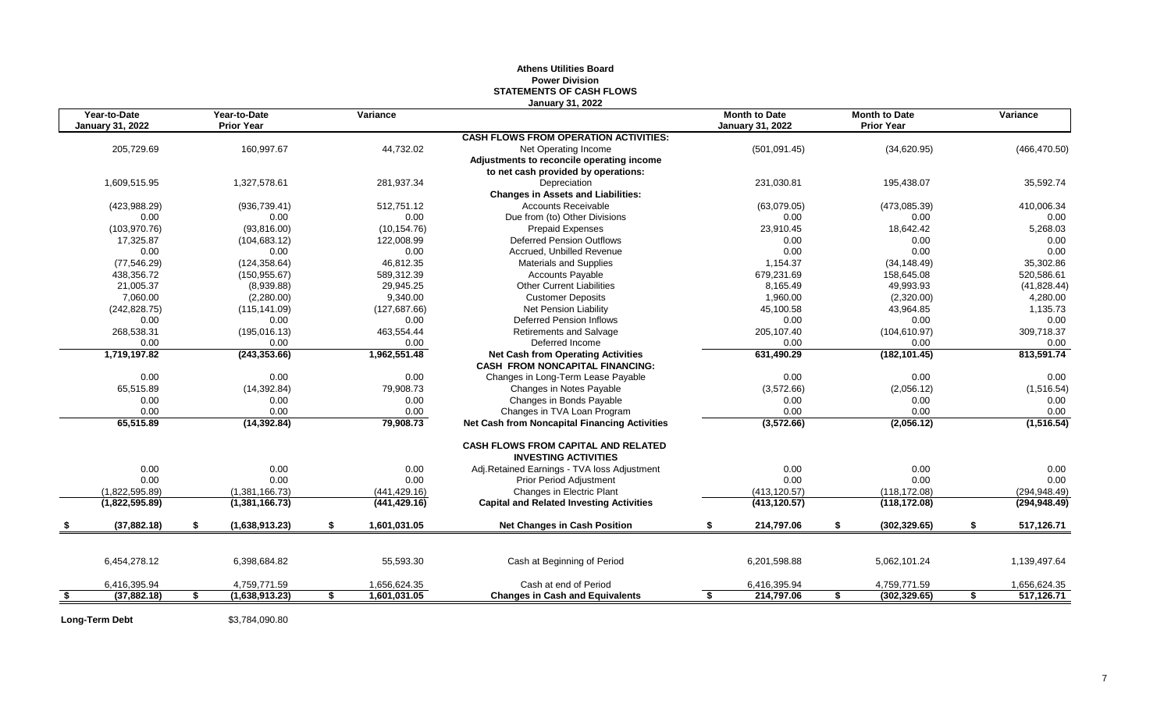#### **Athens Utilities Board Power Division STATEMENTS OF CASH FLOWS January 31, 2022**

|      | 205,729.69<br>1,609,515.95 | 160,997.67           |                    | <b>CASH FLOWS FROM OPERATION ACTIVITIES:</b>                              | <b>January 31, 2022</b> |                     |                  |
|------|----------------------------|----------------------|--------------------|---------------------------------------------------------------------------|-------------------------|---------------------|------------------|
|      |                            |                      |                    |                                                                           |                         |                     |                  |
|      |                            |                      | 44,732.02          | Net Operating Income                                                      | (501, 091.45)           | (34,620.95)         | (466, 470.50)    |
|      |                            |                      |                    | Adjustments to reconcile operating income                                 |                         |                     |                  |
|      |                            |                      |                    | to net cash provided by operations:                                       |                         |                     |                  |
|      |                            | 1,327,578.61         | 281,937.34         | Depreciation                                                              | 231,030.81              | 195,438.07          | 35,592.74        |
|      |                            |                      |                    | <b>Changes in Assets and Liabilities:</b>                                 |                         |                     |                  |
|      | (423, 988.29)              | (936, 739.41)        | 512,751.12         | <b>Accounts Receivable</b>                                                | (63,079.05)             | (473,085.39)        | 410,006.34       |
|      | 0.00                       | 0.00                 | 0.00               | Due from (to) Other Divisions                                             | 0.00                    | 0.00                | 0.00             |
|      | (103, 970.76)              | (93,816.00)          | (10, 154.76)       | <b>Prepaid Expenses</b>                                                   | 23,910.45               | 18,642.42           | 5,268.03         |
|      | 17.325.87                  | (104, 683.12)        | 122,008.99         | Deferred Pension Outflows                                                 | 0.00                    | 0.00                | 0.00             |
|      | 0.00                       | 0.00                 | 0.00               | Accrued, Unbilled Revenue                                                 | 0.00                    | 0.00                | 0.00             |
|      | (77, 546.29)               | (124, 358.64)        | 46,812.35          | Materials and Supplies                                                    | 1,154.37                | (34, 148.49)        | 35,302.86        |
|      | 438,356.72                 | (150, 955.67)        | 589,312.39         | Accounts Payable                                                          | 679,231.69              | 158,645.08          | 520,586.61       |
|      | 21,005.37                  | (8,939.88)           | 29,945.25          | <b>Other Current Liabilities</b>                                          | 8,165.49                | 49,993.93           | (41, 828.44)     |
|      | 7.060.00                   | (2,280.00)           | 9,340.00           | <b>Customer Deposits</b>                                                  | 1,960.00                | (2,320.00)          | 4,280.00         |
|      | (242, 828.75)              | (115, 141.09)        | (127, 687.66)      | Net Pension Liability                                                     | 45,100.58               | 43,964.85           | 1,135.73         |
|      | 0.00                       | 0.00                 | 0.00               | Deferred Pension Inflows                                                  | 0.00                    | 0.00                | 0.00             |
|      | 268,538.31                 | (195, 016.13)        | 463,554.44         | Retirements and Salvage                                                   | 205,107.40              | (104, 610.97)       | 309,718.37       |
|      | 0.00                       | 0.00                 | 0.00               | Deferred Income                                                           | 0.00                    | 0.00                | 0.00             |
|      | 1,719,197.82               | (243, 353.66)        | 1,962,551.48       | <b>Net Cash from Operating Activities</b>                                 | 631,490.29              | (182, 101.45)       | 813,591.74       |
|      |                            |                      |                    | <b>CASH FROM NONCAPITAL FINANCING:</b>                                    |                         |                     |                  |
|      | 0.00                       | 0.00                 | 0.00               | Changes in Long-Term Lease Payable                                        | 0.00                    | 0.00                | 0.00             |
|      | 65,515.89                  | (14, 392.84)         | 79,908.73          | Changes in Notes Payable                                                  | (3,572.66)              | (2,056.12)          | (1,516.54)       |
|      | 0.00                       | 0.00                 | 0.00               | Changes in Bonds Payable                                                  | 0.00                    | 0.00                | 0.00             |
|      | 0.00                       | 0.00                 | 0.00               | Changes in TVA Loan Program                                               | 0.00                    | 0.00                | 0.00             |
|      | 65,515.89                  | (14, 392.84)         | 79,908.73          | Net Cash from Noncapital Financing Activities                             | (3,572.66)              | (2,056.12)          | (1, 516.54)      |
|      |                            |                      |                    | <b>CASH FLOWS FROM CAPITAL AND RELATED</b><br><b>INVESTING ACTIVITIES</b> |                         |                     |                  |
|      | 0.00                       | 0.00                 | 0.00               | Adj.Retained Earnings - TVA loss Adjustment                               | 0.00                    | 0.00                | 0.00             |
|      | 0.00                       | 0.00                 | 0.00               | <b>Prior Period Adjustment</b>                                            | 0.00                    | 0.00                | 0.00             |
|      | (1.822.595.89)             | (1,381,166.73)       | (441, 429.16)      | Changes in Electric Plant                                                 | (413, 120.57)           | (118, 172.08)       | (294, 948.49)    |
|      | (1,822,595.89)             | (1,381,166.73)       | (441, 429.16)      | <b>Capital and Related Investing Activities</b>                           | (413, 120.57)           | (118, 172.08)       | (294, 948.49)    |
|      | (37,882.18)                | \$<br>(1,638,913.23) | \$<br>1,601,031.05 | <b>Net Changes in Cash Position</b>                                       | \$<br>214,797.06        | \$<br>(302, 329.65) | \$<br>517,126.71 |
|      |                            |                      |                    |                                                                           |                         |                     |                  |
|      | 6,454,278.12               | 6,398,684.82         | 55,593.30          | Cash at Beginning of Period                                               | 6,201,598.88            | 5,062,101.24        | 1,139,497.64     |
|      | 6,416,395.94               | 4,759,771.59         | 1,656,624.35       | Cash at end of Period                                                     | 6,416,395.94            | 4,759,771.59        | 1,656,624.35     |
| - \$ | (37, 882.18)               | \$<br>(1,638,913.23) | \$<br>1.601.031.05 | <b>Changes in Cash and Equivalents</b>                                    | 214,797.06              | \$<br>(302, 329.65) | \$<br>517.126.71 |

**Long-Term Debt** \$3,784,090.80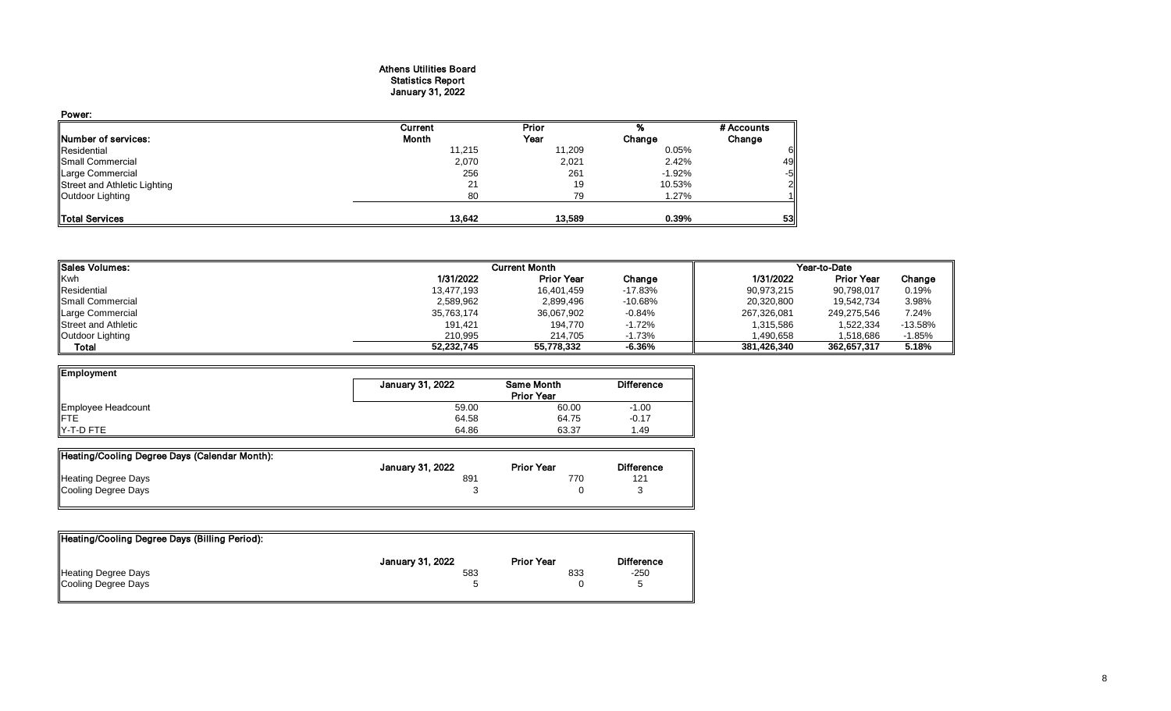#### Athens Utilities Board Statistics Report January 31, 2022

| Power:                       |         |        |          |            |
|------------------------------|---------|--------|----------|------------|
|                              | Current | Prior  |          | # Accounts |
| <b>INumber of services:</b>  | Month   | Year   | Change   | Change     |
| Residential                  | 11,215  | 11,209 | 0.05%    |            |
| Small Commercial             | 2,070   | 2,021  | 2.42%    | 49         |
| Large Commercial             | 256     | 261    | $-1.92%$ | $-5$       |
| Street and Athletic Lighting | 21      | 19     | 10.53%   | 21         |
| Outdoor Lighting             | 80      | 79     | 1.27%    |            |
|                              |         |        |          |            |
| Total Services               | 13,642  | 13,589 | 0.39%    | 53         |

| Sales Volumes:          | <b>Current Month</b> |                   | Year-to-Date |             |                   |           |
|-------------------------|----------------------|-------------------|--------------|-------------|-------------------|-----------|
| <b>Kwh</b>              | 1/31/2022            | <b>Prior Year</b> | Change       | 1/31/2022   | <b>Prior Year</b> | Change    |
| Residential             | 13,477,193           | 16,401,459        | $-17.83%$    | 90,973,215  | 90,798,017        | 0.19%     |
| <b>Small Commercial</b> | 2,589,962            | 2,899,496         | $-10.68%$    | 20,320,800  | 19.542.734        | 3.98%     |
| Large Commercial        | 35,763,174           | 36,067,902        | $-0.84%$     | 267,326,081 | 249,275,546       | 7.24%     |
| Street and Athletic     | 191,421              | 194.770           | $-1.72%$     | 1,315,586   | 1,522,334         | $-13.58%$ |
| Outdoor Lighting        | 210.995              | 214.705           | $-1.73%$     | 1,490,658   | 1.518.686         | $-1.85%$  |
| Total                   | 52,232,745           | 55,778,332        | $-6.36%$     | 381.426.340 | 362,657,317       | 5.18%     |

| <b>Employment</b>  |                  |                                        |                   |
|--------------------|------------------|----------------------------------------|-------------------|
|                    | January 31, 2022 | <b>Same Month</b><br><b>Prior Year</b> | <b>Difference</b> |
|                    |                  |                                        |                   |
| Employee Headcount | 59.00            | 60.00                                  | $-1.00$           |
| <b>IFTE</b>        | 64.58            | 64.75                                  | $-0.17$           |
| IY-T-D FTE         | 64.86            | 63.37                                  | 1.49              |

| Heating/Cooling Degree Days (Calendar Month): |                  |                   |                   |
|-----------------------------------------------|------------------|-------------------|-------------------|
|                                               | January 31, 2022 | <b>Prior Year</b> | <b>Difference</b> |
| Heating Degree Days                           | 891              | 770               | 121               |
| Cooling Degree Days                           |                  |                   |                   |
|                                               |                  |                   |                   |

| Heating/Cooling Degree Days (Billing Period): |                         |                   |                   |
|-----------------------------------------------|-------------------------|-------------------|-------------------|
|                                               | <b>January 31, 2022</b> | <b>Prior Year</b> | <b>Difference</b> |
| Heating Degree Days                           | 583                     | 833               | $-250$            |
| Cooling Degree Days                           |                         |                   |                   |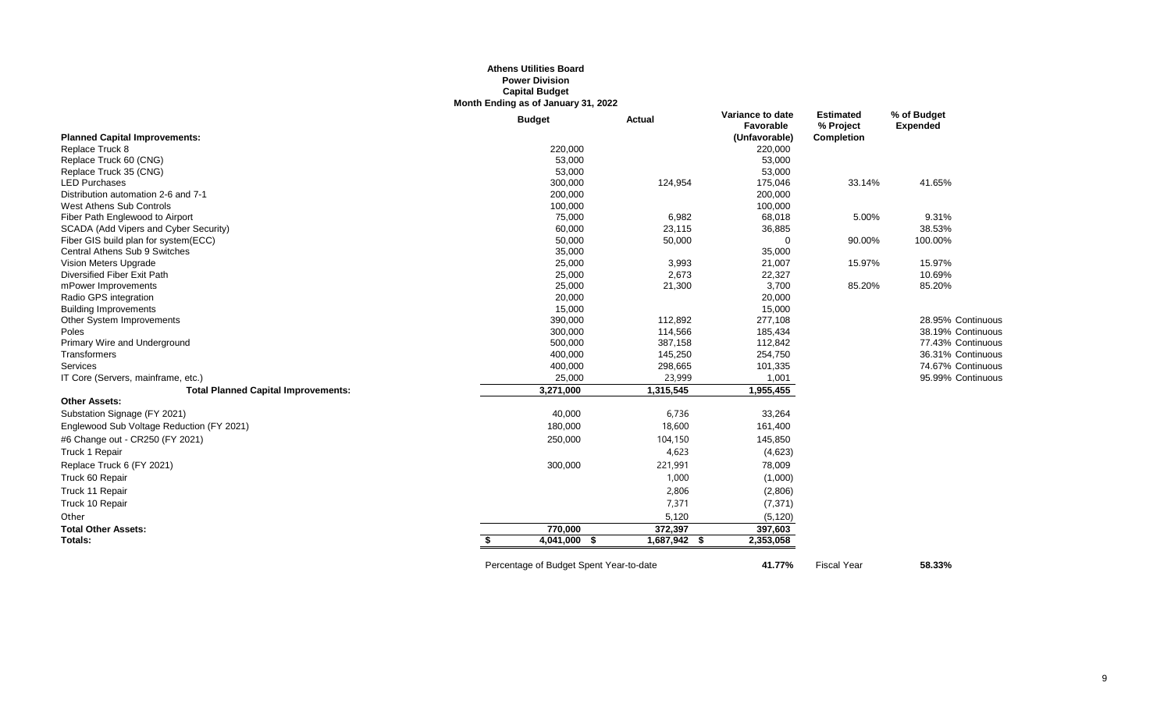## **Athens Utilities Board Power Division Capital Budget Month Ending as of January 31, 2022**

|                                            | <b>Budget</b> | <b>Actual</b> | Variance to date<br>Favorable | <b>Estimated</b><br>% Project | % of Budget<br><b>Expended</b> |
|--------------------------------------------|---------------|---------------|-------------------------------|-------------------------------|--------------------------------|
| <b>Planned Capital Improvements:</b>       |               |               | (Unfavorable)                 | Completion                    |                                |
| Replace Truck 8                            | 220,000       |               | 220,000                       |                               |                                |
| Replace Truck 60 (CNG)                     | 53,000        |               | 53,000                        |                               |                                |
| Replace Truck 35 (CNG)                     | 53,000        |               | 53,000                        |                               |                                |
| <b>LED Purchases</b>                       | 300,000       | 124,954       | 175,046                       | 33.14%                        | 41.65%                         |
| Distribution automation 2-6 and 7-1        | 200,000       |               | 200,000                       |                               |                                |
| West Athens Sub Controls                   | 100,000       |               | 100,000                       |                               |                                |
| Fiber Path Englewood to Airport            | 75,000        | 6,982         | 68,018                        | 5.00%                         | 9.31%                          |
| SCADA (Add Vipers and Cyber Security)      | 60,000        | 23,115        | 36,885                        |                               | 38.53%                         |
| Fiber GIS build plan for system(ECC)       | 50,000        | 50,000        | $\Omega$                      | 90.00%                        | 100.00%                        |
| Central Athens Sub 9 Switches              | 35,000        |               | 35,000                        |                               |                                |
| Vision Meters Upgrade                      | 25,000        | 3,993         | 21,007                        | 15.97%                        | 15.97%                         |
| Diversified Fiber Exit Path                | 25,000        | 2,673         | 22,327                        |                               | 10.69%                         |
| mPower Improvements                        | 25,000        | 21,300        | 3,700                         | 85.20%                        | 85.20%                         |
| Radio GPS integration                      | 20,000        |               | 20,000                        |                               |                                |
| <b>Building Improvements</b>               | 15,000        |               | 15,000                        |                               |                                |
| Other System Improvements                  | 390,000       | 112,892       | 277,108                       |                               | 28.95% Continuous              |
| Poles                                      | 300,000       | 114,566       | 185,434                       |                               | 38.19% Continuous              |
| Primary Wire and Underground               | 500,000       | 387,158       | 112,842                       |                               | 77.43% Continuous              |
| Transformers                               | 400,000       | 145,250       | 254,750                       |                               | 36.31% Continuous              |
| Services                                   | 400,000       | 298,665       | 101,335                       |                               | 74.67% Continuous              |
| IT Core (Servers, mainframe, etc.)         | 25,000        | 23,999        | 1,001                         |                               | 95.99% Continuous              |
| <b>Total Planned Capital Improvements:</b> | 3,271,000     | 1,315,545     | 1,955,455                     |                               |                                |
| <b>Other Assets:</b>                       |               |               |                               |                               |                                |
| Substation Signage (FY 2021)               | 40,000        | 6,736         | 33,264                        |                               |                                |
| Englewood Sub Voltage Reduction (FY 2021)  | 180,000       | 18,600        | 161,400                       |                               |                                |
| #6 Change out - CR250 (FY 2021)            | 250,000       | 104,150       | 145,850                       |                               |                                |
| Truck 1 Repair                             |               | 4,623         | (4,623)                       |                               |                                |
| Replace Truck 6 (FY 2021)                  | 300,000       | 221,991       | 78,009                        |                               |                                |
| Truck 60 Repair                            |               | 1,000         | (1,000)                       |                               |                                |
| Truck 11 Repair                            |               | 2,806         | (2,806)                       |                               |                                |
| Truck 10 Repair                            |               | 7,371         | (7, 371)                      |                               |                                |
| Other                                      |               | 5,120         | (5, 120)                      |                               |                                |
| <b>Total Other Assets:</b>                 | 770,000       | 372,397       | 397,603                       |                               |                                |
| Totals:                                    | 4,041,000 \$  | 1,687,942 \$  | 2,353,058                     |                               |                                |
|                                            |               |               |                               |                               |                                |

Percentage of Budget Spent Year-to-date **41.77%** Fiscal Year **58.33%**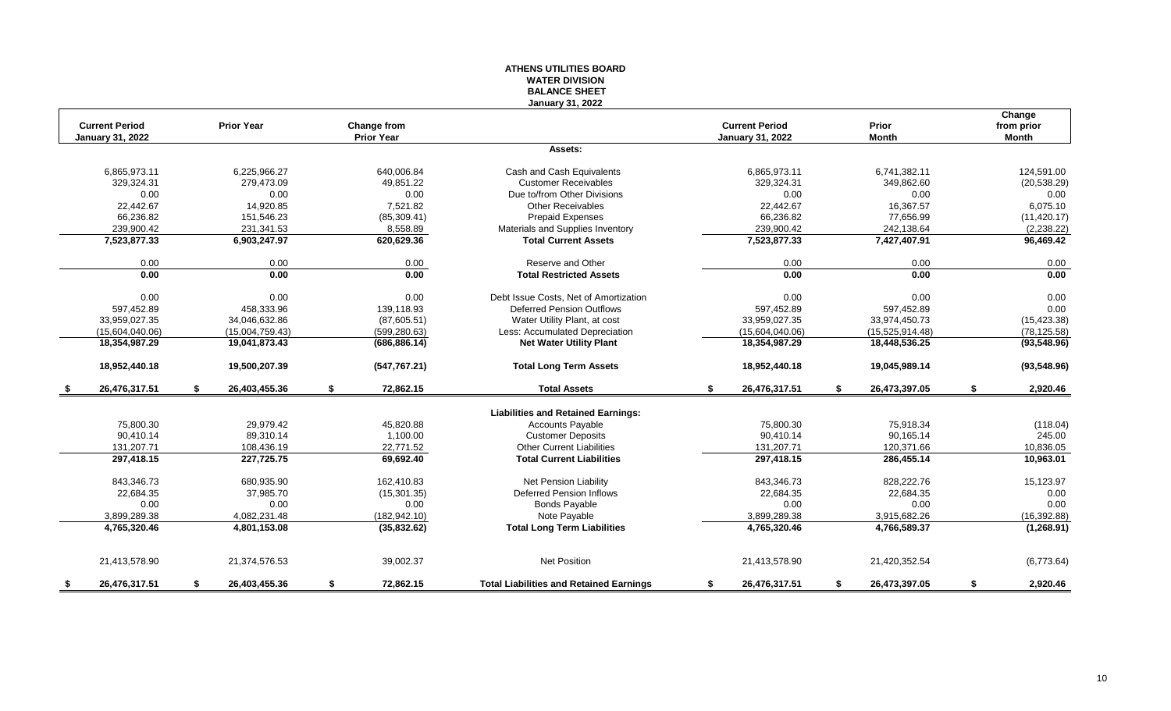#### **ATHENS UTILITIES BOARD WATER DIVISION BALANCE SHEET January 31, 2022**

|                                                  |                   |                 |                                  | January Jr., ZUZZ                              |                                                  |                     |                               |
|--------------------------------------------------|-------------------|-----------------|----------------------------------|------------------------------------------------|--------------------------------------------------|---------------------|-------------------------------|
| <b>Current Period</b><br><b>January 31, 2022</b> | <b>Prior Year</b> |                 | Change from<br><b>Prior Year</b> |                                                | <b>Current Period</b><br><b>January 31, 2022</b> | Prior<br>Month      | Change<br>from prior<br>Month |
|                                                  |                   |                 |                                  | Assets:                                        |                                                  |                     |                               |
| 6,865,973.11                                     |                   | 6,225,966.27    | 640.006.84                       | Cash and Cash Equivalents                      | 6,865,973.11                                     | 6,741,382.11        | 124,591.00                    |
| 329,324.31                                       |                   | 279,473.09      | 49,851.22                        | <b>Customer Receivables</b>                    | 329,324.31                                       | 349,862.60          | (20, 538.29)                  |
| 0.00                                             |                   | 0.00            | 0.00                             | Due to/from Other Divisions                    | 0.00                                             | 0.00                | 0.00                          |
| 22,442.67                                        |                   | 14,920.85       | 7,521.82                         | <b>Other Receivables</b>                       | 22,442.67                                        | 16,367.57           | 6,075.10                      |
| 66.236.82                                        |                   | 151.546.23      | (85, 309.41)                     | <b>Prepaid Expenses</b>                        | 66,236.82                                        | 77.656.99           | (11, 420.17)                  |
| 239,900.42                                       |                   | 231,341.53      | 8,558.89                         | Materials and Supplies Inventory               | 239,900.42                                       | 242,138.64          | (2, 238.22)                   |
| 7,523,877.33                                     |                   | 6,903,247.97    | 620,629.36                       | <b>Total Current Assets</b>                    | 7,523,877.33                                     | 7,427,407.91        | 96,469.42                     |
| 0.00                                             |                   | 0.00            | 0.00                             | Reserve and Other                              | 0.00                                             | 0.00                | 0.00                          |
| 0.00                                             |                   | 0.00            | 0.00                             | <b>Total Restricted Assets</b>                 | 0.00                                             | 0.00                | 0.00                          |
| 0.00                                             |                   | 0.00            | 0.00                             | Debt Issue Costs, Net of Amortization          | 0.00                                             | 0.00                | 0.00                          |
| 597,452.89                                       |                   | 458.333.96      | 139,118.93                       | <b>Deferred Pension Outflows</b>               | 597,452.89                                       | 597,452.89          | 0.00                          |
| 33,959,027.35                                    |                   | 34,046,632.86   | (87,605.51)                      | Water Utility Plant, at cost                   | 33,959,027.35                                    | 33,974,450.73       | (15, 423.38)                  |
| (15,604,040.06)                                  |                   | (15,004,759.43) | (599, 280.63)                    | Less: Accumulated Depreciation                 | (15,604,040.06)                                  | (15,525,914.48)     | (78, 125.58)                  |
| 18,354,987.29                                    |                   | 19,041,873.43   | (686, 886.14)                    | <b>Net Water Utility Plant</b>                 | 18,354,987.29                                    | 18,448,536.25       | (93, 548.96)                  |
| 18,952,440.18                                    |                   | 19,500,207.39   | (547, 767.21)                    | <b>Total Long Term Assets</b>                  | 18,952,440.18                                    | 19,045,989.14       | (93, 548.96)                  |
| 26,476,317.51                                    | \$                | 26,403,455.36   | \$<br>72,862.15                  | <b>Total Assets</b>                            | \$<br>26,476,317.51                              | \$<br>26,473,397.05 | \$<br>2,920.46                |
|                                                  |                   |                 |                                  | <b>Liabilities and Retained Earnings:</b>      |                                                  |                     |                               |
| 75,800.30                                        |                   | 29,979.42       | 45,820.88                        | <b>Accounts Payable</b>                        | 75,800.30                                        | 75,918.34           | (118.04)                      |
| 90,410.14                                        |                   | 89,310.14       | 1,100.00                         | <b>Customer Deposits</b>                       | 90,410.14                                        | 90,165.14           | 245.00                        |
| 131,207.71                                       |                   | 108,436.19      | 22,771.52                        | <b>Other Current Liabilities</b>               | 131,207.71                                       | 120,371.66          | 10,836.05                     |
| 297,418.15                                       |                   | 227,725.75      | 69,692.40                        | <b>Total Current Liabilities</b>               | 297,418.15                                       | 286,455.14          | 10,963.01                     |
| 843,346.73                                       |                   | 680,935.90      | 162,410.83                       | Net Pension Liability                          | 843,346.73                                       | 828,222.76          | 15,123.97                     |
| 22,684.35                                        |                   | 37,985.70       | (15, 301.35)                     | <b>Deferred Pension Inflows</b>                | 22,684.35                                        | 22,684.35           | 0.00                          |
| 0.00                                             |                   | 0.00            | 0.00                             | <b>Bonds Payable</b>                           | 0.00                                             | 0.00                | 0.00                          |
| 3,899,289.38                                     |                   | 4,082,231.48    | (182, 942, 10)                   | Note Payable                                   | 3,899,289.38                                     | 3,915,682.26        | (16, 392.88)                  |
| 4,765,320.46                                     |                   | 4,801,153.08    | (35,832.62)                      | <b>Total Long Term Liabilities</b>             | 4,765,320.46                                     | 4,766,589.37        | (1,268.91)                    |
| 21,413,578.90                                    |                   | 21,374,576.53   | 39,002.37                        | <b>Net Position</b>                            | 21,413,578.90                                    | 21,420,352.54       | (6,773.64)                    |
| \$<br>26,476,317.51                              | \$                | 26,403,455.36   | \$<br>72.862.15                  | <b>Total Liabilities and Retained Earnings</b> | \$<br>26,476,317.51                              | \$<br>26,473,397.05 | \$<br>2,920.46                |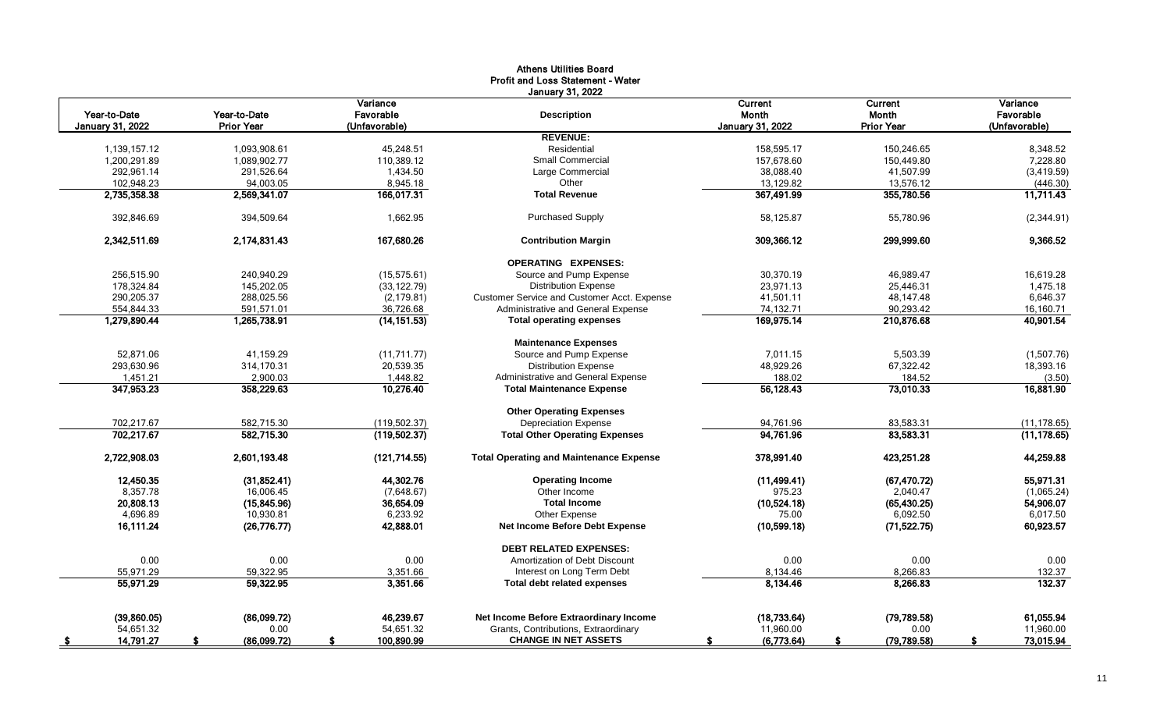| <b>January 31, 2022</b><br>Variance<br>Current<br>Current<br>Variance<br>Year-to-Date<br>Year-to-Date<br>Favorable<br>Month<br>Month<br>Favorable<br><b>Description</b><br><b>Prior Year</b><br><b>January 31, 2022</b><br><b>Prior Year</b><br>(Unfavorable)<br><b>January 31, 2022</b><br>(Unfavorable)<br><b>REVENUE:</b><br>45,248.51<br>Residential<br>158,595.17<br>1,139,157.12<br>1,093,908.61<br>150,246.65<br>8,348.52<br>1,200,291.89<br>1,089,902.77<br>110,389.12<br><b>Small Commercial</b><br>157,678.60<br>150,449.80<br>7,228.80<br>292,961.14<br>291,526.64<br>1,434.50<br>Large Commercial<br>38,088.40<br>41,507.99<br>(3,419.59)<br>Other<br>102,948.23<br>94,003.05<br>8,945.18<br>13,129.82<br>13,576.12<br>(446.30)<br>2,735,358.38<br>166,017.31<br>367,491.99<br>2,569,341.07<br><b>Total Revenue</b><br>355,780.56<br><b>Purchased Supply</b><br>392,846.69<br>394,509.64<br>1,662.95<br>58,125.87<br>55,780.96<br>2,342,511.69<br>2,174,831.43<br>167,680.26<br>309,366.12<br><b>Contribution Margin</b><br>299,999.60<br><b>OPERATING EXPENSES:</b><br>256.515.90<br>Source and Pump Expense<br>30.370.19<br>240.940.29<br>(15.575.61)<br>46.989.47<br><b>Distribution Expense</b><br>178,324.84<br>145,202.05<br>(33, 122.79)<br>23,971.13<br>25,446.31<br>290,205.37<br>288,025.56<br>(2, 179.81)<br>Customer Service and Customer Acct. Expense<br>41,501.11<br>48,147.48<br>Administrative and General Expense<br>74,132.71<br>554,844.33<br>591,571.01<br>36,726.68<br>90,293.42<br>169,975.14<br>1,279,890.44<br>1,265,738.91<br>(14, 151.53)<br><b>Total operating expenses</b><br>210,876.68<br><b>Maintenance Expenses</b><br>52,871.06<br>41,159.29<br>Source and Pump Expense<br>7,011.15<br>5,503.39<br>(11, 711.77)<br>293,630.96<br>20,539.35<br><b>Distribution Expense</b><br>48,929.26<br>67,322.42<br>314,170.31<br>1,451.21<br>2,900.03<br>Administrative and General Expense<br>188.02<br>184.52<br>1,448.82<br>347,953.23<br>358,229.63<br>10,276.40<br>56,128.43<br>73,010.33<br><b>Total Maintenance Expense</b><br><b>Other Operating Expenses</b><br>702,217.67<br>582,715.30<br>94,761.96<br>83,583.31<br>(119, 502.37)<br><b>Depreciation Expense</b><br>702,217.67<br>94,761.96<br>83,583.31<br>582,715.30<br>(119,502.37)<br><b>Total Other Operating Expenses</b><br><b>Total Operating and Maintenance Expense</b><br>2,722,908.03<br>2,601,193.48<br>(121, 714.55)<br>378,991.40<br>423,251.28<br>12,450.35<br>44,302.76<br>(31, 852.41)<br><b>Operating Income</b><br>(11, 499.41)<br>(67, 470.72)<br>8,357.78<br>16,006.45<br>Other Income<br>975.23<br>2,040.47<br>(7,648.67)<br>20,808.13<br>36,654.09<br>(15, 845.96)<br><b>Total Income</b><br>(10,524.18)<br>(65, 430.25)<br>6,233.92<br>Other Expense<br>6,092.50<br>4,696.89<br>10,930.81<br>75.00<br>16,111.24<br>42,888.01<br>Net Income Before Debt Expense<br>(26, 776.77)<br>(10,599.18)<br>(71, 522.75)<br><b>DEBT RELATED EXPENSES:</b><br>0.00<br>Amortization of Debt Discount<br>0.00<br>0.00<br>0.00<br>0.00<br>59,322.95<br>8,266.83<br>55,971.29<br>3,351.66<br>Interest on Long Term Debt<br>8,134.46<br>55,971.29<br>3,351.66<br>8,134.46<br>8,266.83<br>59,322.95<br><b>Total debt related expenses</b><br>46,239.67<br>Net Income Before Extraordinary Income<br>(18,733.64)<br>(79, 789.58)<br>61,055.94<br>(39,860.05)<br>(86,099.72)<br>54,651.32<br>54,651.32<br>Grants, Contributions, Extraordinary<br>11,960.00<br>11,960.00<br>0.00<br>0.00 |                   |             |            | Athens Othnues Doard<br><b>Profit and Loss Statement - Water</b> |                 |              |              |
|--------------------------------------------------------------------------------------------------------------------------------------------------------------------------------------------------------------------------------------------------------------------------------------------------------------------------------------------------------------------------------------------------------------------------------------------------------------------------------------------------------------------------------------------------------------------------------------------------------------------------------------------------------------------------------------------------------------------------------------------------------------------------------------------------------------------------------------------------------------------------------------------------------------------------------------------------------------------------------------------------------------------------------------------------------------------------------------------------------------------------------------------------------------------------------------------------------------------------------------------------------------------------------------------------------------------------------------------------------------------------------------------------------------------------------------------------------------------------------------------------------------------------------------------------------------------------------------------------------------------------------------------------------------------------------------------------------------------------------------------------------------------------------------------------------------------------------------------------------------------------------------------------------------------------------------------------------------------------------------------------------------------------------------------------------------------------------------------------------------------------------------------------------------------------------------------------------------------------------------------------------------------------------------------------------------------------------------------------------------------------------------------------------------------------------------------------------------------------------------------------------------------------------------------------------------------------------------------------------------------------------------------------------------------------------------------------------------------------------------------------------------------------------------------------------------------------------------------------------------------------------------------------------------------------------------------------------------------------------------------------------------------------------------------------------------------------------------------------------------------------------------------------------------------------------------------------------------------------------------------------------------------------------------------------------------------------------------------------------------------------------------------------------------------------------------------------------------------------------------------|-------------------|-------------|------------|------------------------------------------------------------------|-----------------|--------------|--------------|
|                                                                                                                                                                                                                                                                                                                                                                                                                                                                                                                                                                                                                                                                                                                                                                                                                                                                                                                                                                                                                                                                                                                                                                                                                                                                                                                                                                                                                                                                                                                                                                                                                                                                                                                                                                                                                                                                                                                                                                                                                                                                                                                                                                                                                                                                                                                                                                                                                                                                                                                                                                                                                                                                                                                                                                                                                                                                                                                                                                                                                                                                                                                                                                                                                                                                                                                                                                                                                                                                                            |                   |             |            |                                                                  |                 |              |              |
|                                                                                                                                                                                                                                                                                                                                                                                                                                                                                                                                                                                                                                                                                                                                                                                                                                                                                                                                                                                                                                                                                                                                                                                                                                                                                                                                                                                                                                                                                                                                                                                                                                                                                                                                                                                                                                                                                                                                                                                                                                                                                                                                                                                                                                                                                                                                                                                                                                                                                                                                                                                                                                                                                                                                                                                                                                                                                                                                                                                                                                                                                                                                                                                                                                                                                                                                                                                                                                                                                            |                   |             |            |                                                                  |                 |              |              |
|                                                                                                                                                                                                                                                                                                                                                                                                                                                                                                                                                                                                                                                                                                                                                                                                                                                                                                                                                                                                                                                                                                                                                                                                                                                                                                                                                                                                                                                                                                                                                                                                                                                                                                                                                                                                                                                                                                                                                                                                                                                                                                                                                                                                                                                                                                                                                                                                                                                                                                                                                                                                                                                                                                                                                                                                                                                                                                                                                                                                                                                                                                                                                                                                                                                                                                                                                                                                                                                                                            |                   |             |            |                                                                  |                 |              |              |
|                                                                                                                                                                                                                                                                                                                                                                                                                                                                                                                                                                                                                                                                                                                                                                                                                                                                                                                                                                                                                                                                                                                                                                                                                                                                                                                                                                                                                                                                                                                                                                                                                                                                                                                                                                                                                                                                                                                                                                                                                                                                                                                                                                                                                                                                                                                                                                                                                                                                                                                                                                                                                                                                                                                                                                                                                                                                                                                                                                                                                                                                                                                                                                                                                                                                                                                                                                                                                                                                                            |                   |             |            |                                                                  |                 |              |              |
|                                                                                                                                                                                                                                                                                                                                                                                                                                                                                                                                                                                                                                                                                                                                                                                                                                                                                                                                                                                                                                                                                                                                                                                                                                                                                                                                                                                                                                                                                                                                                                                                                                                                                                                                                                                                                                                                                                                                                                                                                                                                                                                                                                                                                                                                                                                                                                                                                                                                                                                                                                                                                                                                                                                                                                                                                                                                                                                                                                                                                                                                                                                                                                                                                                                                                                                                                                                                                                                                                            |                   |             |            |                                                                  |                 |              |              |
|                                                                                                                                                                                                                                                                                                                                                                                                                                                                                                                                                                                                                                                                                                                                                                                                                                                                                                                                                                                                                                                                                                                                                                                                                                                                                                                                                                                                                                                                                                                                                                                                                                                                                                                                                                                                                                                                                                                                                                                                                                                                                                                                                                                                                                                                                                                                                                                                                                                                                                                                                                                                                                                                                                                                                                                                                                                                                                                                                                                                                                                                                                                                                                                                                                                                                                                                                                                                                                                                                            |                   |             |            |                                                                  |                 |              |              |
|                                                                                                                                                                                                                                                                                                                                                                                                                                                                                                                                                                                                                                                                                                                                                                                                                                                                                                                                                                                                                                                                                                                                                                                                                                                                                                                                                                                                                                                                                                                                                                                                                                                                                                                                                                                                                                                                                                                                                                                                                                                                                                                                                                                                                                                                                                                                                                                                                                                                                                                                                                                                                                                                                                                                                                                                                                                                                                                                                                                                                                                                                                                                                                                                                                                                                                                                                                                                                                                                                            |                   |             |            |                                                                  |                 |              | 11,711.43    |
|                                                                                                                                                                                                                                                                                                                                                                                                                                                                                                                                                                                                                                                                                                                                                                                                                                                                                                                                                                                                                                                                                                                                                                                                                                                                                                                                                                                                                                                                                                                                                                                                                                                                                                                                                                                                                                                                                                                                                                                                                                                                                                                                                                                                                                                                                                                                                                                                                                                                                                                                                                                                                                                                                                                                                                                                                                                                                                                                                                                                                                                                                                                                                                                                                                                                                                                                                                                                                                                                                            |                   |             |            |                                                                  |                 |              | (2,344.91)   |
|                                                                                                                                                                                                                                                                                                                                                                                                                                                                                                                                                                                                                                                                                                                                                                                                                                                                                                                                                                                                                                                                                                                                                                                                                                                                                                                                                                                                                                                                                                                                                                                                                                                                                                                                                                                                                                                                                                                                                                                                                                                                                                                                                                                                                                                                                                                                                                                                                                                                                                                                                                                                                                                                                                                                                                                                                                                                                                                                                                                                                                                                                                                                                                                                                                                                                                                                                                                                                                                                                            |                   |             |            |                                                                  |                 |              | 9,366.52     |
|                                                                                                                                                                                                                                                                                                                                                                                                                                                                                                                                                                                                                                                                                                                                                                                                                                                                                                                                                                                                                                                                                                                                                                                                                                                                                                                                                                                                                                                                                                                                                                                                                                                                                                                                                                                                                                                                                                                                                                                                                                                                                                                                                                                                                                                                                                                                                                                                                                                                                                                                                                                                                                                                                                                                                                                                                                                                                                                                                                                                                                                                                                                                                                                                                                                                                                                                                                                                                                                                                            |                   |             |            |                                                                  |                 |              |              |
|                                                                                                                                                                                                                                                                                                                                                                                                                                                                                                                                                                                                                                                                                                                                                                                                                                                                                                                                                                                                                                                                                                                                                                                                                                                                                                                                                                                                                                                                                                                                                                                                                                                                                                                                                                                                                                                                                                                                                                                                                                                                                                                                                                                                                                                                                                                                                                                                                                                                                                                                                                                                                                                                                                                                                                                                                                                                                                                                                                                                                                                                                                                                                                                                                                                                                                                                                                                                                                                                                            |                   |             |            |                                                                  |                 |              | 16,619.28    |
|                                                                                                                                                                                                                                                                                                                                                                                                                                                                                                                                                                                                                                                                                                                                                                                                                                                                                                                                                                                                                                                                                                                                                                                                                                                                                                                                                                                                                                                                                                                                                                                                                                                                                                                                                                                                                                                                                                                                                                                                                                                                                                                                                                                                                                                                                                                                                                                                                                                                                                                                                                                                                                                                                                                                                                                                                                                                                                                                                                                                                                                                                                                                                                                                                                                                                                                                                                                                                                                                                            |                   |             |            |                                                                  |                 |              | 1,475.18     |
|                                                                                                                                                                                                                                                                                                                                                                                                                                                                                                                                                                                                                                                                                                                                                                                                                                                                                                                                                                                                                                                                                                                                                                                                                                                                                                                                                                                                                                                                                                                                                                                                                                                                                                                                                                                                                                                                                                                                                                                                                                                                                                                                                                                                                                                                                                                                                                                                                                                                                                                                                                                                                                                                                                                                                                                                                                                                                                                                                                                                                                                                                                                                                                                                                                                                                                                                                                                                                                                                                            |                   |             |            |                                                                  |                 |              | 6,646.37     |
|                                                                                                                                                                                                                                                                                                                                                                                                                                                                                                                                                                                                                                                                                                                                                                                                                                                                                                                                                                                                                                                                                                                                                                                                                                                                                                                                                                                                                                                                                                                                                                                                                                                                                                                                                                                                                                                                                                                                                                                                                                                                                                                                                                                                                                                                                                                                                                                                                                                                                                                                                                                                                                                                                                                                                                                                                                                                                                                                                                                                                                                                                                                                                                                                                                                                                                                                                                                                                                                                                            |                   |             |            |                                                                  |                 |              | 16,160.71    |
|                                                                                                                                                                                                                                                                                                                                                                                                                                                                                                                                                                                                                                                                                                                                                                                                                                                                                                                                                                                                                                                                                                                                                                                                                                                                                                                                                                                                                                                                                                                                                                                                                                                                                                                                                                                                                                                                                                                                                                                                                                                                                                                                                                                                                                                                                                                                                                                                                                                                                                                                                                                                                                                                                                                                                                                                                                                                                                                                                                                                                                                                                                                                                                                                                                                                                                                                                                                                                                                                                            |                   |             |            |                                                                  |                 |              | 40,901.54    |
|                                                                                                                                                                                                                                                                                                                                                                                                                                                                                                                                                                                                                                                                                                                                                                                                                                                                                                                                                                                                                                                                                                                                                                                                                                                                                                                                                                                                                                                                                                                                                                                                                                                                                                                                                                                                                                                                                                                                                                                                                                                                                                                                                                                                                                                                                                                                                                                                                                                                                                                                                                                                                                                                                                                                                                                                                                                                                                                                                                                                                                                                                                                                                                                                                                                                                                                                                                                                                                                                                            |                   |             |            |                                                                  |                 |              |              |
|                                                                                                                                                                                                                                                                                                                                                                                                                                                                                                                                                                                                                                                                                                                                                                                                                                                                                                                                                                                                                                                                                                                                                                                                                                                                                                                                                                                                                                                                                                                                                                                                                                                                                                                                                                                                                                                                                                                                                                                                                                                                                                                                                                                                                                                                                                                                                                                                                                                                                                                                                                                                                                                                                                                                                                                                                                                                                                                                                                                                                                                                                                                                                                                                                                                                                                                                                                                                                                                                                            |                   |             |            |                                                                  |                 |              | (1,507.76)   |
|                                                                                                                                                                                                                                                                                                                                                                                                                                                                                                                                                                                                                                                                                                                                                                                                                                                                                                                                                                                                                                                                                                                                                                                                                                                                                                                                                                                                                                                                                                                                                                                                                                                                                                                                                                                                                                                                                                                                                                                                                                                                                                                                                                                                                                                                                                                                                                                                                                                                                                                                                                                                                                                                                                                                                                                                                                                                                                                                                                                                                                                                                                                                                                                                                                                                                                                                                                                                                                                                                            |                   |             |            |                                                                  |                 |              | 18,393.16    |
|                                                                                                                                                                                                                                                                                                                                                                                                                                                                                                                                                                                                                                                                                                                                                                                                                                                                                                                                                                                                                                                                                                                                                                                                                                                                                                                                                                                                                                                                                                                                                                                                                                                                                                                                                                                                                                                                                                                                                                                                                                                                                                                                                                                                                                                                                                                                                                                                                                                                                                                                                                                                                                                                                                                                                                                                                                                                                                                                                                                                                                                                                                                                                                                                                                                                                                                                                                                                                                                                                            |                   |             |            |                                                                  |                 |              | (3.50)       |
|                                                                                                                                                                                                                                                                                                                                                                                                                                                                                                                                                                                                                                                                                                                                                                                                                                                                                                                                                                                                                                                                                                                                                                                                                                                                                                                                                                                                                                                                                                                                                                                                                                                                                                                                                                                                                                                                                                                                                                                                                                                                                                                                                                                                                                                                                                                                                                                                                                                                                                                                                                                                                                                                                                                                                                                                                                                                                                                                                                                                                                                                                                                                                                                                                                                                                                                                                                                                                                                                                            |                   |             |            |                                                                  |                 |              | 16,881.90    |
|                                                                                                                                                                                                                                                                                                                                                                                                                                                                                                                                                                                                                                                                                                                                                                                                                                                                                                                                                                                                                                                                                                                                                                                                                                                                                                                                                                                                                                                                                                                                                                                                                                                                                                                                                                                                                                                                                                                                                                                                                                                                                                                                                                                                                                                                                                                                                                                                                                                                                                                                                                                                                                                                                                                                                                                                                                                                                                                                                                                                                                                                                                                                                                                                                                                                                                                                                                                                                                                                                            |                   |             |            |                                                                  |                 |              |              |
|                                                                                                                                                                                                                                                                                                                                                                                                                                                                                                                                                                                                                                                                                                                                                                                                                                                                                                                                                                                                                                                                                                                                                                                                                                                                                                                                                                                                                                                                                                                                                                                                                                                                                                                                                                                                                                                                                                                                                                                                                                                                                                                                                                                                                                                                                                                                                                                                                                                                                                                                                                                                                                                                                                                                                                                                                                                                                                                                                                                                                                                                                                                                                                                                                                                                                                                                                                                                                                                                                            |                   |             |            |                                                                  |                 |              | (11, 178.65) |
|                                                                                                                                                                                                                                                                                                                                                                                                                                                                                                                                                                                                                                                                                                                                                                                                                                                                                                                                                                                                                                                                                                                                                                                                                                                                                                                                                                                                                                                                                                                                                                                                                                                                                                                                                                                                                                                                                                                                                                                                                                                                                                                                                                                                                                                                                                                                                                                                                                                                                                                                                                                                                                                                                                                                                                                                                                                                                                                                                                                                                                                                                                                                                                                                                                                                                                                                                                                                                                                                                            |                   |             |            |                                                                  |                 |              | (11, 178.65) |
|                                                                                                                                                                                                                                                                                                                                                                                                                                                                                                                                                                                                                                                                                                                                                                                                                                                                                                                                                                                                                                                                                                                                                                                                                                                                                                                                                                                                                                                                                                                                                                                                                                                                                                                                                                                                                                                                                                                                                                                                                                                                                                                                                                                                                                                                                                                                                                                                                                                                                                                                                                                                                                                                                                                                                                                                                                                                                                                                                                                                                                                                                                                                                                                                                                                                                                                                                                                                                                                                                            |                   |             |            |                                                                  |                 |              | 44,259.88    |
|                                                                                                                                                                                                                                                                                                                                                                                                                                                                                                                                                                                                                                                                                                                                                                                                                                                                                                                                                                                                                                                                                                                                                                                                                                                                                                                                                                                                                                                                                                                                                                                                                                                                                                                                                                                                                                                                                                                                                                                                                                                                                                                                                                                                                                                                                                                                                                                                                                                                                                                                                                                                                                                                                                                                                                                                                                                                                                                                                                                                                                                                                                                                                                                                                                                                                                                                                                                                                                                                                            |                   |             |            |                                                                  |                 |              | 55,971.31    |
|                                                                                                                                                                                                                                                                                                                                                                                                                                                                                                                                                                                                                                                                                                                                                                                                                                                                                                                                                                                                                                                                                                                                                                                                                                                                                                                                                                                                                                                                                                                                                                                                                                                                                                                                                                                                                                                                                                                                                                                                                                                                                                                                                                                                                                                                                                                                                                                                                                                                                                                                                                                                                                                                                                                                                                                                                                                                                                                                                                                                                                                                                                                                                                                                                                                                                                                                                                                                                                                                                            |                   |             |            |                                                                  |                 |              | (1,065.24)   |
|                                                                                                                                                                                                                                                                                                                                                                                                                                                                                                                                                                                                                                                                                                                                                                                                                                                                                                                                                                                                                                                                                                                                                                                                                                                                                                                                                                                                                                                                                                                                                                                                                                                                                                                                                                                                                                                                                                                                                                                                                                                                                                                                                                                                                                                                                                                                                                                                                                                                                                                                                                                                                                                                                                                                                                                                                                                                                                                                                                                                                                                                                                                                                                                                                                                                                                                                                                                                                                                                                            |                   |             |            |                                                                  |                 |              | 54,906.07    |
|                                                                                                                                                                                                                                                                                                                                                                                                                                                                                                                                                                                                                                                                                                                                                                                                                                                                                                                                                                                                                                                                                                                                                                                                                                                                                                                                                                                                                                                                                                                                                                                                                                                                                                                                                                                                                                                                                                                                                                                                                                                                                                                                                                                                                                                                                                                                                                                                                                                                                                                                                                                                                                                                                                                                                                                                                                                                                                                                                                                                                                                                                                                                                                                                                                                                                                                                                                                                                                                                                            |                   |             |            |                                                                  |                 |              | 6,017.50     |
|                                                                                                                                                                                                                                                                                                                                                                                                                                                                                                                                                                                                                                                                                                                                                                                                                                                                                                                                                                                                                                                                                                                                                                                                                                                                                                                                                                                                                                                                                                                                                                                                                                                                                                                                                                                                                                                                                                                                                                                                                                                                                                                                                                                                                                                                                                                                                                                                                                                                                                                                                                                                                                                                                                                                                                                                                                                                                                                                                                                                                                                                                                                                                                                                                                                                                                                                                                                                                                                                                            |                   |             |            |                                                                  |                 |              | 60,923.57    |
|                                                                                                                                                                                                                                                                                                                                                                                                                                                                                                                                                                                                                                                                                                                                                                                                                                                                                                                                                                                                                                                                                                                                                                                                                                                                                                                                                                                                                                                                                                                                                                                                                                                                                                                                                                                                                                                                                                                                                                                                                                                                                                                                                                                                                                                                                                                                                                                                                                                                                                                                                                                                                                                                                                                                                                                                                                                                                                                                                                                                                                                                                                                                                                                                                                                                                                                                                                                                                                                                                            |                   |             |            |                                                                  |                 |              |              |
|                                                                                                                                                                                                                                                                                                                                                                                                                                                                                                                                                                                                                                                                                                                                                                                                                                                                                                                                                                                                                                                                                                                                                                                                                                                                                                                                                                                                                                                                                                                                                                                                                                                                                                                                                                                                                                                                                                                                                                                                                                                                                                                                                                                                                                                                                                                                                                                                                                                                                                                                                                                                                                                                                                                                                                                                                                                                                                                                                                                                                                                                                                                                                                                                                                                                                                                                                                                                                                                                                            |                   |             |            |                                                                  |                 |              | 0.00         |
|                                                                                                                                                                                                                                                                                                                                                                                                                                                                                                                                                                                                                                                                                                                                                                                                                                                                                                                                                                                                                                                                                                                                                                                                                                                                                                                                                                                                                                                                                                                                                                                                                                                                                                                                                                                                                                                                                                                                                                                                                                                                                                                                                                                                                                                                                                                                                                                                                                                                                                                                                                                                                                                                                                                                                                                                                                                                                                                                                                                                                                                                                                                                                                                                                                                                                                                                                                                                                                                                                            |                   |             |            |                                                                  |                 |              | 132.37       |
|                                                                                                                                                                                                                                                                                                                                                                                                                                                                                                                                                                                                                                                                                                                                                                                                                                                                                                                                                                                                                                                                                                                                                                                                                                                                                                                                                                                                                                                                                                                                                                                                                                                                                                                                                                                                                                                                                                                                                                                                                                                                                                                                                                                                                                                                                                                                                                                                                                                                                                                                                                                                                                                                                                                                                                                                                                                                                                                                                                                                                                                                                                                                                                                                                                                                                                                                                                                                                                                                                            |                   |             |            |                                                                  |                 |              | 132.37       |
|                                                                                                                                                                                                                                                                                                                                                                                                                                                                                                                                                                                                                                                                                                                                                                                                                                                                                                                                                                                                                                                                                                                                                                                                                                                                                                                                                                                                                                                                                                                                                                                                                                                                                                                                                                                                                                                                                                                                                                                                                                                                                                                                                                                                                                                                                                                                                                                                                                                                                                                                                                                                                                                                                                                                                                                                                                                                                                                                                                                                                                                                                                                                                                                                                                                                                                                                                                                                                                                                                            |                   |             |            |                                                                  |                 |              |              |
|                                                                                                                                                                                                                                                                                                                                                                                                                                                                                                                                                                                                                                                                                                                                                                                                                                                                                                                                                                                                                                                                                                                                                                                                                                                                                                                                                                                                                                                                                                                                                                                                                                                                                                                                                                                                                                                                                                                                                                                                                                                                                                                                                                                                                                                                                                                                                                                                                                                                                                                                                                                                                                                                                                                                                                                                                                                                                                                                                                                                                                                                                                                                                                                                                                                                                                                                                                                                                                                                                            |                   |             |            |                                                                  |                 |              |              |
|                                                                                                                                                                                                                                                                                                                                                                                                                                                                                                                                                                                                                                                                                                                                                                                                                                                                                                                                                                                                                                                                                                                                                                                                                                                                                                                                                                                                                                                                                                                                                                                                                                                                                                                                                                                                                                                                                                                                                                                                                                                                                                                                                                                                                                                                                                                                                                                                                                                                                                                                                                                                                                                                                                                                                                                                                                                                                                                                                                                                                                                                                                                                                                                                                                                                                                                                                                                                                                                                                            | 14,791.27<br>- 56 | (86,099.72) | 100,890.99 | <b>CHANGE IN NET ASSETS</b>                                      | (6,773.64)<br>S | (79, 789.58) | 73,015.94    |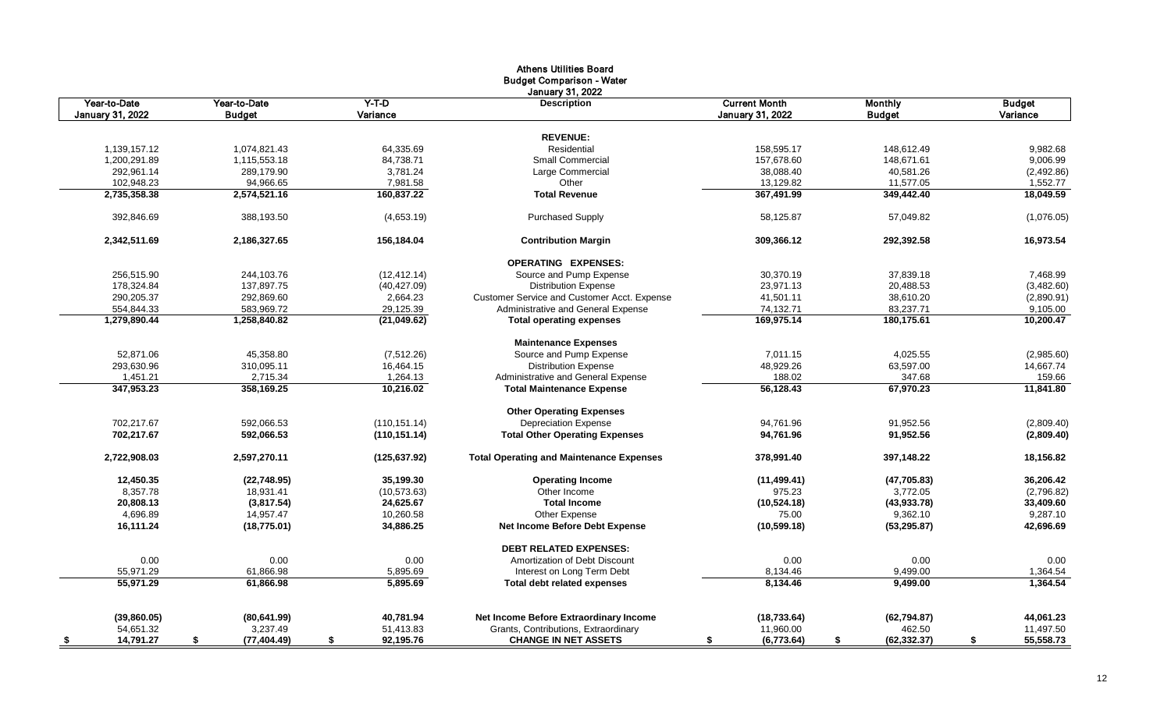|                            |                            |                       | <b>Athens Utilities Board</b><br><b>Budget Comparison - Water</b> |                         |                         |                        |
|----------------------------|----------------------------|-----------------------|-------------------------------------------------------------------|-------------------------|-------------------------|------------------------|
| Year-to-Date               | Year-to-Date               | $Y-T-D$               | <b>January 31, 2022</b><br><b>Description</b>                     | <b>Current Month</b>    | <b>Monthly</b>          | <b>Budget</b>          |
| <b>January 31, 2022</b>    | <b>Budget</b>              | Variance              |                                                                   | <b>January 31, 2022</b> | <b>Budget</b>           | Variance               |
|                            |                            |                       |                                                                   |                         |                         |                        |
|                            |                            |                       | <b>REVENUE:</b><br>Residential                                    |                         |                         |                        |
| 1,139,157.12               | 1,074,821.43               | 64,335.69             | Small Commercial                                                  | 158,595.17              | 148,612.49              | 9,982.68               |
| 1,200,291.89<br>292,961.14 | 1,115,553.18<br>289,179.90 | 84,738.71<br>3,781.24 | Large Commercial                                                  | 157,678.60<br>38,088.40 | 148,671.61<br>40,581.26 | 9,006.99               |
| 102,948.23                 | 94,966.65                  | 7,981.58              | Other                                                             | 13,129.82               | 11,577.05               | (2,492.86)<br>1,552.77 |
| 2,735,358.38               | 2,574,521.16               | 160,837.22            | <b>Total Revenue</b>                                              | 367,491.99              | 349,442.40              | 18,049.59              |
|                            |                            |                       |                                                                   |                         |                         |                        |
| 392,846.69                 | 388,193.50                 | (4,653.19)            | <b>Purchased Supply</b>                                           | 58,125.87               | 57,049.82               | (1,076.05)             |
| 2,342,511.69               | 2,186,327.65               | 156,184.04            | <b>Contribution Margin</b>                                        | 309,366.12              | 292,392.58              | 16,973.54              |
|                            |                            |                       | <b>OPERATING EXPENSES:</b>                                        |                         |                         |                        |
| 256,515.90                 | 244,103.76                 | (12, 412.14)          | Source and Pump Expense                                           | 30,370.19               | 37,839.18               | 7,468.99               |
| 178,324.84                 | 137,897.75                 | (40, 427.09)          | <b>Distribution Expense</b>                                       | 23,971.13               | 20,488.53               | (3,482.60)             |
| 290,205.37                 | 292,869.60                 | 2,664.23              | Customer Service and Customer Acct. Expense                       | 41,501.11               | 38,610.20               | (2,890.91)             |
| 554,844.33                 | 583,969.72                 | 29,125.39             | Administrative and General Expense                                | 74,132.71               | 83,237.71               | 9,105.00               |
| 1,279,890.44               | 1,258,840.82               | (21,049.62)           | <b>Total operating expenses</b>                                   | 169.975.14              | 180,175.61              | 10,200.47              |
|                            |                            |                       | <b>Maintenance Expenses</b>                                       |                         |                         |                        |
| 52,871.06                  | 45,358.80                  | (7, 512.26)           | Source and Pump Expense                                           | 7,011.15                | 4,025.55                | (2,985.60)             |
| 293,630.96                 | 310,095.11                 | 16,464.15             | <b>Distribution Expense</b>                                       | 48,929.26               | 63,597.00               | 14,667.74              |
| 1,451.21                   | 2,715.34                   | 1,264.13              | Administrative and General Expense                                | 188.02                  | 347.68                  | 159.66                 |
| 347,953.23                 | 358,169.25                 | 10,216.02             | <b>Total Maintenance Expense</b>                                  | 56,128.43               | 67,970.23               | 11,841.80              |
|                            |                            |                       | <b>Other Operating Expenses</b>                                   |                         |                         |                        |
| 702,217.67                 | 592,066.53                 | (110, 151.14)         | <b>Depreciation Expense</b>                                       | 94,761.96               | 91,952.56               | (2,809.40)             |
| 702,217.67                 | 592,066.53                 | (110, 151.14)         | <b>Total Other Operating Expenses</b>                             | 94,761.96               | 91,952.56               | (2,809.40)             |
| 2,722,908.03               | 2,597,270.11               | (125, 637.92)         | <b>Total Operating and Maintenance Expenses</b>                   | 378,991.40              | 397,148.22              | 18,156.82              |
| 12,450.35                  | (22, 748.95)               | 35,199.30             | <b>Operating Income</b>                                           | (11, 499.41)            | (47,705.83)             | 36,206.42              |
| 8,357.78                   | 18,931.41                  | (10, 573.63)          | Other Income                                                      | 975.23                  | 3,772.05                | (2,796.82)             |
| 20,808.13                  | (3,817.54)                 | 24,625.67             | <b>Total Income</b>                                               | (10, 524.18)            | (43, 933.78)            | 33,409.60              |
| 4,696.89                   | 14,957.47                  | 10,260.58             | Other Expense                                                     | 75.00                   | 9,362.10                | 9,287.10               |
| 16,111.24                  | (18, 775.01)               | 34,886.25             | Net Income Before Debt Expense                                    | (10, 599.18)            | (53, 295.87)            | 42,696.69              |
|                            |                            |                       | <b>DEBT RELATED EXPENSES:</b>                                     |                         |                         |                        |
| 0.00                       | 0.00                       | 0.00                  | Amortization of Debt Discount                                     | 0.00                    | 0.00                    | 0.00                   |
| 55,971.29                  | 61,866.98                  | 5,895.69              | Interest on Long Term Debt                                        | 8,134.46                | 9,499.00                | 1,364.54               |
| 55,971.29                  | 61,866.98                  | 5,895.69              | Total debt related expenses                                       | 8,134.46                | 9,499.00                | 1,364.54               |
| (39,860.05)                | (80, 641.99)               | 40,781.94             | Net Income Before Extraordinary Income                            | (18, 733.64)            | (62, 794.87)            | 44,061.23              |
| 54,651.32                  | 3,237.49                   | 51,413.83             | Grants, Contributions, Extraordinary                              | 11,960.00               | 462.50                  | 11,497.50              |
| 14,791.27<br>- \$          | \$<br>(77, 404.49)         | 92,195.76<br>\$       | <b>CHANGE IN NET ASSETS</b>                                       | (6,773.64)<br>\$        | (62, 332.37)<br>s.      | 55,558.73<br>\$        |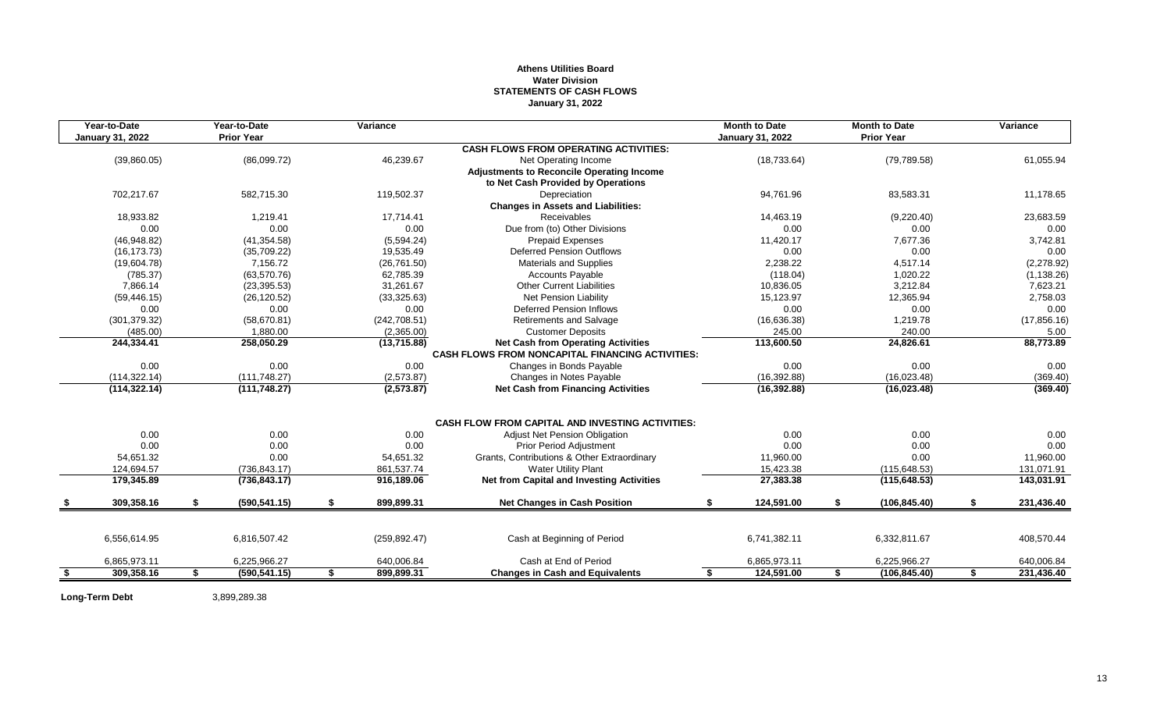# **Athens Utilities Board Water Division STATEMENTS OF CASH FLOWS January 31, 2022**

| Year-to-Date<br><b>January 31, 2022</b> | Year-to-Date<br><b>Prior Year</b> | Variance         |                                                                                                      | <b>Month to Date</b><br><b>January 31, 2022</b> | <b>Month to Date</b><br><b>Prior Year</b> | Variance         |
|-----------------------------------------|-----------------------------------|------------------|------------------------------------------------------------------------------------------------------|-------------------------------------------------|-------------------------------------------|------------------|
|                                         |                                   |                  | <b>CASH FLOWS FROM OPERATING ACTIVITIES:</b>                                                         |                                                 |                                           |                  |
| (39,860.05)                             | (86,099.72)                       | 46,239.67        | Net Operating Income                                                                                 | (18, 733.64)                                    | (79, 789.58)                              | 61,055.94        |
|                                         |                                   |                  | <b>Adjustments to Reconcile Operating Income</b><br>to Net Cash Provided by Operations               |                                                 |                                           |                  |
| 702,217.67                              | 582,715.30                        | 119,502.37       | Depreciation                                                                                         | 94,761.96                                       | 83,583.31                                 | 11,178.65        |
|                                         |                                   |                  | <b>Changes in Assets and Liabilities:</b>                                                            |                                                 |                                           |                  |
| 18,933.82                               | 1.219.41                          | 17.714.41        | <b>Receivables</b>                                                                                   | 14.463.19                                       | (9,220.40)                                | 23,683.59        |
| 0.00                                    | 0.00                              | 0.00             | Due from (to) Other Divisions                                                                        | 0.00                                            | 0.00                                      | 0.00             |
| (46,948.82)                             | (41, 354.58)                      | (5,594.24)       | <b>Prepaid Expenses</b>                                                                              | 11,420.17                                       | 7,677.36                                  | 3,742.81         |
| (16.173.73)                             | (35,709.22)                       | 19.535.49        | <b>Deferred Pension Outflows</b>                                                                     | 0.00                                            | 0.00                                      | 0.00             |
| (19,604.78)                             | 7,156.72                          | (26, 761.50)     | Materials and Supplies                                                                               | 2,238.22                                        | 4,517.14                                  | (2,278.92)       |
| (785.37)                                | (63, 570.76)                      | 62,785.39        | <b>Accounts Payable</b>                                                                              | (118.04)                                        | 1,020.22                                  | (1, 138.26)      |
| 7,866.14                                | (23, 395.53)                      | 31,261.67        | <b>Other Current Liabilities</b>                                                                     | 10,836.05                                       | 3,212.84                                  | 7,623.21         |
| (59, 446.15)                            | (26, 120.52)                      | (33, 325.63)     | <b>Net Pension Liability</b>                                                                         | 15,123.97                                       | 12,365.94                                 | 2,758.03         |
| 0.00                                    | 0.00                              | 0.00             | <b>Deferred Pension Inflows</b>                                                                      | 0.00                                            | 0.00                                      | 0.00             |
| (301, 379.32)                           | (58, 670.81)                      | (242, 708.51)    | <b>Retirements and Salvage</b>                                                                       | (16,636.38)                                     | 1,219.78                                  | (17, 856.16)     |
| (485.00)                                | 1.880.00                          | (2,365.00)       | <b>Customer Deposits</b>                                                                             | 245.00                                          | 240.00                                    | 5.00             |
| 244,334.41                              | 258,050.29                        | (13,715.88)      | <b>Net Cash from Operating Activities</b><br><b>CASH FLOWS FROM NONCAPITAL FINANCING ACTIVITIES:</b> | 113,600.50                                      | 24,826.61                                 | 88,773.89        |
| 0.00                                    | 0.00                              | 0.00             | Changes in Bonds Payable                                                                             | 0.00                                            | 0.00                                      | 0.00             |
| (114, 322, 14)                          | (111, 748.27)                     | (2,573.87)       | Changes in Notes Payable                                                                             | (16, 392.88)                                    | (16,023.48)                               | (369.40)         |
| (114, 322.14)                           | (111, 748.27)                     | (2,573.87)       | <b>Net Cash from Financing Activities</b>                                                            | (16, 392.88)                                    | (16,023.48)                               | (369.40)         |
|                                         |                                   |                  |                                                                                                      |                                                 |                                           |                  |
|                                         |                                   |                  | <b>CASH FLOW FROM CAPITAL AND INVESTING ACTIVITIES:</b>                                              |                                                 |                                           |                  |
| 0.00                                    | 0.00                              | 0.00             | <b>Adjust Net Pension Obligation</b>                                                                 | 0.00                                            | 0.00                                      | 0.00             |
| 0.00                                    | 0.00                              | 0.00             | Prior Period Adjustment                                                                              | 0.00                                            | 0.00                                      | 0.00             |
| 54,651.32                               | 0.00                              | 54,651.32        | Grants, Contributions & Other Extraordinary                                                          | 11,960.00                                       | 0.00                                      | 11,960.00        |
| 124,694.57                              | (736, 843.17)                     | 861,537.74       | <b>Water Utility Plant</b>                                                                           | 15,423.38                                       | (115, 648.53)                             | 131,071.91       |
| 179,345.89                              | (736, 843.17)                     | 916,189.06       | Net from Capital and Investing Activities                                                            | 27,383.38                                       | (115, 648.53)                             | 143,031.91       |
| 309,358.16                              | \$<br>(590, 541.15)               | \$<br>899.899.31 | <b>Net Changes in Cash Position</b>                                                                  | \$<br>124,591.00                                | \$<br>(106, 845.40)                       | \$<br>231,436.40 |
|                                         |                                   |                  |                                                                                                      |                                                 |                                           |                  |
| 6,556,614.95                            | 6,816,507.42                      | (259, 892.47)    | Cash at Beginning of Period                                                                          | 6,741,382.11                                    | 6,332,811.67                              | 408,570.44       |
| 6,865,973.11                            | 6,225,966.27                      | 640,006.84       | Cash at End of Period                                                                                | 6,865,973.11                                    | 6,225,966.27                              | 640,006.84       |
| \$<br>309,358.16                        | \$<br>(590, 541.15)               | \$<br>899,899.31 | <b>Changes in Cash and Equivalents</b>                                                               | \$<br>124,591.00                                | \$<br>(106, 845.40)                       | \$<br>231,436.40 |

Long-Term Debt 3,899,289.38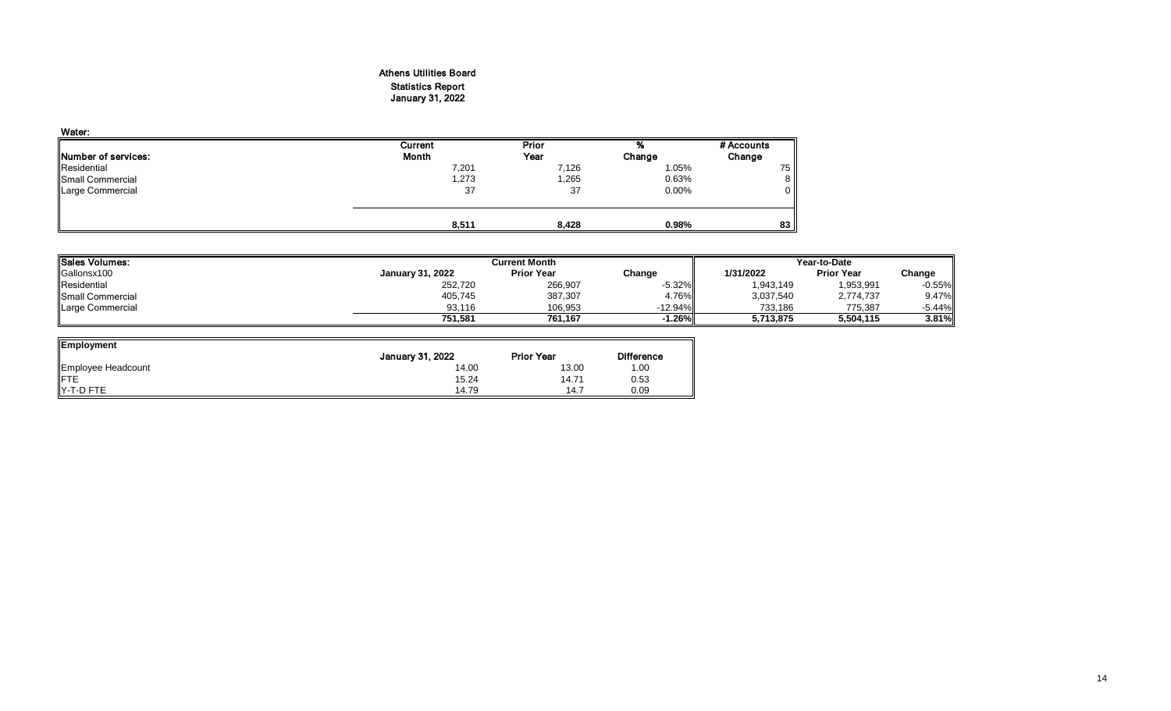# Athens Utilities Board Statistics Report

# January 31, 2022

| Water:              |         |       |        |            |
|---------------------|---------|-------|--------|------------|
|                     | Current | Prior | %      | # Accounts |
| Number of services: | Month   | Year  | Change | Change     |
| Residential         | 7,201   | 7,126 | 1.05%  | 75         |
| Small Commercial    | 1,273   | 1,265 | 0.63%  | 8          |
| Large Commercial    | 37      | 37    | 0.00%  | 0          |
|                     |         |       |        |            |
|                     |         |       |        |            |
|                     | 8,511   | 8,428 | 0.98%  | 83         |

| <b>Sales Volumes:</b>   |                         | Current Month     | Year-to-Date |           |                   |           |
|-------------------------|-------------------------|-------------------|--------------|-----------|-------------------|-----------|
| Gallonsx100             | <b>January 31, 2022</b> | <b>Prior Year</b> | Change       | 1/31/2022 | <b>Prior Year</b> | Change    |
| Residential             | 252,720                 | 266,907           | $-5.32\%$    | 1,943,149 | 1,953,991         | $-0.55%$  |
| <b>Small Commercial</b> | 405,745                 | 387,307           | 4.76%        | 3,037,540 | 2,774,737         | 9.47%     |
| Large Commercial        | 93.116                  | 106,953           | $-12.94\%$   | 733,186   | 775,387           | $-5.44\%$ |
|                         | 751.581                 | 761.167           | $-1.26\%$    | 5,713,875 | 5,504,115         | $3.81\%$  |

| Employment         |                         |                   |                   |
|--------------------|-------------------------|-------------------|-------------------|
|                    | <b>January 31, 2022</b> | <b>Prior Year</b> | <b>Difference</b> |
| Employee Headcount | 14.00                   | 13.00             | 1.00              |
| <b>IFTE</b>        | 15.24                   | 14.71             | 0.53              |
| IY-T-D FTE         | 14.79                   | 14.7              | 0.09              |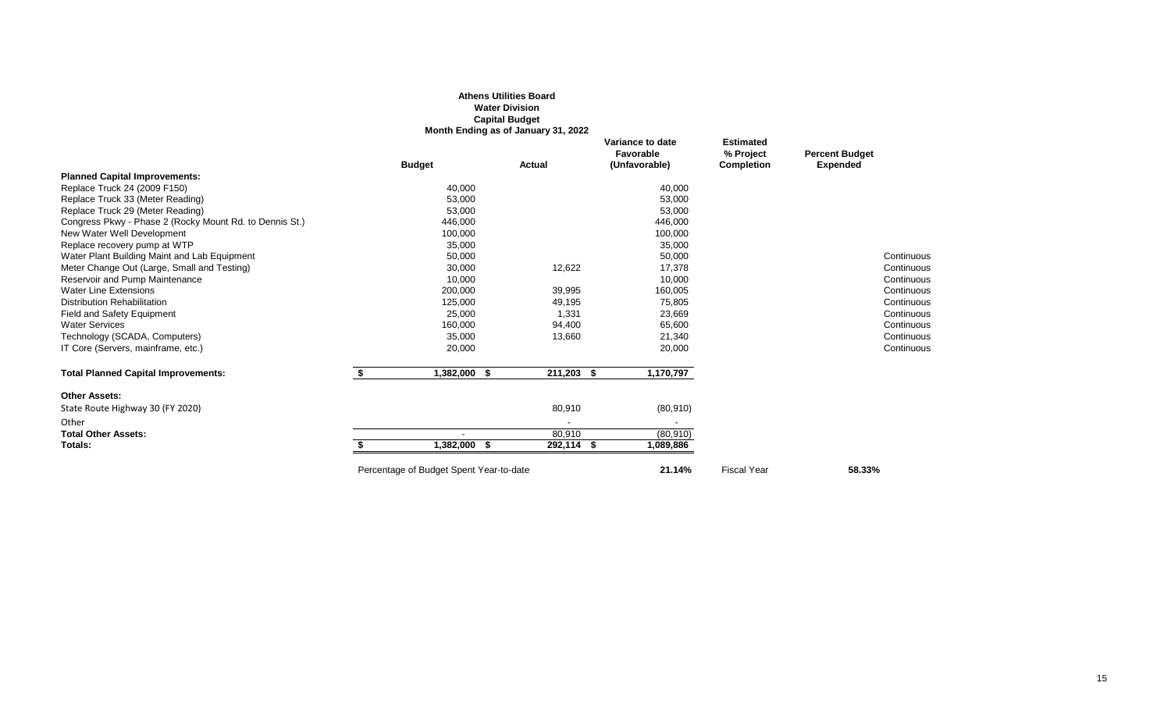|                                                         |                                         | <b>Athens Utilities Board</b><br><b>Water Division</b><br><b>Capital Budget</b><br>Month Ending as of January 31, 2022 |                                                |                                                    |                                          |
|---------------------------------------------------------|-----------------------------------------|------------------------------------------------------------------------------------------------------------------------|------------------------------------------------|----------------------------------------------------|------------------------------------------|
|                                                         | <b>Budget</b>                           | Actual                                                                                                                 | Variance to date<br>Favorable<br>(Unfavorable) | <b>Estimated</b><br>% Project<br><b>Completion</b> | <b>Percent Budget</b><br><b>Expended</b> |
| <b>Planned Capital Improvements:</b>                    |                                         |                                                                                                                        |                                                |                                                    |                                          |
| Replace Truck 24 (2009 F150)                            | 40,000                                  |                                                                                                                        | 40,000                                         |                                                    |                                          |
| Replace Truck 33 (Meter Reading)                        | 53,000                                  |                                                                                                                        | 53,000                                         |                                                    |                                          |
| Replace Truck 29 (Meter Reading)                        | 53,000                                  |                                                                                                                        | 53,000                                         |                                                    |                                          |
| Congress Pkwy - Phase 2 (Rocky Mount Rd. to Dennis St.) | 446,000                                 |                                                                                                                        | 446,000                                        |                                                    |                                          |
| New Water Well Development                              | 100,000                                 |                                                                                                                        | 100,000                                        |                                                    |                                          |
| Replace recovery pump at WTP                            | 35,000                                  |                                                                                                                        | 35,000                                         |                                                    |                                          |
| Water Plant Building Maint and Lab Equipment            | 50,000                                  |                                                                                                                        | 50,000                                         |                                                    | Continuous                               |
| Meter Change Out (Large, Small and Testing)             | 30,000                                  | 12,622                                                                                                                 | 17,378                                         |                                                    | Continuous                               |
| Reservoir and Pump Maintenance                          | 10,000                                  |                                                                                                                        | 10,000                                         |                                                    | Continuous                               |
| <b>Water Line Extensions</b>                            | 200,000                                 | 39,995                                                                                                                 | 160,005                                        |                                                    | Continuous                               |
| <b>Distribution Rehabilitation</b>                      | 125,000                                 | 49,195                                                                                                                 | 75,805                                         |                                                    | Continuous                               |
| Field and Safety Equipment                              | 25,000                                  | 1,331                                                                                                                  | 23,669                                         |                                                    | Continuous                               |
| <b>Water Services</b>                                   | 160,000                                 | 94,400                                                                                                                 | 65,600                                         |                                                    | Continuous                               |
| Technology (SCADA, Computers)                           | 35,000                                  | 13,660                                                                                                                 | 21,340                                         |                                                    | Continuous                               |
| IT Core (Servers, mainframe, etc.)                      | 20,000                                  |                                                                                                                        | 20,000                                         |                                                    | Continuous                               |
| <b>Total Planned Capital Improvements:</b>              | \$<br>1,382,000 \$                      | 211,203 \$                                                                                                             | 1,170,797                                      |                                                    |                                          |
| <b>Other Assets:</b>                                    |                                         |                                                                                                                        |                                                |                                                    |                                          |
| State Route Highway 30 (FY 2020)                        |                                         | 80,910                                                                                                                 | (80, 910)                                      |                                                    |                                          |
| Other                                                   |                                         |                                                                                                                        |                                                |                                                    |                                          |
| <b>Total Other Assets:</b>                              |                                         | 80,910                                                                                                                 | (80, 910)                                      |                                                    |                                          |
| Totals:                                                 | 1,382,000 \$                            | 292,114 \$                                                                                                             | 1,089,886                                      |                                                    |                                          |
|                                                         | Percentage of Budget Spent Year-to-date |                                                                                                                        | 21.14%                                         | <b>Fiscal Year</b>                                 | 58.33%                                   |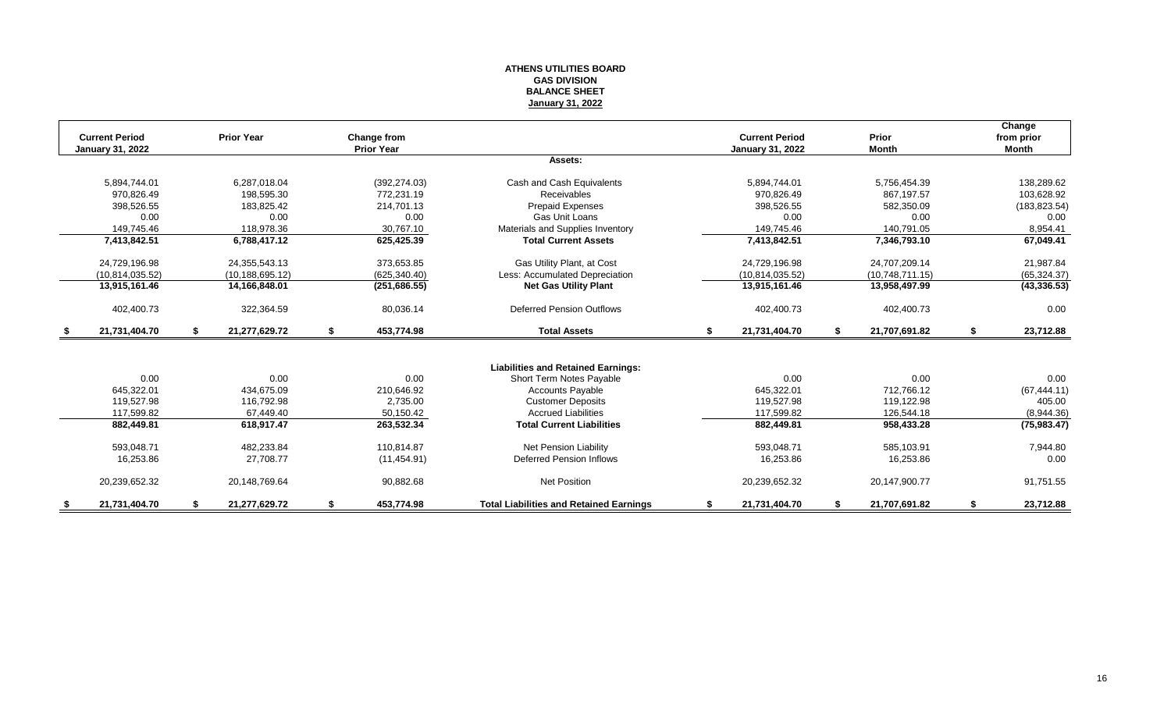#### **ATHENS UTILITIES BOARD GAS DIVISION BALANCE SHEET January 31, 2022**

|                                                  |    |                   |                                  |                                                |                                           |      |                       |    | Change                     |
|--------------------------------------------------|----|-------------------|----------------------------------|------------------------------------------------|-------------------------------------------|------|-----------------------|----|----------------------------|
| <b>Current Period</b><br><b>January 31, 2022</b> |    | <b>Prior Year</b> | Change from<br><b>Prior Year</b> |                                                | <b>Current Period</b><br>January 31, 2022 |      | Prior<br><b>Month</b> |    | from prior<br><b>Month</b> |
|                                                  |    |                   |                                  | Assets:                                        |                                           |      |                       |    |                            |
|                                                  |    |                   |                                  |                                                |                                           |      |                       |    |                            |
| 5,894,744.01                                     |    | 6,287,018.04      | (392, 274.03)                    | Cash and Cash Equivalents                      | 5,894,744.01                              |      | 5,756,454.39          |    | 138,289.62                 |
| 970.826.49                                       |    | 198,595.30        | 772,231.19                       | Receivables                                    | 970.826.49                                |      | 867,197.57            |    | 103,628.92                 |
| 398,526.55                                       |    | 183,825.42        | 214,701.13                       | <b>Prepaid Expenses</b>                        | 398,526.55                                |      | 582,350.09            |    | (183, 823.54)              |
| 0.00                                             |    | 0.00              | 0.00                             | <b>Gas Unit Loans</b>                          | 0.00                                      |      | 0.00                  |    | 0.00                       |
| 149,745.46                                       |    | 118,978.36        | 30,767.10                        | Materials and Supplies Inventory               | 149,745.46                                |      | 140,791.05            |    | 8,954.41                   |
| 7,413,842.51                                     |    | 6,788,417.12      | 625,425.39                       | <b>Total Current Assets</b>                    | 7,413,842.51                              |      | 7,346,793.10          |    | 67,049.41                  |
| 24,729,196.98                                    |    | 24,355,543.13     | 373,653.85                       | Gas Utility Plant, at Cost                     | 24,729,196.98                             |      | 24,707,209.14         |    | 21,987.84                  |
| (10, 814, 035.52)                                |    | (10, 188, 695.12) | (625, 340.40)                    | Less: Accumulated Depreciation                 | (10.814.035.52)                           |      | (10,748,711.15)       |    | (65, 324.37)               |
| 13,915,161.46                                    |    | 14,166,848.01     | (251, 686.55)                    | <b>Net Gas Utility Plant</b>                   | 13,915,161.46                             |      | 13,958,497.99         |    | (43, 336.53)               |
|                                                  |    |                   |                                  |                                                |                                           |      |                       |    |                            |
| 402,400.73                                       |    | 322,364.59        | 80,036.14                        | <b>Deferred Pension Outflows</b>               | 402,400.73                                |      | 402,400.73            |    | 0.00                       |
| 21,731,404.70                                    | \$ | 21,277,629.72     | \$<br>453,774.98                 | <b>Total Assets</b>                            | \$<br>21,731,404.70                       | - \$ | 21,707,691.82         | \$ | 23,712.88                  |
|                                                  |    |                   |                                  |                                                |                                           |      |                       |    |                            |
|                                                  |    |                   |                                  | <b>Liabilities and Retained Earnings:</b>      |                                           |      |                       |    |                            |
| 0.00                                             |    | 0.00              | 0.00                             | Short Term Notes Payable                       | 0.00                                      |      | 0.00                  |    | 0.00                       |
| 645,322.01                                       |    | 434.675.09        | 210,646.92                       | <b>Accounts Payable</b>                        | 645,322.01                                |      | 712,766.12            |    | (67, 444.11)               |
| 119.527.98                                       |    | 116.792.98        | 2.735.00                         | <b>Customer Deposits</b>                       | 119,527.98                                |      | 119.122.98            |    | 405.00                     |
| 117,599.82                                       |    | 67,449.40         | 50,150.42                        | <b>Accrued Liabilities</b>                     | 117,599.82                                |      | 126,544.18            |    | (8,944.36)                 |
| 882,449.81                                       |    | 618,917.47        | 263,532.34                       | <b>Total Current Liabilities</b>               | 882,449.81                                |      | 958,433.28            |    | (75, 983.47)               |
| 593,048.71                                       |    | 482,233.84        | 110,814.87                       | Net Pension Liability                          | 593,048.71                                |      | 585,103.91            |    | 7,944.80                   |
| 16,253.86                                        |    | 27.708.77         | (11, 454.91)                     | <b>Deferred Pension Inflows</b>                | 16,253.86                                 |      | 16,253.86             |    | 0.00                       |
|                                                  |    |                   |                                  |                                                |                                           |      |                       |    |                            |
| 20,239,652.32                                    |    | 20,148,769.64     | 90,882.68                        | <b>Net Position</b>                            | 20,239,652.32                             |      | 20,147,900.77         |    | 91,751.55                  |
| \$<br>21.731.404.70                              | S  | 21.277.629.72     | \$<br>453.774.98                 | <b>Total Liabilities and Retained Earnings</b> | \$<br>21,731,404.70                       |      | 21.707.691.82         | S. | 23,712.88                  |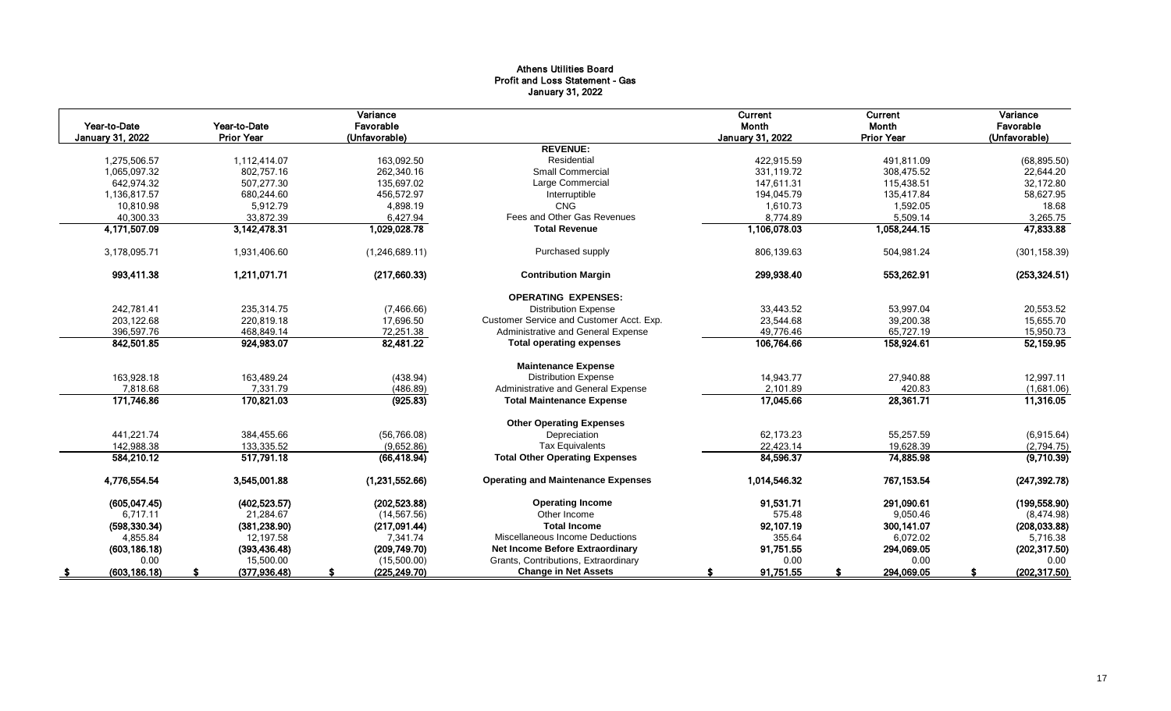# Athens Utilities Board Profit and Loss Statement - Gas January 31, 2022

| Year-to-Date<br><b>January 31, 2022</b> | Year-to-Date<br><b>Prior Year</b> | Variance<br>Favorable<br>(Unfavorable) |                                           | <b>Current</b><br>Month<br><b>January 31, 2022</b> | Current<br>Month<br><b>Prior Year</b> | Variance<br>Favorable<br>(Unfavorable) |
|-----------------------------------------|-----------------------------------|----------------------------------------|-------------------------------------------|----------------------------------------------------|---------------------------------------|----------------------------------------|
|                                         |                                   |                                        | <b>REVENUE:</b>                           |                                                    |                                       |                                        |
| 1,275,506.57                            | 1,112,414.07                      | 163,092.50                             | Residential                               | 422.915.59                                         | 491,811.09                            | (68, 895.50)                           |
| 1,065,097.32                            | 802,757.16                        | 262.340.16                             | <b>Small Commercial</b>                   | 331.119.72                                         | 308,475.52                            | 22,644.20                              |
| 642,974.32                              | 507,277.30                        | 135,697.02                             | Large Commercial                          | 147,611.31                                         | 115,438.51                            | 32,172.80                              |
| 1,136,817.57                            | 680,244.60                        | 456,572.97                             | Interruptible                             | 194,045.79                                         | 135,417.84                            | 58,627.95                              |
| 10,810.98                               | 5,912.79                          | 4,898.19                               | CNG                                       | 1,610.73                                           | 1,592.05                              | 18.68                                  |
| 40,300.33                               | 33,872.39                         | 6,427.94                               | Fees and Other Gas Revenues               | 8,774.89                                           | 5,509.14                              | 3,265.75                               |
| 4,171,507.09                            | 3,142,478.31                      | 1,029,028.78                           | <b>Total Revenue</b>                      | 1,106,078.03                                       | 1,058,244.15                          | 47,833.88                              |
| 3,178,095.71                            | 1,931,406.60                      | (1,246,689.11)                         | Purchased supply                          | 806,139.63                                         | 504,981.24                            | (301, 158.39)                          |
| 993,411.38                              | 1,211,071.71                      | (217,660.33)                           | <b>Contribution Margin</b>                | 299,938.40                                         | 553,262.91                            | (253, 324.51)                          |
|                                         |                                   |                                        | <b>OPERATING EXPENSES:</b>                |                                                    |                                       |                                        |
| 242,781.41                              | 235,314.75                        | (7,466.66)                             | <b>Distribution Expense</b>               | 33,443.52                                          | 53,997.04                             | 20,553.52                              |
| 203,122.68                              | 220.819.18                        | 17,696.50                              | Customer Service and Customer Acct. Exp.  | 23,544.68                                          | 39,200.38                             | 15,655.70                              |
| 396,597.76                              | 468,849.14                        | 72,251.38                              | Administrative and General Expense        | 49,776.46                                          | 65,727.19                             | 15,950.73                              |
| 842,501.85                              | 924,983.07                        | 82,481.22                              | <b>Total operating expenses</b>           | 106,764.66                                         | 158,924.61                            | 52,159.95                              |
|                                         |                                   |                                        | <b>Maintenance Expense</b>                |                                                    |                                       |                                        |
| 163,928.18                              | 163,489.24                        | (438.94)                               | <b>Distribution Expense</b>               | 14,943.77                                          | 27,940.88                             | 12,997.11                              |
| 7,818.68                                | 7,331.79                          | (486.89)                               | Administrative and General Expense        | 2,101.89                                           | 420.83                                | (1,681.06)                             |
| 171,746.86                              | 170,821.03                        | (925.83)                               | <b>Total Maintenance Expense</b>          | 17,045.66                                          | 28,361.71                             | 11,316.05                              |
|                                         |                                   |                                        | <b>Other Operating Expenses</b>           |                                                    |                                       |                                        |
| 441,221.74                              | 384,455.66                        | (56, 766.08)                           | Depreciation                              | 62,173.23                                          | 55,257.59                             | (6,915.64)                             |
| 142,988.38                              | 133,335.52                        | (9,652.86)                             | <b>Tax Equivalents</b>                    | 22,423.14                                          | 19,628.39                             | (2,794.75)                             |
| 584.210.12                              | 517.791.18                        | (66, 418.94)                           | <b>Total Other Operating Expenses</b>     | 84,596.37                                          | 74,885.98                             | (9,710.39)                             |
| 4,776,554.54                            | 3,545,001.88                      | (1,231,552.66)                         | <b>Operating and Maintenance Expenses</b> | 1,014,546.32                                       | 767, 153.54                           | (247, 392.78)                          |
| (605, 047.45)                           | (402, 523.57)                     | (202, 523.88)                          | <b>Operating Income</b>                   | 91,531.71                                          | 291,090.61                            | (199, 558.90)                          |
| 6,717.11                                | 21,284.67                         | (14, 567.56)                           | Other Income                              | 575.48                                             | 9,050.46                              | (8,474.98)                             |
| (598, 330.34)                           | (381, 238.90)                     | (217,091.44)                           | <b>Total Income</b>                       | 92,107.19                                          | 300,141.07                            | (208, 033.88)                          |
| 4,855.84                                | 12,197.58                         | 7,341.74                               | Miscellaneous Income Deductions           | 355.64                                             | 6,072.02                              | 5,716.38                               |
| (603, 186.18)                           | (393, 436.48)                     | (209, 749.70)                          | <b>Net Income Before Extraordinary</b>    | 91,751.55                                          | 294,069.05                            | (202, 317.50)                          |
| 0.00                                    | 15,500.00                         | (15,500.00)                            | Grants, Contributions, Extraordinary      | 0.00                                               | 0.00                                  | 0.00                                   |
| (603, 186.18)<br>S                      | (377, 936.48)                     | (225, 249.70)                          | <b>Change in Net Assets</b>               | 91,751.55<br>S                                     | 294,069.05                            | (202, 317.50)<br>£.                    |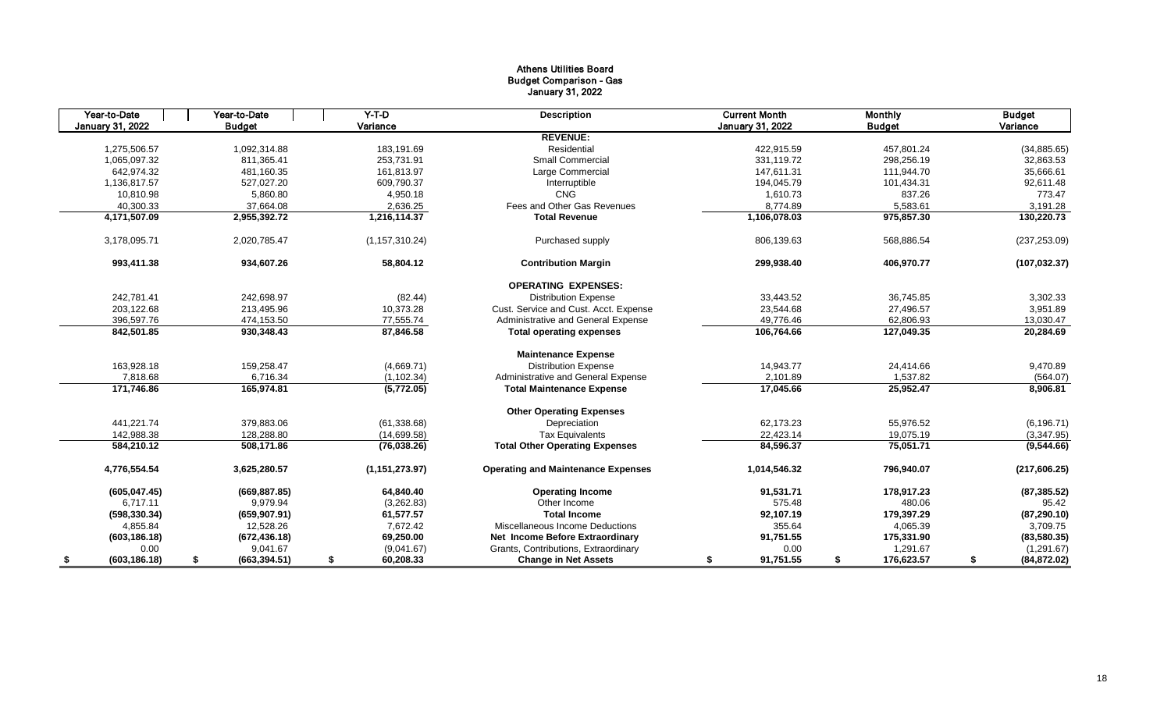# Athens Utilities Board Budget Comparison - Gas January 31, 2022

| Year-to-Date        | Year-to-Date                           | $Y-T-D$          | <b>Description</b>                        | <b>Current Month</b> | <b>Monthly</b>   | <b>Budget</b>      |
|---------------------|----------------------------------------|------------------|-------------------------------------------|----------------------|------------------|--------------------|
| January 31, 2022    | <b>Budget</b>                          | Variance         |                                           | January 31, 2022     | <b>Budget</b>    | Variance           |
|                     |                                        |                  | <b>REVENUE:</b>                           |                      |                  |                    |
| 1,275,506.57        | 1,092,314.88                           | 183,191.69       | Residential                               | 422,915.59           | 457,801.24       | (34, 885.65)       |
| 1,065,097.32        | 811.365.41                             | 253.731.91       | Small Commercial                          | 331.119.72           | 298.256.19       | 32,863.53          |
|                     | 642,974.32<br>481,160.35<br>161,813.97 |                  | Large Commercial                          | 147,611.31           | 111,944.70       | 35,666.61          |
| 1,136,817.57        | 527,027.20                             | 609,790.37       | Interruptible                             | 194,045.79           | 101,434.31       | 92,611.48          |
| 10,810.98           | 5,860.80                               | 4,950.18         | <b>CNG</b>                                | 1,610.73             | 837.26           | 773.47             |
| 40,300.33           | 37,664.08                              | 2,636.25         | Fees and Other Gas Revenues               | 8,774.89             | 5,583.61         | 3,191.28           |
| 4,171,507.09        | 2,955,392.72                           | 1,216,114.37     | <b>Total Revenue</b>                      | 1,106,078.03         | 975,857.30       | 130,220.73         |
| 3,178,095.71        | 2,020,785.47                           | (1, 157, 310.24) | Purchased supply                          | 806,139.63           | 568,886.54       | (237, 253.09)      |
| 993,411.38          | 934,607.26                             | 58,804.12        | <b>Contribution Margin</b>                | 299,938.40           | 406,970.77       | (107, 032.37)      |
|                     |                                        |                  | <b>OPERATING EXPENSES:</b>                |                      |                  |                    |
| 242,781.41          | 242,698.97                             | (82.44)          | <b>Distribution Expense</b>               | 33,443.52            | 36,745.85        | 3,302.33           |
| 203,122.68          | 213,495.96                             | 10,373.28        | Cust. Service and Cust. Acct. Expense     | 23,544.68            | 27,496.57        | 3,951.89           |
| 396,597.76          | 474,153.50                             | 77,555.74        | Administrative and General Expense        | 49,776.46            | 62,806.93        | 13,030.47          |
| 842,501.85          | 930,348.43                             | 87,846.58        | <b>Total operating expenses</b>           | 106,764.66           | 127,049.35       | 20,284.69          |
|                     |                                        |                  | <b>Maintenance Expense</b>                |                      |                  |                    |
| 163,928.18          | 159,258.47                             | (4,669.71)       | <b>Distribution Expense</b>               | 14,943.77            | 24,414.66        | 9,470.89           |
| 7,818.68            | 6,716.34                               | (1, 102.34)      | Administrative and General Expense        | 2,101.89             | 1,537.82         | (564.07)           |
| 171,746.86          | 165,974.81                             | (5,772.05)       | <b>Total Maintenance Expense</b>          | 17,045.66            | 25,952.47        | 8,906.81           |
|                     |                                        |                  | <b>Other Operating Expenses</b>           |                      |                  |                    |
| 441,221.74          | 379.883.06                             | (61, 338.68)     | Depreciation                              | 62.173.23            | 55,976.52        | (6, 196.71)        |
| 142.988.38          | 128.288.80                             | (14,699.58)      | <b>Tax Equivalents</b>                    | 22,423.14            | 19,075.19        | (3,347.95)         |
| 584,210.12          | 508,171.86                             | (76,038.26)      | <b>Total Other Operating Expenses</b>     | 84,596.37            | 75,051.71        | (9,544.66)         |
| 4,776,554.54        | 3,625,280.57                           | (1, 151, 273.97) | <b>Operating and Maintenance Expenses</b> | 1,014,546.32         | 796,940.07       | (217, 606.25)      |
| (605, 047.45)       | (669, 887.85)                          | 64,840.40        | <b>Operating Income</b>                   | 91,531.71            | 178,917.23       | (87, 385.52)       |
| 6,717.11            | 9,979.94                               | (3,262.83)       | Other Income                              | 575.48               | 480.06           | 95.42              |
| (598, 330.34)       | (659, 907.91)                          | 61,577.57        | <b>Total Income</b>                       | 92,107.19            | 179,397.29       | (87, 290.10)       |
| 4,855.84            | 12,528.26                              | 7,672.42         | Miscellaneous Income Deductions           | 355.64               | 4,065.39         | 3,709.75           |
| (603, 186.18)       | (672, 436.18)                          | 69,250.00        | Net Income Before Extraordinary           | 91,751.55            | 175,331.90       | (83,580.35)        |
| 0.00                | 9,041.67                               | (9,041.67)       | Grants, Contributions, Extraordinary      | 0.00                 | 1,291.67         | (1,291.67)         |
| (603, 186.18)<br>\$ | (663, 394.51)<br>\$                    | 60,208.33<br>\$  | <b>Change in Net Assets</b>               | 91,751.55<br>\$      | 176,623.57<br>\$ | \$<br>(84, 872.02) |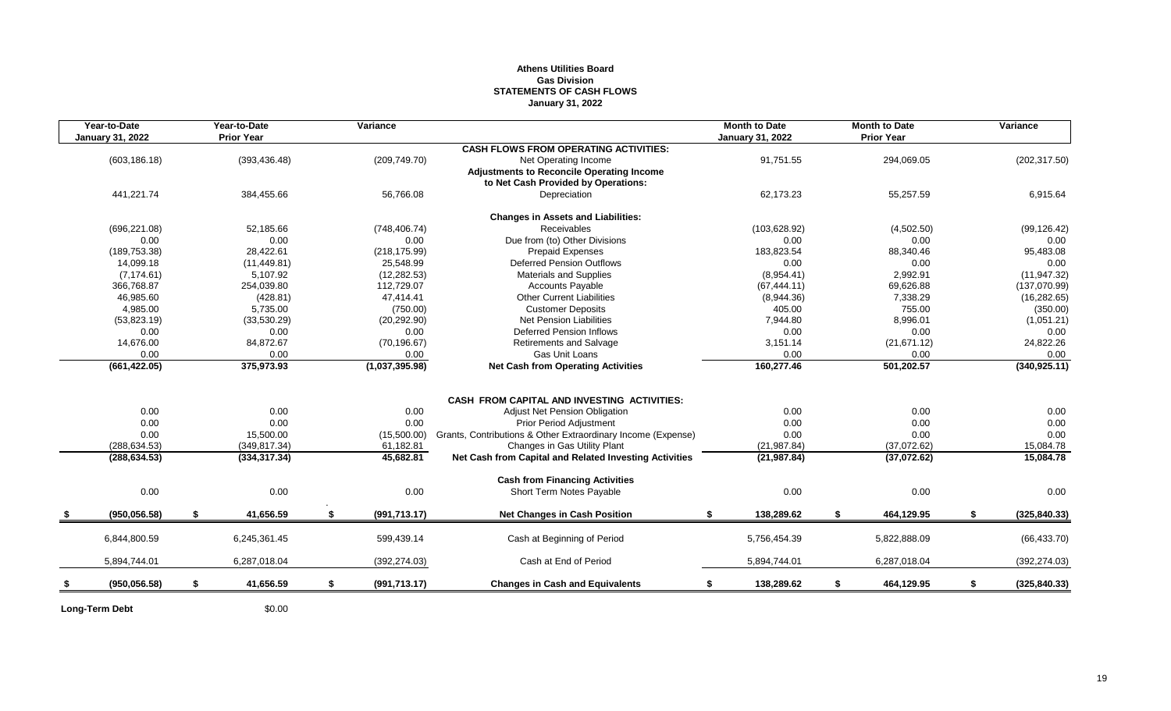# **Athens Utilities Board Gas Division STATEMENTS OF CASH FLOWS January 31, 2022**

| Year-to-Date<br>January 31, 2022 | Year-to-Date<br><b>Prior Year</b> | Variance            |                                                              | <b>Month to Date</b><br><b>January 31, 2022</b> | <b>Month to Date</b><br><b>Prior Year</b> | Variance            |
|----------------------------------|-----------------------------------|---------------------|--------------------------------------------------------------|-------------------------------------------------|-------------------------------------------|---------------------|
|                                  |                                   |                     | <b>CASH FLOWS FROM OPERATING ACTIVITIES:</b>                 |                                                 |                                           |                     |
| (603, 186.18)                    | (393, 436.48)                     | (209, 749.70)       | Net Operating Income                                         | 91,751.55                                       | 294,069.05                                | (202, 317.50)       |
|                                  |                                   |                     | <b>Adjustments to Reconcile Operating Income</b>             |                                                 |                                           |                     |
|                                  |                                   |                     | to Net Cash Provided by Operations:                          |                                                 |                                           |                     |
| 441,221.74                       | 384,455.66                        | 56,766.08           | Depreciation                                                 | 62,173.23                                       | 55,257.59                                 | 6,915.64            |
|                                  |                                   |                     | <b>Changes in Assets and Liabilities:</b>                    |                                                 |                                           |                     |
| (696, 221.08)                    | 52,185.66                         | (748, 406.74)       | Receivables                                                  | (103, 628.92)                                   | (4,502.50)                                | (99, 126.42)        |
| 0.00                             | 0.00                              | 0.00                | Due from (to) Other Divisions                                | 0.00                                            | 0.00                                      | 0.00                |
| (189, 753.38)                    | 28,422.61                         | (218, 175.99)       | <b>Prepaid Expenses</b>                                      | 183,823.54                                      | 88,340.46                                 | 95,483.08           |
| 14,099.18                        | (11, 449.81)                      | 25,548.99           | <b>Deferred Pension Outflows</b>                             | 0.00                                            | 0.00                                      | 0.00                |
| (7, 174.61)                      | 5,107.92                          | (12, 282.53)        | Materials and Supplies                                       | (8,954.41)                                      | 2,992.91                                  | (11, 947.32)        |
| 366,768.87                       | 254,039.80                        | 112,729.07          | <b>Accounts Payable</b>                                      | (67, 444.11)                                    | 69,626.88                                 | (137,070.99)        |
| 46,985.60                        | (428.81)                          | 47,414.41           | <b>Other Current Liabilities</b>                             | (8,944.36)                                      | 7,338.29                                  | (16, 282.65)        |
| 4,985.00                         | 5,735.00                          | (750.00)            | <b>Customer Deposits</b>                                     | 405.00                                          | 755.00                                    | (350.00)            |
| (53,823.19)                      | (33,530.29)                       | (20, 292.90)        | Net Pension Liabilities                                      | 7,944.80                                        | 8,996.01                                  | (1,051.21)          |
| 0.00                             | 0.00                              | 0.00                | <b>Deferred Pension Inflows</b>                              | 0.00                                            | 0.00                                      | 0.00                |
| 14,676.00                        | 84,872.67                         | (70, 196.67)        | <b>Retirements and Salvage</b>                               | 3,151.14                                        | (21, 671.12)                              | 24,822.26           |
| 0.00                             | 0.00                              | 0.00                | Gas Unit Loans                                               | 0.00                                            | 0.00                                      | 0.00                |
| (661, 422.05)                    | 375,973.93                        | (1,037,395.98)      | <b>Net Cash from Operating Activities</b>                    | 160,277.46                                      | 501,202.57                                | (340, 925.11)       |
|                                  |                                   |                     |                                                              |                                                 |                                           |                     |
|                                  |                                   |                     | CASH FROM CAPITAL AND INVESTING ACTIVITIES:                  |                                                 |                                           |                     |
| 0.00                             | 0.00                              | 0.00                | <b>Adjust Net Pension Obligation</b>                         | 0.00                                            | 0.00                                      | 0.00                |
| 0.00                             | 0.00                              | 0.00                | <b>Prior Period Adjustment</b>                               | 0.00                                            | 0.00                                      | 0.00                |
| 0.00                             | 15,500.00                         | (15,500.00)         | Grants, Contributions & Other Extraordinary Income (Expense) | 0.00                                            | 0.00                                      | 0.00                |
| (288, 634.53)                    | (349, 817.34)                     | 61,182.81           | Changes in Gas Utility Plant                                 | (21, 987.84)                                    | (37,072.62)                               | 15,084.78           |
| (288, 634.53)                    | (334, 317.34)                     | 45,682.81           | Net Cash from Capital and Related Investing Activities       | (21, 987.84)                                    | (37,072.62)                               | 15,084.78           |
|                                  |                                   |                     | <b>Cash from Financing Activities</b>                        |                                                 |                                           |                     |
| 0.00                             | 0.00                              | 0.00                | Short Term Notes Payable                                     | 0.00                                            | 0.00                                      | 0.00                |
| (950.056.58)                     | \$<br>41,656.59                   | \$<br>(991, 713.17) | <b>Net Changes in Cash Position</b>                          | \$<br>138,289.62                                | \$<br>464,129.95                          | \$<br>(325, 840.33) |
|                                  |                                   |                     |                                                              |                                                 |                                           |                     |
| 6,844,800.59                     | 6,245,361.45                      | 599,439.14          | Cash at Beginning of Period                                  | 5,756,454.39                                    | 5,822,888.09                              | (66, 433.70)        |
| 5,894,744.01                     | 6,287,018.04                      | (392, 274.03)       | Cash at End of Period                                        | 5,894,744.01                                    | 6,287,018.04                              | (392, 274.03)       |
| (950, 056.58)                    | \$<br>41,656.59                   | \$<br>(991, 713.17) | <b>Changes in Cash and Equivalents</b>                       | 138,289.62<br>\$                                | \$<br>464,129.95                          | \$<br>(325, 840.33) |
|                                  |                                   |                     |                                                              |                                                 |                                           |                     |

**Long-Term Debt** \$0.00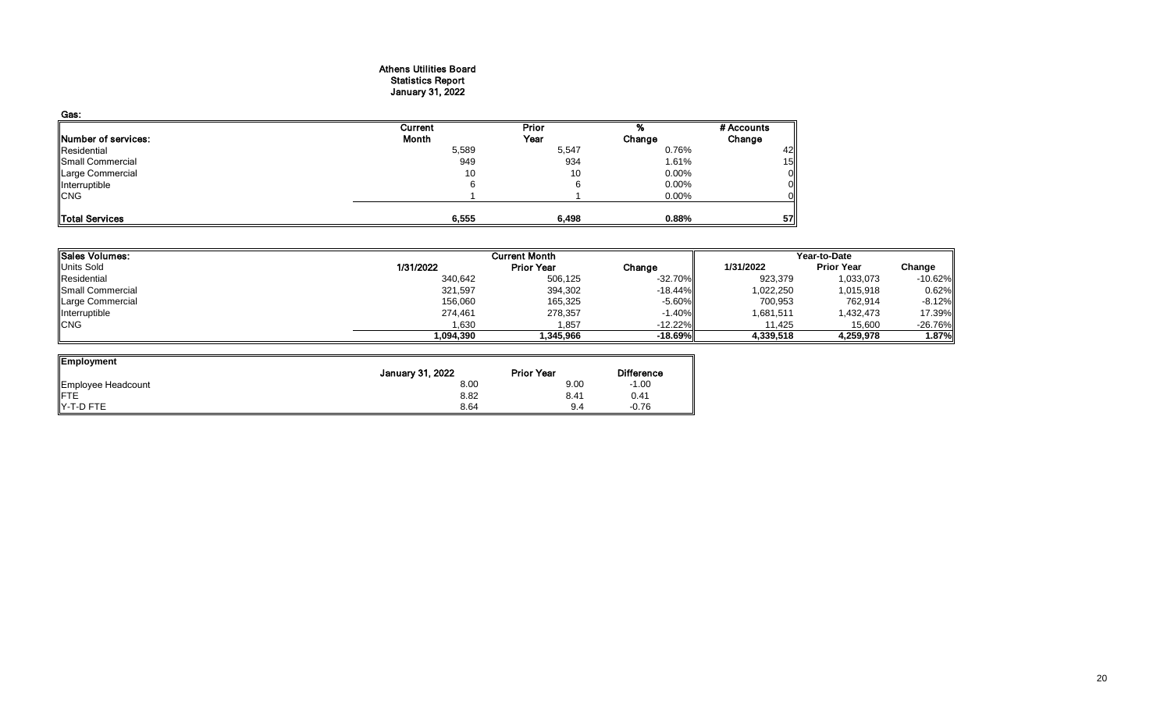### Athens Utilities Board Statistics Report January 31, 2022

| Gas:                       |         |       |        |            |
|----------------------------|---------|-------|--------|------------|
|                            | Current | Prior |        | # Accounts |
| <b>Number of services:</b> | Month   | Year  | Change | Change     |
| Residential                | 5,589   | 5,547 | 0.76%  | 42         |
| Small Commercial           | 949     | 934   | 1.61%  | 15         |
| Large Commercial           | 10      | 10    | 0.00%  | Οl         |
| Interruptible              |         |       | 0.00%  | ΟI         |
| <b>CNG</b>                 |         |       | 0.00%  | Οl         |
|                            |         |       |        |            |
| Total Services             | 6,555   | 6,498 | 0.88%  | 57         |

| Sales Volumes:    | <b>Current Month</b> |                   |            | Year-to-Date |                   |           |  |
|-------------------|----------------------|-------------------|------------|--------------|-------------------|-----------|--|
| <b>Units Sold</b> | 1/31/2022            | <b>Prior Year</b> | Change     | 1/31/2022    | <b>Prior Year</b> | Change    |  |
| Residential       | 340,642              | 506,125           | $-32.70%$  | 923,379      | 1,033,073         | $-10.62%$ |  |
| Small Commercial  | 321,597              | 394,302           | $-18.44\%$ | 1,022,250    | 1,015,918         | 0.62%     |  |
| Large Commercial  | 156,060              | 165,325           | $-5.60%$   | 700,953      | 762,914           | $-8.12%$  |  |
| Interruptible     | 274,461              | 278,357           | $-1.40%$   | 1,681,511    | 1,432,473         | 17.39%    |  |
| <b>ICNG</b>       | 1,630                | 1.857             | $-12.22%$  | 11.425       | 15,600            | $-26.76%$ |  |
|                   | 1,094,390            | 345.966.          | $-18.69%$  | 4,339,518    | 4,259,978         | $1.87\%$  |  |

| Employment         |                  |                   |                   |
|--------------------|------------------|-------------------|-------------------|
|                    | January 31, 2022 | <b>Prior Year</b> | <b>Difference</b> |
| Employee Headcount | 8.00             | 9.00              | $-1.00$           |
| <b>IFTE</b>        | 8.82             | 8.41              | 0.41              |
| IY-T-D FTE         | 8.64             | 9.4               | $-0.76$           |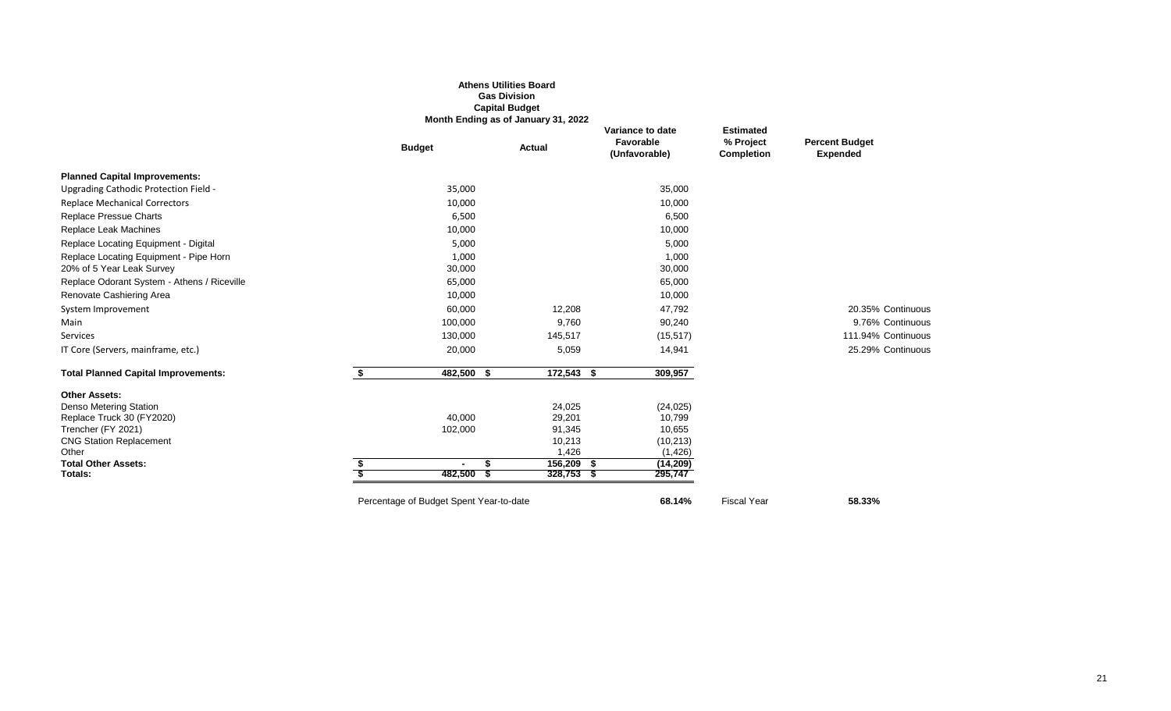|                                             |                                         | <b>Athens Utilities Board</b><br><b>Gas Division</b><br><b>Capital Budget</b><br>Month Ending as of January 31, 2022 |                                                |                                             |                                          |
|---------------------------------------------|-----------------------------------------|----------------------------------------------------------------------------------------------------------------------|------------------------------------------------|---------------------------------------------|------------------------------------------|
|                                             | <b>Budget</b>                           | Actual                                                                                                               | Variance to date<br>Favorable<br>(Unfavorable) | <b>Estimated</b><br>% Project<br>Completion | <b>Percent Budget</b><br><b>Expended</b> |
| <b>Planned Capital Improvements:</b>        |                                         |                                                                                                                      |                                                |                                             |                                          |
| Upgrading Cathodic Protection Field -       | 35,000                                  |                                                                                                                      | 35,000                                         |                                             |                                          |
| <b>Replace Mechanical Correctors</b>        | 10,000                                  |                                                                                                                      | 10,000                                         |                                             |                                          |
| <b>Replace Pressue Charts</b>               | 6,500                                   |                                                                                                                      | 6,500                                          |                                             |                                          |
| Replace Leak Machines                       | 10,000                                  |                                                                                                                      | 10,000                                         |                                             |                                          |
| Replace Locating Equipment - Digital        | 5,000                                   |                                                                                                                      | 5,000                                          |                                             |                                          |
| Replace Locating Equipment - Pipe Horn      | 1,000                                   |                                                                                                                      | 1,000                                          |                                             |                                          |
| 20% of 5 Year Leak Survey                   | 30,000                                  |                                                                                                                      | 30,000                                         |                                             |                                          |
| Replace Odorant System - Athens / Riceville | 65,000                                  |                                                                                                                      | 65,000                                         |                                             |                                          |
| Renovate Cashiering Area                    | 10,000                                  |                                                                                                                      | 10,000                                         |                                             |                                          |
| System Improvement                          | 60,000                                  | 12,208                                                                                                               | 47,792                                         |                                             | 20.35% Continuous                        |
| Main                                        | 100,000                                 | 9,760                                                                                                                | 90,240                                         |                                             | 9.76% Continuous                         |
| Services                                    | 130,000                                 | 145,517                                                                                                              | (15, 517)                                      |                                             | 111.94% Continuous                       |
| IT Core (Servers, mainframe, etc.)          | 20,000                                  | 5,059                                                                                                                | 14,941                                         |                                             | 25.29% Continuous                        |
| <b>Total Planned Capital Improvements:</b>  | \$<br>$482,500$ \$                      | $172,543$ \$                                                                                                         | 309,957                                        |                                             |                                          |
| <b>Other Assets:</b>                        |                                         |                                                                                                                      |                                                |                                             |                                          |
| Denso Metering Station                      |                                         | 24,025                                                                                                               | (24, 025)                                      |                                             |                                          |
| Replace Truck 30 (FY2020)                   | 40,000                                  | 29,201                                                                                                               | 10,799                                         |                                             |                                          |
| Trencher (FY 2021)                          | 102,000                                 | 91,345                                                                                                               | 10,655                                         |                                             |                                          |
| <b>CNG Station Replacement</b>              |                                         | 10,213                                                                                                               | (10, 213)                                      |                                             |                                          |
| Other<br><b>Total Other Assets:</b>         | $\blacksquare$<br>я                     | 1,426<br>$156,209$ \$                                                                                                | (1,426)                                        |                                             |                                          |
| Totals:                                     | $482,500$ \$                            | $328,753$ \$                                                                                                         | (14, 209)<br>295,747                           |                                             |                                          |
|                                             | Percentage of Budget Spent Year-to-date |                                                                                                                      | 68.14%                                         | <b>Fiscal Year</b>                          | 58.33%                                   |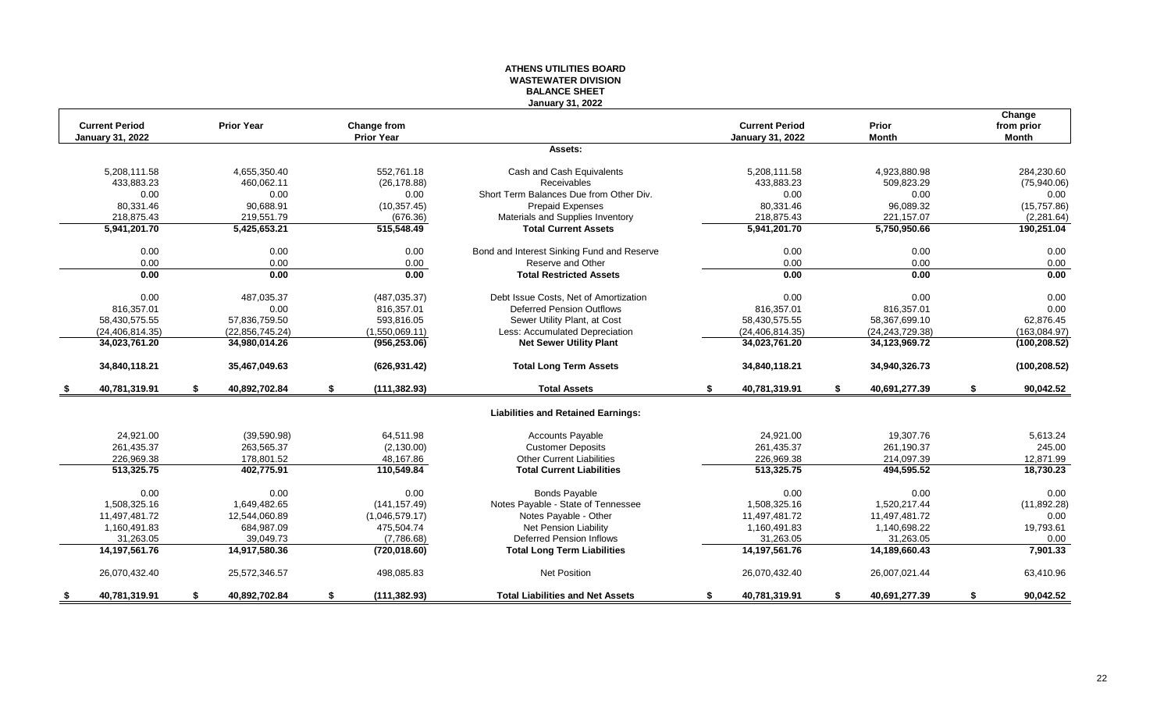#### **ATHENS UTILITIES BOARD WASTEWATER DIVISION BALANCE SHEET January 31, 2022**

|      | <b>Current Period</b>   | <b>Prior Year</b>   | Change from         |                                            | <b>Current Period</b>   | Prior               | Change<br>from prior |
|------|-------------------------|---------------------|---------------------|--------------------------------------------|-------------------------|---------------------|----------------------|
|      | <b>January 31, 2022</b> |                     | <b>Prior Year</b>   |                                            | <b>January 31, 2022</b> | Month               | <b>Month</b>         |
|      |                         |                     |                     | Assets:                                    |                         |                     |                      |
|      | 5.208.111.58            | 4.655.350.40        | 552.761.18          | Cash and Cash Equivalents                  | 5.208.111.58            | 4.923.880.98        | 284.230.60           |
|      | 433,883.23              | 460,062.11          | (26, 178.88)        | <b>Receivables</b>                         | 433,883.23              | 509,823.29          | (75,940.06)          |
|      | 0.00                    | 0.00                | 0.00                | Short Term Balances Due from Other Div.    | 0.00                    | 0.00                | 0.00                 |
|      | 80,331.46               | 90,688.91           | (10, 357.45)        | <b>Prepaid Expenses</b>                    | 80,331.46               | 96,089.32           | (15,757.86)          |
|      | 218,875.43              | 219,551.79          | (676.36)            | Materials and Supplies Inventory           | 218,875.43              | 221,157.07          | (2, 281.64)          |
|      | 5,941,201.70            | 5,425,653.21        | 515,548.49          | <b>Total Current Assets</b>                | 5,941,201.70            | 5,750,950.66        | 190,251.04           |
|      | 0.00                    | 0.00                | 0.00                | Bond and Interest Sinking Fund and Reserve | 0.00                    | 0.00                | 0.00                 |
|      | 0.00                    | 0.00                | 0.00                | Reserve and Other                          | 0.00                    | 0.00                | 0.00                 |
|      | 0.00                    | 0.00                | 0.00                | <b>Total Restricted Assets</b>             | 0.00                    | 0.00                | 0.00                 |
|      | 0.00                    | 487,035.37          | (487, 035.37)       | Debt Issue Costs, Net of Amortization      | 0.00                    | 0.00                | 0.00                 |
|      | 816,357.01              | 0.00                | 816,357.01          | Deferred Pension Outflows                  | 816.357.01              | 816,357.01          | 0.00                 |
|      | 58,430,575.55           | 57,836,759.50       | 593,816.05          | Sewer Utility Plant, at Cost               | 58,430,575.55           | 58,367,699.10       | 62,876.45            |
|      | (24, 406, 814, 35)      | (22, 856, 745.24)   | (1,550,069.11)      | Less: Accumulated Depreciation             | (24, 406, 814.35)       | (24, 243, 729.38)   | (163,084.97)         |
|      | 34,023,761.20           | 34,980,014.26       | (956, 253.06)       | <b>Net Sewer Utility Plant</b>             | 34,023,761.20           | 34,123,969.72       | (100, 208.52)        |
|      | 34,840,118.21           | 35,467,049.63       | (626, 931.42)       | <b>Total Long Term Assets</b>              | 34,840,118.21           | 34,940,326.73       | (100, 208.52)        |
| - \$ | 40,781,319.91           | \$<br>40,892,702.84 | \$<br>(111, 382.93) | <b>Total Assets</b>                        | \$<br>40,781,319.91     | \$<br>40,691,277.39 | \$<br>90,042.52      |
|      |                         |                     |                     | <b>Liabilities and Retained Earnings:</b>  |                         |                     |                      |
|      | 24,921.00               | (39,590.98)         | 64,511.98           | <b>Accounts Payable</b>                    | 24,921.00               | 19,307.76           | 5,613.24             |
|      | 261,435.37              | 263,565.37          | (2, 130.00)         | <b>Customer Deposits</b>                   | 261,435.37              | 261,190.37          | 245.00               |
|      | 226,969.38              | 178,801.52          | 48,167.86           | <b>Other Current Liabilities</b>           | 226,969.38              | 214,097.39          | 12,871.99            |
|      | 513,325.75              | 402,775.91          | 110,549.84          | <b>Total Current Liabilities</b>           | 513,325.75              | 494,595.52          | 18,730.23            |
|      | 0.00                    | 0.00                | 0.00                | <b>Bonds Payable</b>                       | 0.00                    | 0.00                | 0.00                 |
|      | 1,508,325.16            | 1.649.482.65        | (141, 157.49)       | Notes Payable - State of Tennessee         | 1.508.325.16            | 1,520,217.44        | (11, 892.28)         |
|      | 11,497,481.72           | 12,544,060.89       | (1,046,579.17)      | Notes Payable - Other                      | 11,497,481.72           | 11,497,481.72       | 0.00                 |
|      | 1,160,491.83            | 684,987.09          | 475,504.74          | <b>Net Pension Liability</b>               | 1,160,491.83            | 1,140,698.22        | 19,793.61            |
|      | 31,263.05               | 39,049.73           | (7,786.68)          | <b>Deferred Pension Inflows</b>            | 31,263.05               | 31,263.05           | 0.00                 |
|      | 14,197,561.76           | 14,917,580.36       | (720, 018.60)       | <b>Total Long Term Liabilities</b>         | 14,197,561.76           | 14,189,660.43       | 7,901.33             |
|      | 26,070,432.40           | 25,572,346.57       | 498,085.83          | Net Position                               | 26,070,432.40           | 26,007,021.44       | 63,410.96            |
| S.   | 40,781,319.91           | \$<br>40.892.702.84 | \$<br>(111, 382.93) | <b>Total Liabilities and Net Assets</b>    | \$<br>40,781,319.91     | \$<br>40,691,277.39 | \$<br>90.042.52      |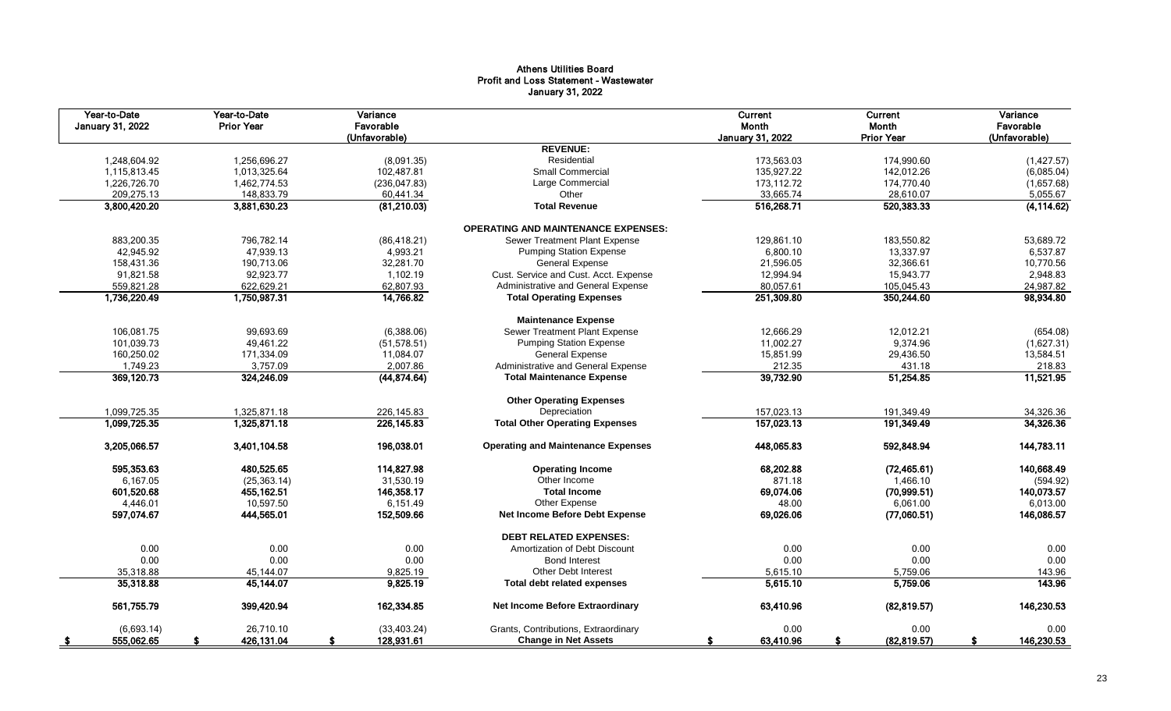# Athens Utilities Board Profit and Loss Statement - Wastewater January 31, 2022

| Year-to-Date<br><b>January 31, 2022</b> | Year-to-Date<br><b>Prior Year</b> | Variance<br>Favorable<br>(Unfavorable) |                                            | Current<br>Month<br><b>January 31, 2022</b> | Current<br>Month<br><b>Prior Year</b> | Variance<br>Favorable<br>(Unfavorable) |
|-----------------------------------------|-----------------------------------|----------------------------------------|--------------------------------------------|---------------------------------------------|---------------------------------------|----------------------------------------|
|                                         |                                   |                                        | <b>REVENUE:</b>                            |                                             |                                       |                                        |
| 1,248,604.92                            | 1,256,696.27                      | (8,091.35)                             | Residential                                | 173,563.03                                  | 174,990.60                            | (1,427.57)                             |
| 1,115,813.45                            | 1,013,325.64                      | 102,487.81                             | <b>Small Commercial</b>                    | 135,927.22                                  | 142,012.26                            | (6,085.04)                             |
| 1,226,726.70                            | 1,462,774.53                      | (236, 047.83)                          | Large Commercial                           | 173,112.72                                  | 174,770.40                            | (1,657.68)                             |
| 209,275.13                              | 148,833.79                        | 60,441.34                              | Other                                      | 33,665.74                                   | 28,610.07                             | 5,055.67                               |
| 3,800,420.20                            | 3,881,630.23                      | (81,210.03)                            | <b>Total Revenue</b>                       | 516,268.71                                  | 520,383.33                            | (4, 114.62)                            |
|                                         |                                   |                                        | <b>OPERATING AND MAINTENANCE EXPENSES:</b> |                                             |                                       |                                        |
| 883,200.35                              | 796,782.14                        | (86, 418.21)                           | <b>Sewer Treatment Plant Expense</b>       | 129,861.10                                  | 183,550.82                            | 53,689.72                              |
| 42,945.92                               | 47,939.13                         | 4,993.21                               | <b>Pumping Station Expense</b>             | 6,800.10                                    | 13,337.97                             | 6,537.87                               |
| 158,431.36                              | 190,713.06                        | 32,281.70                              | General Expense                            | 21,596.05                                   | 32,366.61                             | 10,770.56                              |
| 91,821.58                               | 92.923.77                         | 1,102.19                               | Cust. Service and Cust. Acct. Expense      | 12,994.94                                   | 15,943.77                             | 2,948.83                               |
| 559,821.28                              | 622,629.21                        | 62,807.93                              | Administrative and General Expense         | 80,057.61                                   | 105,045.43                            | 24,987.82                              |
| 1,736,220.49                            | 1,750,987.31                      | 14,766.82                              | <b>Total Operating Expenses</b>            | 251,309.80                                  | 350,244.60                            | 98,934.80                              |
|                                         |                                   |                                        | <b>Maintenance Expense</b>                 |                                             |                                       |                                        |
| 106,081.75                              | 99,693.69                         | (6,388.06)                             | Sewer Treatment Plant Expense              | 12,666.29                                   | 12,012.21                             | (654.08)                               |
| 101,039.73                              | 49,461.22                         | (51, 578.51)                           | <b>Pumping Station Expense</b>             | 11,002.27                                   | 9,374.96                              | (1,627.31)                             |
| 160,250.02                              | 171,334.09                        | 11,084.07                              | General Expense                            | 15,851.99                                   | 29,436.50                             | 13,584.51                              |
| 1,749.23                                | 3,757.09                          | 2,007.86                               | Administrative and General Expense         | 212.35                                      | 431.18                                | 218.83                                 |
| 369,120.73                              | 324,246.09                        | (44,874.64)                            | <b>Total Maintenance Expense</b>           | 39,732.90                                   | 51,254.85                             | 11,521.95                              |
|                                         |                                   |                                        | <b>Other Operating Expenses</b>            |                                             |                                       |                                        |
| 1,099,725.35                            | 1,325,871.18                      | 226,145.83                             | Depreciation                               | 157,023.13                                  | 191,349.49                            | 34,326.36                              |
| 1,099,725.35                            | 1,325,871.18                      | 226, 145.83                            | <b>Total Other Operating Expenses</b>      | 157,023.13                                  | 191,349.49                            | 34,326.36                              |
| 3,205,066.57                            | 3,401,104.58                      | 196,038.01                             | <b>Operating and Maintenance Expenses</b>  | 448,065.83                                  | 592,848.94                            | 144,783.11                             |
| 595,353.63                              | 480,525.65                        | 114,827.98                             | <b>Operating Income</b>                    | 68,202.88                                   | (72, 465.61)                          | 140,668.49                             |
| 6,167.05                                | (25, 363.14)                      | 31,530.19                              | Other Income                               | 871.18                                      | 1,466.10                              | (594.92)                               |
| 601,520.68                              | 455,162.51                        | 146,358.17                             | <b>Total Income</b>                        | 69,074.06                                   | (70, 999.51)                          | 140,073.57                             |
| 4,446.01                                | 10,597.50                         | 6,151.49                               | Other Expense                              | 48.00                                       | 6.061.00                              | 6,013.00                               |
| 597,074.67                              | 444,565.01                        | 152,509.66                             | Net Income Before Debt Expense             | 69,026.06                                   | (77,060.51)                           | 146,086.57                             |
|                                         |                                   |                                        | <b>DEBT RELATED EXPENSES:</b>              |                                             |                                       |                                        |
| 0.00                                    | 0.00                              | 0.00                                   | Amortization of Debt Discount              | 0.00                                        | 0.00                                  | 0.00                                   |
| 0.00                                    | 0.00                              | 0.00                                   | <b>Bond Interest</b>                       | 0.00                                        | 0.00                                  | 0.00                                   |
| 35,318.88                               | 45.144.07                         | 9,825.19                               | <b>Other Debt Interest</b>                 | 5,615.10                                    | 5,759.06                              | 143.96                                 |
| 35,318.88                               | 45,144.07                         | 9,825.19                               | Total debt related expenses                | 5,615.10                                    | 5,759.06                              | 143.96                                 |
| 561,755.79                              | 399,420.94                        | 162,334.85                             | Net Income Before Extraordinary            | 63,410.96                                   | (82,819.57)                           | 146,230.53                             |
| (6,693.14)                              | 26,710.10                         | (33, 403.24)                           | Grants, Contributions, Extraordinary       | 0.00                                        | 0.00                                  | 0.00                                   |
| 555,062.65<br>- \$                      | 426,131.04                        | 128,931.61<br>S                        | <b>Change in Net Assets</b>                | 63,410.96<br>S                              | (82, 819.57)                          | 146,230.53<br>s.                       |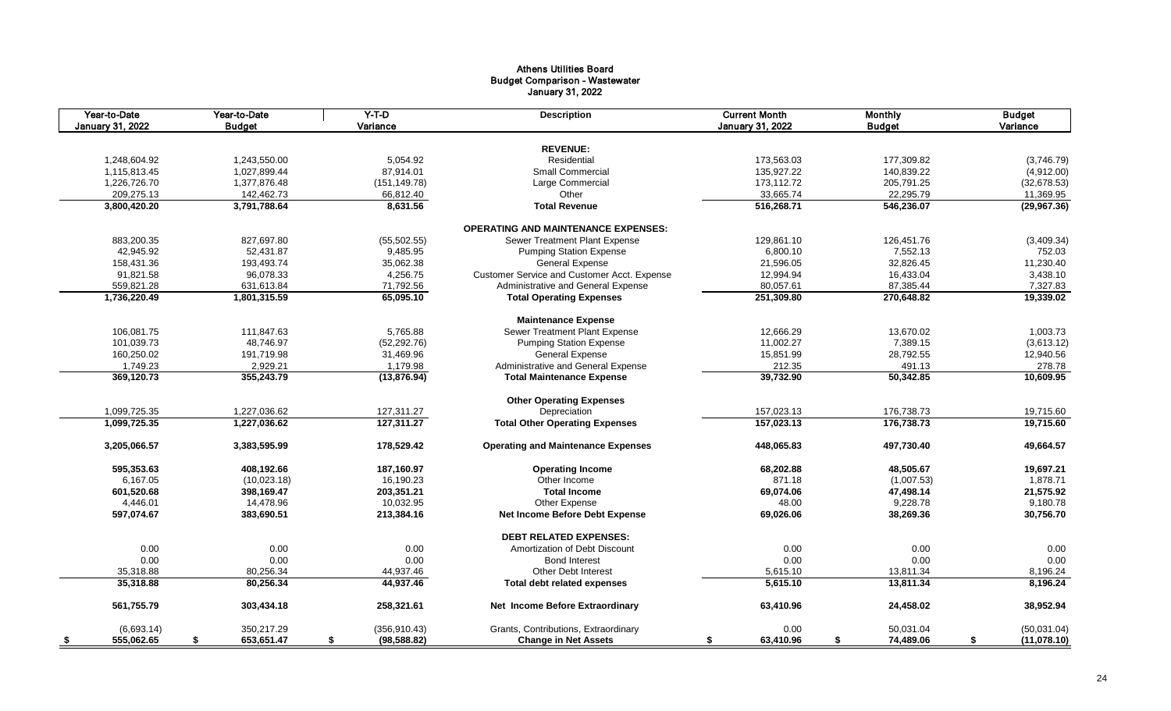# Athens Utilities Board Budget Comparison - Wastewater January 31, 2022

| Year-to-Date<br><b>January 31, 2022</b> | Year-to-Date<br><b>Budget</b> | $Y-T-D$<br>Variance | <b>Description</b>                          | <b>Current Month</b><br><b>January 31, 2022</b> | <b>Monthly</b><br><b>Budget</b> | <b>Budget</b><br>Variance |
|-----------------------------------------|-------------------------------|---------------------|---------------------------------------------|-------------------------------------------------|---------------------------------|---------------------------|
|                                         |                               |                     |                                             |                                                 |                                 |                           |
|                                         |                               |                     | <b>REVENUE:</b>                             |                                                 |                                 |                           |
| 1,248,604.92                            | 1,243,550.00                  | 5,054.92            | Residential                                 | 173,563.03                                      | 177,309.82                      | (3,746.79)                |
| 1,115,813.45                            | 1,027,899.44                  | 87,914.01           | <b>Small Commercial</b>                     | 135,927.22                                      | 140,839.22                      | (4,912.00)                |
| 1,226,726.70                            | 1,377,876.48                  | (151, 149.78)       | Large Commercial                            | 173,112.72                                      | 205,791.25                      | (32,678.53)               |
| 209,275.13                              | 142,462.73                    | 66,812.40           | Other                                       | 33,665.74                                       | 22,295.79                       | 11,369.95                 |
| 3,800,420.20                            | 3,791,788.64                  | 8,631.56            | <b>Total Revenue</b>                        | 516,268.71                                      | 546,236.07                      | (29,967.36)               |
|                                         |                               |                     | <b>OPERATING AND MAINTENANCE EXPENSES:</b>  |                                                 |                                 |                           |
| 883,200.35                              | 827,697.80                    | (55, 502.55)        | Sewer Treatment Plant Expense               | 129,861.10                                      | 126,451.76                      | (3,409.34)                |
| 42,945.92                               | 52,431.87                     | 9,485.95            | <b>Pumping Station Expense</b>              | 6,800.10                                        | 7,552.13                        | 752.03                    |
| 158,431.36                              | 193,493.74                    | 35,062.38           | General Expense                             | 21,596.05                                       | 32,826.45                       | 11,230.40                 |
| 91,821.58                               | 96,078.33                     | 4,256.75            | Customer Service and Customer Acct. Expense | 12,994.94                                       | 16,433.04                       | 3,438.10                  |
| 559,821.28                              | 631,613.84                    | 71,792.56           | Administrative and General Expense          | 80,057.61                                       | 87,385.44                       | 7,327.83                  |
| 1,736,220.49                            | 1,801,315.59                  | 65,095.10           | <b>Total Operating Expenses</b>             | 251,309.80                                      | 270,648.82                      | 19,339.02                 |
|                                         |                               |                     | <b>Maintenance Expense</b>                  |                                                 |                                 |                           |
| 106,081.75                              | 111,847.63                    | 5,765.88            | Sewer Treatment Plant Expense               | 12,666.29                                       | 13,670.02                       | 1,003.73                  |
| 101,039.73                              | 48,746.97                     | (52, 292.76)        | <b>Pumping Station Expense</b>              | 11,002.27                                       | 7,389.15                        | (3,613.12)                |
| 160,250.02                              | 191,719.98                    | 31,469.96           | General Expense                             | 15,851.99                                       | 28,792.55                       | 12,940.56                 |
| 1,749.23                                | 2,929.21                      | 1,179.98            | Administrative and General Expense          | 212.35                                          | 491.13                          | 278.78                    |
| 369,120.73                              | 355,243.79                    | (13, 876.94)        | <b>Total Maintenance Expense</b>            | 39,732.90                                       | 50,342.85                       | 10,609.95                 |
|                                         |                               |                     | <b>Other Operating Expenses</b>             |                                                 |                                 |                           |
| 1,099,725.35                            | 1,227,036.62                  | 127,311.27          | Depreciation                                | 157,023.13                                      | 176,738.73                      | 19,715.60                 |
| 1,099,725.35                            | 1,227,036.62                  | 127,311.27          | <b>Total Other Operating Expenses</b>       | 157,023.13                                      | 176,738.73                      | 19,715.60                 |
|                                         |                               |                     |                                             |                                                 |                                 |                           |
| 3,205,066.57                            | 3,383,595.99                  | 178,529.42          | <b>Operating and Maintenance Expenses</b>   | 448,065.83                                      | 497,730.40                      | 49,664.57                 |
| 595,353.63                              | 408,192.66                    | 187,160.97          | <b>Operating Income</b>                     | 68,202.88                                       | 48,505.67                       | 19,697.21                 |
| 6,167.05                                | (10,023.18)                   | 16,190.23           | Other Income                                | 871.18                                          | (1,007.53)                      | 1,878.71                  |
| 601,520.68                              | 398,169.47                    | 203,351.21          | <b>Total Income</b>                         | 69.074.06                                       | 47,498.14                       | 21,575.92                 |
| 4,446.01                                | 14,478.96                     | 10,032.95           | Other Expense                               | 48.00                                           | 9,228.78                        | 9,180.78                  |
| 597,074.67                              | 383,690.51                    | 213,384.16          | Net Income Before Debt Expense              | 69,026.06                                       | 38,269.36                       | 30,756.70                 |
|                                         |                               |                     | <b>DEBT RELATED EXPENSES:</b>               |                                                 |                                 |                           |
| 0.00                                    | 0.00                          | 0.00                | Amortization of Debt Discount               | 0.00                                            | 0.00                            | 0.00                      |
| 0.00                                    | 0.00                          | 0.00                | <b>Bond Interest</b>                        | 0.00                                            | 0.00                            | 0.00                      |
| 35,318.88                               | 80,256.34                     | 44,937.46           | Other Debt Interest                         | 5,615.10                                        | 13,811.34                       | 8,196.24                  |
| 35,318.88                               | 80,256.34                     | 44,937.46           | Total debt related expenses                 | 5,615.10                                        | 13,811.34                       | 8,196.24                  |
| 561,755.79                              | 303,434.18                    | 258,321.61          | Net Income Before Extraordinary             | 63,410.96                                       | 24,458.02                       | 38,952.94                 |
| (6,693.14)                              | 350.217.29                    | (356, 910.43)       | Grants, Contributions, Extraordinary        | 0.00                                            | 50.031.04                       | (50,031.04)               |
| 555,062.65<br>\$                        | 653,651.47<br>S               | (98, 588.82)<br>\$  | <b>Change in Net Assets</b>                 | 63,410.96<br>\$                                 | 74,489.06<br>\$                 | (11,078.10)<br>\$         |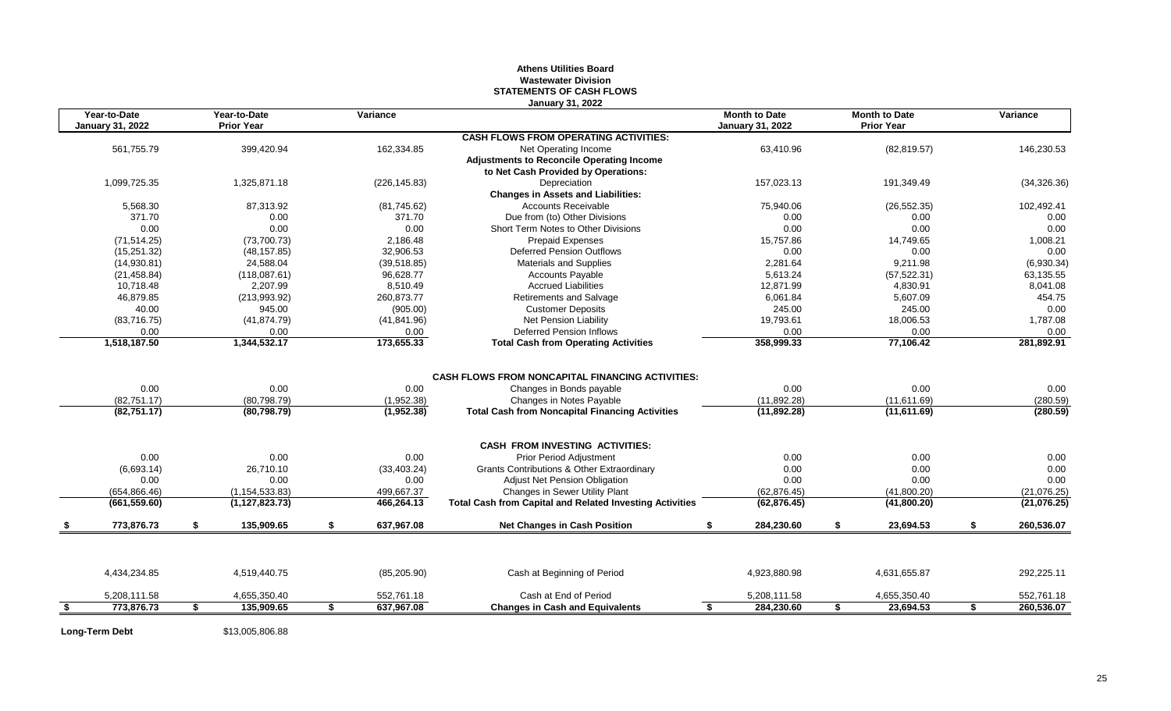## **Athens Utilities Board Wastewater Division STATEMENTS OF CASH FLOWS January 31, 2022**

|      | Year-to-Date<br><b>January 31, 2022</b> | Year-to-Date<br><b>Prior Year</b> | Variance         | UGHUGHY JI, LULL                                                | <b>Month to Date</b><br><b>January 31, 2022</b> |    | <b>Month to Date</b><br><b>Prior Year</b> | Variance         |
|------|-----------------------------------------|-----------------------------------|------------------|-----------------------------------------------------------------|-------------------------------------------------|----|-------------------------------------------|------------------|
|      |                                         |                                   |                  | <b>CASH FLOWS FROM OPERATING ACTIVITIES:</b>                    |                                                 |    |                                           |                  |
|      | 561,755.79                              | 399,420.94                        | 162,334.85       | Net Operating Income                                            | 63,410.96                                       |    | (82, 819.57)                              | 146,230.53       |
|      |                                         |                                   |                  | <b>Adjustments to Reconcile Operating Income</b>                |                                                 |    |                                           |                  |
|      |                                         |                                   |                  | to Net Cash Provided by Operations:                             |                                                 |    |                                           |                  |
|      | 1,099,725.35                            | 1,325,871.18                      | (226, 145.83)    | Depreciation                                                    | 157,023.13                                      |    | 191,349.49                                | (34, 326.36)     |
|      |                                         |                                   |                  | <b>Changes in Assets and Liabilities:</b>                       |                                                 |    |                                           |                  |
|      | 5,568.30                                | 87,313.92                         | (81,745.62)      | <b>Accounts Receivable</b>                                      | 75,940.06                                       |    | (26, 552.35)                              | 102,492.41       |
|      | 371.70                                  | 0.00                              | 371.70           | Due from (to) Other Divisions                                   | 0.00                                            |    | 0.00                                      | 0.00             |
|      | 0.00                                    | 0.00                              | 0.00             | Short Term Notes to Other Divisions                             | 0.00                                            |    | 0.00                                      | 0.00             |
|      | (71, 514.25)                            | (73,700.73)                       | 2.186.48         | <b>Prepaid Expenses</b>                                         | 15.757.86                                       |    | 14.749.65                                 | 1,008.21         |
|      | (15, 251.32)                            | (48, 157.85)                      | 32,906.53        | <b>Deferred Pension Outflows</b>                                | 0.00                                            |    | 0.00                                      | 0.00             |
|      | (14,930.81)                             | 24,588.04                         | (39, 518.85)     | Materials and Supplies                                          | 2,281.64                                        |    | 9,211.98                                  | (6,930.34)       |
|      | (21, 458.84)                            | (118,087.61)                      | 96.628.77        | <b>Accounts Payable</b>                                         | 5,613.24                                        |    | (57, 522.31)                              | 63,135.55        |
|      | 10,718.48                               | 2,207.99                          | 8,510.49         | <b>Accrued Liabilities</b>                                      | 12,871.99                                       |    | 4,830.91                                  | 8,041.08         |
|      | 46,879.85                               | (213,993.92)                      | 260,873.77       | <b>Retirements and Salvage</b>                                  | 6,061.84                                        |    | 5,607.09                                  | 454.75           |
|      | 40.00                                   | 945.00                            | (905.00)         | <b>Customer Deposits</b>                                        | 245.00                                          |    | 245.00                                    | 0.00             |
|      | (83,716.75)                             | (41, 874.79)                      | (41, 841.96)     | Net Pension Liability                                           | 19,793.61                                       |    | 18,006.53                                 | 1,787.08         |
|      | 0.00                                    | 0.00                              | 0.00             | <b>Deferred Pension Inflows</b>                                 | 0.00                                            |    | 0.00                                      | 0.00             |
|      | 1,518,187.50                            | 1,344,532.17                      | 173,655.33       | <b>Total Cash from Operating Activities</b>                     | 358,999.33                                      |    | 77,106.42                                 | 281,892.91       |
|      |                                         |                                   |                  |                                                                 |                                                 |    |                                           |                  |
|      |                                         |                                   |                  | <b>CASH FLOWS FROM NONCAPITAL FINANCING ACTIVITIES:</b>         |                                                 |    |                                           |                  |
|      | 0.00                                    | 0.00                              | 0.00             | Changes in Bonds payable                                        | 0.00                                            |    | 0.00                                      | 0.00             |
|      | (82, 751.17)                            | (80, 798.79)                      | (1,952.38)       | Changes in Notes Payable                                        | (11,892.28)                                     |    | (11,611.69)                               | (280.59)         |
|      | (82, 751.17)                            | (80, 798.79)                      | (1,952.38)       | <b>Total Cash from Noncapital Financing Activities</b>          | (11,892.28)                                     |    | (11,611.69)                               | (280.59)         |
|      |                                         |                                   |                  | <b>CASH FROM INVESTING ACTIVITIES:</b>                          |                                                 |    |                                           |                  |
|      | 0.00                                    | 0.00                              | 0.00             | <b>Prior Period Adjustment</b>                                  | 0.00                                            |    | 0.00                                      | 0.00             |
|      | (6,693.14)                              | 26,710.10                         | (33, 403.24)     | <b>Grants Contributions &amp; Other Extraordinary</b>           | 0.00                                            |    | 0.00                                      | 0.00             |
|      | 0.00                                    | 0.00                              | 0.00             | Adjust Net Pension Obligation                                   | 0.00                                            |    | 0.00                                      | 0.00             |
|      | (654.866.46)                            | (1, 154, 533.83)                  | 499,667.37       | Changes in Sewer Utility Plant                                  | (62, 876.45)                                    |    | (41,800.20)                               | (21,076.25)      |
|      | (661, 559.60)                           | (1, 127, 823.73)                  | 466,264.13       | <b>Total Cash from Capital and Related Investing Activities</b> | (62, 876.45)                                    |    | (41,800.20)                               | (21,076.25)      |
|      | 773,876.73                              | \$<br>135,909.65                  | \$<br>637,967.08 | <b>Net Changes in Cash Position</b>                             | 284,230.60                                      | £. | 23,694.53                                 | 260,536.07       |
|      |                                         |                                   |                  |                                                                 |                                                 |    |                                           |                  |
|      | 4,434,234.85                            | 4,519,440.75                      | (85, 205.90)     | Cash at Beginning of Period                                     | 4,923,880.98                                    |    | 4,631,655.87                              | 292,225.11       |
|      | 5,208,111.58                            | 4,655,350.40                      | 552,761.18       | Cash at End of Period                                           | 5,208,111.58                                    |    | 4,655,350.40                              | 552,761.18       |
| - \$ | 773.876.73                              | \$<br>135,909.65                  | \$<br>637,967.08 | <b>Changes in Cash and Equivalents</b>                          | $\overline{\mathbf{s}}$<br>284,230.60           | \$ | 23,694.53                                 | \$<br>260,536.07 |

**Long-Term Debt** \$13,005,806.88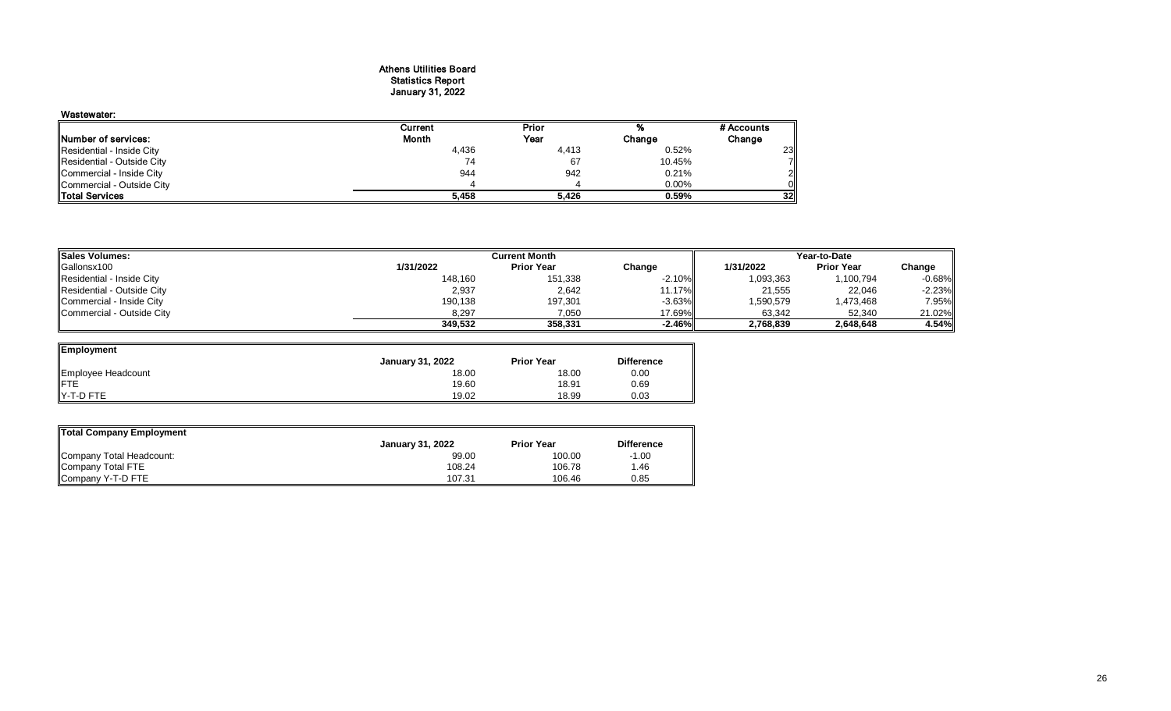# Athens Utilities Board Statistics Report January 31, 2022

## Wastewater: Current Prior % # Accounts<br>
Month Year Change Change Prior **Number of services:** Change Change Change Change Change Change Change Change Change Change Change Change Change Change Change Change Change Change Change Change Change Change Change Change Change Change Change Change Chan Residential - Inside City 4,436 4,413 0.52% 23 Residential - Outside City 74 67 10.45% 7 Commercial - Inside City 944 942 0.21% 2 Commercial - Outside City 4 4 0.00% 0 Total Services **5,458 5,426 0.59% 32**

| <b>Sales Volumes:</b>      | <b>Current Month</b> |                   |          | Year-to-Date |                   |           |  |
|----------------------------|----------------------|-------------------|----------|--------------|-------------------|-----------|--|
| Gallonsx100                | 1/31/2022            | <b>Prior Year</b> | Change   | 1/31/2022    | <b>Prior Year</b> | Change    |  |
| Residential - Inside City  | 148,160              | 151,338           | $-2.10%$ | 093,363      | 1,100,794         | $-0.68\%$ |  |
| Residential - Outside City | 2,937                | 2,642             | 11.17%L  | 21,555       | 22,046            | $-2.23%$  |  |
| Commercial - Inside City   | 190,138              | 197,301           | $-3.63%$ | 590,579      | 1,473,468         | 7.95%     |  |
| Commercial - Outside City  | 8,297                | 7,050             | 17.69%h  | 63,342       | 52,340            | 21.02%    |  |
|                            | 349,532              | 358,331           | $-2.46%$ | 2,768,839    | 2,648,648         | 4.54%     |  |

| Employment         |                         |                   |                   |
|--------------------|-------------------------|-------------------|-------------------|
|                    | <b>January 31, 2022</b> | <b>Prior Year</b> | <b>Difference</b> |
| Employee Headcount | 18.00                   | 18.00             | 0.00              |
| <b>IFTE</b>        | 19.60                   | 18.91             | 0.69              |
| IY-T-D FTE         | 19.02                   | 18.99             | 0.03              |

| <b>Total Company Employment</b> |                         |                   |                   |  |  |  |  |  |  |
|---------------------------------|-------------------------|-------------------|-------------------|--|--|--|--|--|--|
|                                 | <b>January 31, 2022</b> | <b>Prior Year</b> | <b>Difference</b> |  |  |  |  |  |  |
| Company Total Headcount:        | 99.00                   | 100.00            | $-1.00$           |  |  |  |  |  |  |
| Company Total FTE               | 108.24                  | 106.78            | ∣.46              |  |  |  |  |  |  |
| Company Y-T-D FTE               | 107.31                  | 106.46            | 0.85              |  |  |  |  |  |  |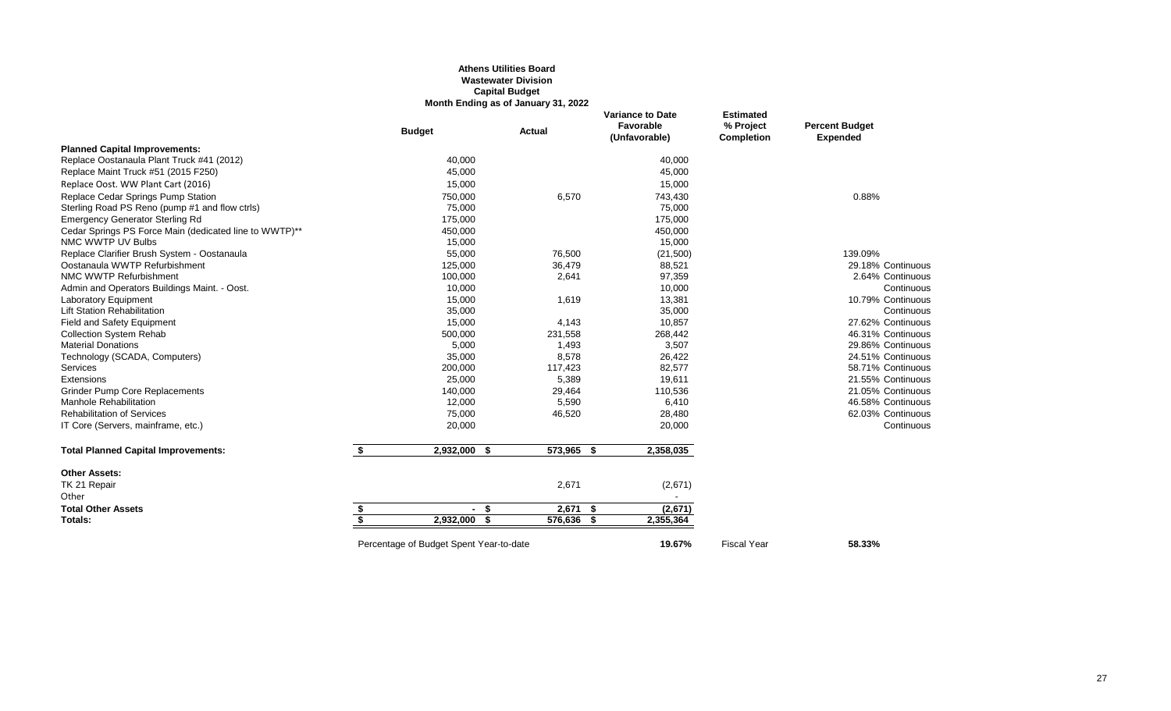#### **Athens Utilities Board Wastewater Division Capital Budget Month Ending as of January 31, 2022**

|                                                        |    | <b>Budget</b>                           | Actual     | <b>Variance to Date</b><br>Favorable<br>(Unfavorable) | <b>Estimated</b><br>% Project<br><b>Completion</b> | <b>Percent Budget</b><br><b>Expended</b> |
|--------------------------------------------------------|----|-----------------------------------------|------------|-------------------------------------------------------|----------------------------------------------------|------------------------------------------|
| <b>Planned Capital Improvements:</b>                   |    |                                         |            |                                                       |                                                    |                                          |
| Replace Oostanaula Plant Truck #41 (2012)              |    | 40,000                                  |            | 40,000                                                |                                                    |                                          |
| Replace Maint Truck #51 (2015 F250)                    |    | 45,000                                  |            | 45,000                                                |                                                    |                                          |
| Replace Oost. WW Plant Cart (2016)                     |    | 15,000                                  |            | 15,000                                                |                                                    |                                          |
| Replace Cedar Springs Pump Station                     |    | 750,000                                 | 6,570      | 743,430                                               |                                                    | 0.88%                                    |
| Sterling Road PS Reno (pump #1 and flow ctrls)         |    | 75,000                                  |            | 75,000                                                |                                                    |                                          |
| <b>Emergency Generator Sterling Rd</b>                 |    | 175,000                                 |            | 175,000                                               |                                                    |                                          |
| Cedar Springs PS Force Main (dedicated line to WWTP)** |    | 450,000                                 |            | 450,000                                               |                                                    |                                          |
| NMC WWTP UV Bulbs                                      |    | 15,000                                  |            | 15,000                                                |                                                    |                                          |
| Replace Clarifier Brush System - Oostanaula            |    | 55,000                                  | 76,500     | (21,500)                                              |                                                    | 139.09%                                  |
| Oostanaula WWTP Refurbishment                          |    | 125,000                                 | 36,479     | 88,521                                                |                                                    | 29.18% Continuous                        |
| NMC WWTP Refurbishment                                 |    | 100,000                                 | 2,641      | 97,359                                                |                                                    | 2.64% Continuous                         |
| Admin and Operators Buildings Maint. - Oost.           |    | 10,000                                  |            | 10,000                                                |                                                    | Continuous                               |
| Laboratory Equipment                                   |    | 15,000                                  | 1,619      | 13,381                                                |                                                    | 10.79% Continuous                        |
| <b>Lift Station Rehabilitation</b>                     |    | 35,000                                  |            | 35,000                                                |                                                    | Continuous                               |
| Field and Safety Equipment                             |    | 15,000                                  | 4,143      | 10,857                                                |                                                    | 27.62% Continuous                        |
| <b>Collection System Rehab</b>                         |    | 500,000                                 | 231,558    | 268,442                                               |                                                    | 46.31% Continuous                        |
| <b>Material Donations</b>                              |    | 5,000                                   | 1,493      | 3,507                                                 |                                                    | 29.86% Continuous                        |
| Technology (SCADA, Computers)                          |    | 35,000                                  | 8,578      | 26,422                                                |                                                    | 24.51% Continuous                        |
| Services                                               |    | 200,000                                 | 117,423    | 82,577                                                |                                                    | 58.71% Continuous                        |
| Extensions                                             |    | 25,000                                  | 5,389      | 19,611                                                |                                                    | 21.55% Continuous                        |
| <b>Grinder Pump Core Replacements</b>                  |    | 140,000                                 | 29,464     | 110,536                                               |                                                    | 21.05% Continuous                        |
| <b>Manhole Rehabilitation</b>                          |    | 12,000                                  | 5,590      | 6,410                                                 |                                                    | 46.58% Continuous                        |
| <b>Rehabilitation of Services</b>                      |    | 75,000                                  | 46,520     | 28,480                                                |                                                    | 62.03% Continuous                        |
| IT Core (Servers, mainframe, etc.)                     |    | 20,000                                  |            | 20,000                                                |                                                    | Continuous                               |
| <b>Total Planned Capital Improvements:</b>             | \$ | 2,932,000 \$                            | 573,965 \$ | 2,358,035                                             |                                                    |                                          |
| <b>Other Assets:</b>                                   |    |                                         |            |                                                       |                                                    |                                          |
| TK 21 Repair                                           |    |                                         | 2,671      | (2,671)                                               |                                                    |                                          |
| Other                                                  |    |                                         |            |                                                       |                                                    |                                          |
| <b>Total Other Assets</b>                              | \$ | - \$                                    | 2,671      | (2,671)<br>-\$                                        |                                                    |                                          |
| <b>Totals:</b>                                         | S, | $2,932,000$ \$                          | 576,636 \$ | 2,355,364                                             |                                                    |                                          |
|                                                        |    | Percentage of Budget Spent Year-to-date |            | 19.67%                                                | <b>Fiscal Year</b>                                 | 58.33%                                   |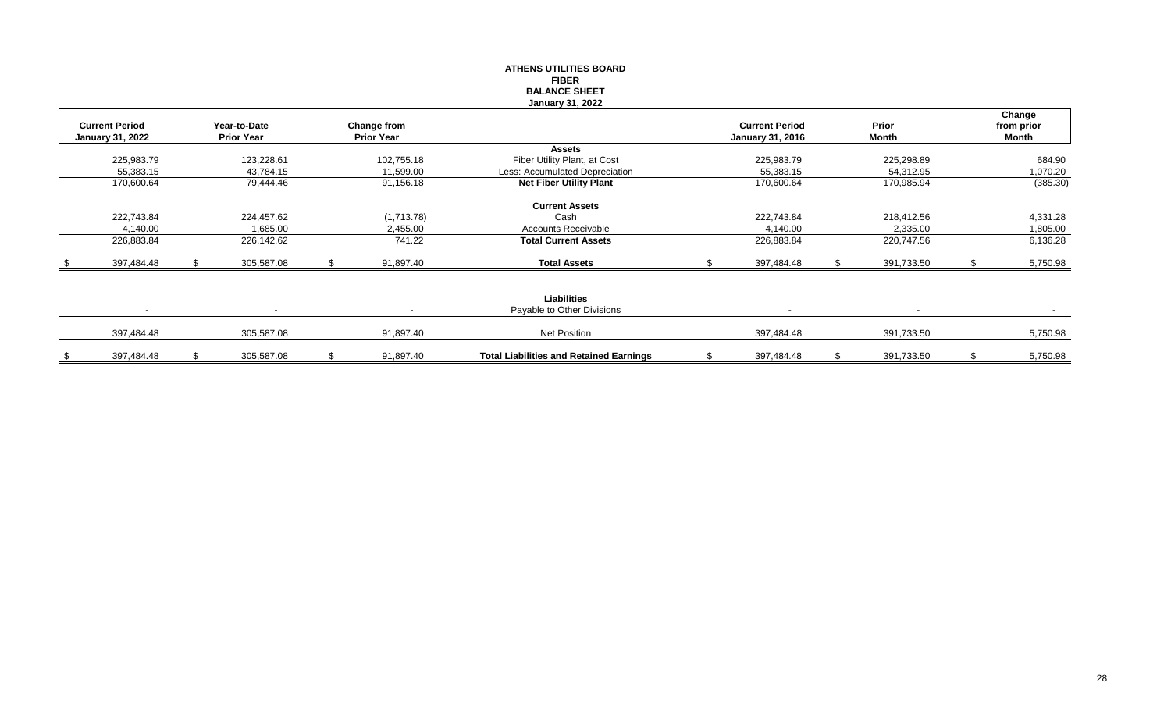# **ATHENS UTILITIES BOARD FIBER BALANCE SHEET January 31, 2022**

| <b>Current Period</b><br><b>January 31, 2022</b> | Year-to-Date<br><b>Prior Year</b> | Change from<br><b>Prior Year</b> |                                                  | <b>Current Period</b><br><b>January 31, 2016</b> | Prior<br>Month           | Change<br>from prior<br>Month |
|--------------------------------------------------|-----------------------------------|----------------------------------|--------------------------------------------------|--------------------------------------------------|--------------------------|-------------------------------|
|                                                  |                                   |                                  | <b>Assets</b>                                    |                                                  |                          |                               |
| 225,983.79                                       | 123,228.61                        | 102,755.18                       | Fiber Utility Plant, at Cost                     | 225,983.79                                       | 225,298.89               | 684.90                        |
| 55,383.15                                        | 43,784.15                         | 11,599.00                        | Less: Accumulated Depreciation                   | 55,383.15                                        | 54,312.95                | 1,070.20                      |
| 170,600.64                                       | 79,444.46                         | 91,156.18                        | <b>Net Fiber Utility Plant</b>                   | 170,600.64                                       | 170,985.94               | (385.30)                      |
|                                                  |                                   |                                  | <b>Current Assets</b>                            |                                                  |                          |                               |
| 222,743.84                                       | 224,457.62                        | (1,713.78)                       | Cash                                             | 222,743.84                                       | 218,412.56               | 4,331.28                      |
| 4,140.00                                         | 1,685.00                          | 2,455.00                         | <b>Accounts Receivable</b>                       | 4.140.00                                         | 2,335.00                 | 1,805.00                      |
| 226,883.84                                       | 226,142.62                        | 741.22                           | <b>Total Current Assets</b>                      | 226,883.84                                       | 220,747.56               | 6,136.28                      |
| 397,484.48                                       | 305,587.08                        | 91,897.40                        | <b>Total Assets</b>                              | 397,484.48                                       | 391,733.50               | 5,750.98                      |
|                                                  |                                   |                                  |                                                  |                                                  |                          |                               |
| $\sim$                                           | $\overline{\phantom{a}}$          | $\sim$                           | <b>Liabilities</b><br>Payable to Other Divisions | $\sim$                                           | $\overline{\phantom{0}}$ | $\sim$                        |
| 397,484.48                                       | 305,587.08                        | 91,897.40                        | Net Position                                     | 397,484.48                                       | 391,733.50               | 5,750.98                      |
| 397,484.48                                       | 305,587.08                        | 91,897.40                        | <b>Total Liabilities and Retained Earnings</b>   | 397,484.48                                       | 391,733.50               | 5,750.98                      |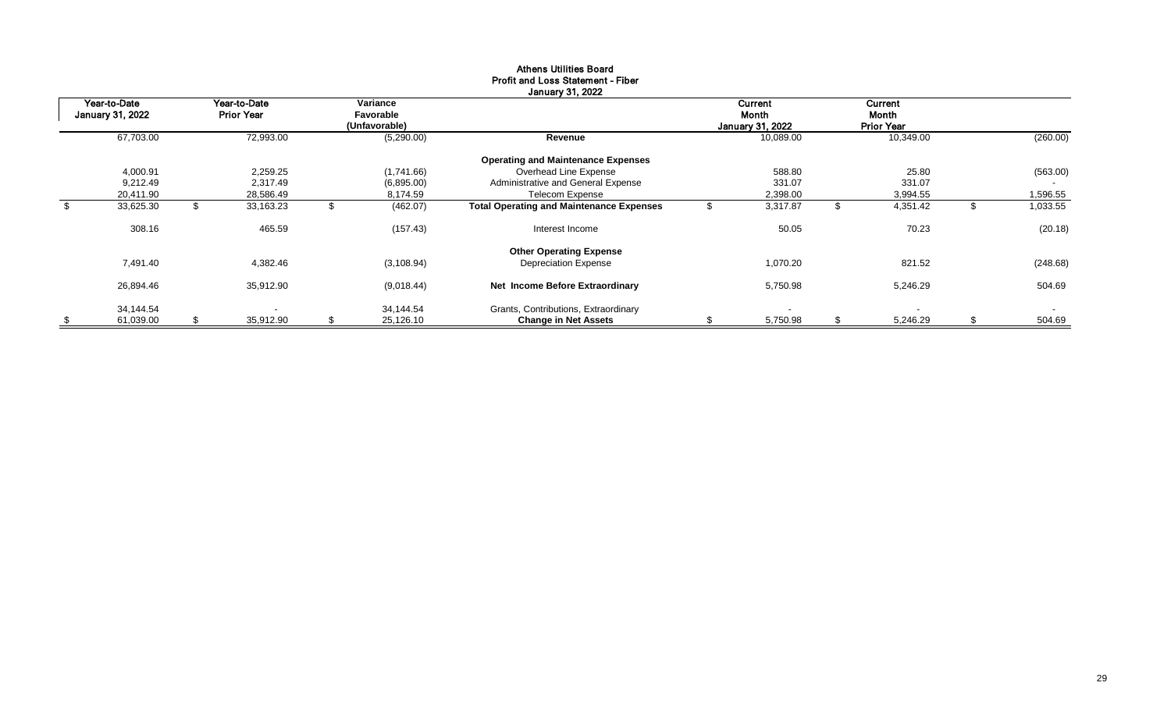|                                         |                                   |   |                                        | January 31, 2022                                                    |    |                                             |                                       |                        |
|-----------------------------------------|-----------------------------------|---|----------------------------------------|---------------------------------------------------------------------|----|---------------------------------------------|---------------------------------------|------------------------|
| Year-to-Date<br><b>January 31, 2022</b> | Year-to-Date<br><b>Prior Year</b> |   | Variance<br>Favorable<br>(Unfavorable) |                                                                     |    | <b>Current</b><br>Month<br>January 31, 2022 | Current<br>Month<br><b>Prior Year</b> |                        |
| 67,703.00                               | 72,993.00                         |   | (5,290.00)                             | Revenue                                                             |    | 10,089.00                                   | 10,349.00                             | (260.00)               |
|                                         |                                   |   |                                        | <b>Operating and Maintenance Expenses</b>                           |    |                                             |                                       |                        |
| 4,000.91                                | 2,259.25                          |   | (1,741.66)                             | Overhead Line Expense                                               |    | 588.80                                      | 25.80                                 | (563.00)               |
| 9,212.49                                | 2.317.49                          |   | (6,895.00)                             | Administrative and General Expense                                  |    | 331.07                                      | 331.07                                |                        |
| 20,411.90                               | 28,586.49                         |   | 8,174.59                               | <b>Telecom Expense</b>                                              |    | 2,398.00                                    | 3,994.55                              | 1,596.55               |
| \$<br>33,625.30                         | \$<br>33,163.23                   | ъ | (462.07)                               | <b>Total Operating and Maintenance Expenses</b>                     |    | 3,317.87                                    | \$<br>4,351.42                        | \$<br>1,033.55         |
| 308.16                                  | 465.59                            |   | (157.43)                               | Interest Income                                                     |    | 50.05                                       | 70.23                                 | (20.18)                |
|                                         |                                   |   |                                        | <b>Other Operating Expense</b>                                      |    |                                             |                                       |                        |
| 7,491.40                                | 4,382.46                          |   | (3, 108.94)                            | <b>Depreciation Expense</b>                                         |    | 1,070.20                                    | 821.52                                | (248.68)               |
| 26,894.46                               | 35,912.90                         |   | (9,018.44)                             | Net Income Before Extraordinary                                     |    | 5,750.98                                    | 5,246.29                              | 504.69                 |
| 34,144.54<br>61,039.00                  | \$<br>35,912.90                   | S | 34.144.54<br>25,126.10                 | Grants, Contributions, Extraordinary<br><b>Change in Net Assets</b> | ж. | 5,750.98                                    | \$<br>5,246.29                        | \$<br>$\sim$<br>504.69 |

# Athens Utilities Board Profit and Loss Statement - Fiber